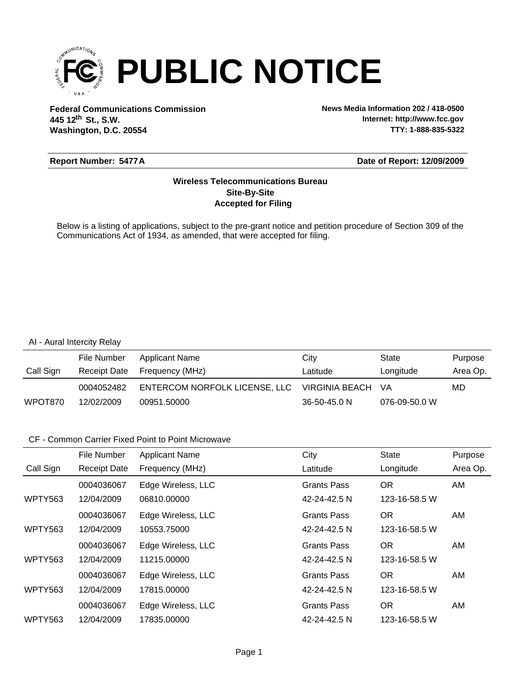

**Federal Communications Commission News Media Information 202 / 418-0500 Washington, D.C. 20554 th 445 12 St., S.W.**

**Internet: http://www.fcc.gov TTY: 1-888-835-5322**

#### **Report Number: 5477A**

#### **Date of Report: 12/09/2009**

### **Accepted for Filing Site-By-Site Wireless Telecommunications Bureau**

Below is a listing of applications, subject to the pre-grant notice and petition procedure of Section 309 of the Communications Act of 1934, as amended, that were accepted for filing.

#### AI - Aural Intercity Relay

|           | File Number  | Applicant Name                | Citv              | State         | Purpose  |
|-----------|--------------|-------------------------------|-------------------|---------------|----------|
| Call Sign | Receipt Date | Frequency (MHz)               | Latitude          | Longitude     | Area Op. |
|           | 0004052482   | ENTERCOM NORFOLK LICENSE, LLC | VIRGINIA BEACH VA |               | MD       |
| WPOT870   | 12/02/2009   | 00951.50000                   | 36-50-45.0 N      | 076-09-50.0 W |          |

|                | File Number         | <b>Applicant Name</b> | City               | <b>State</b>  | Purpose  |
|----------------|---------------------|-----------------------|--------------------|---------------|----------|
| Call Sign      | <b>Receipt Date</b> | Frequency (MHz)       | Latitude           | Longitude     | Area Op. |
|                | 0004036067          | Edge Wireless, LLC    | <b>Grants Pass</b> | OR.           | AM.      |
| <b>WPTY563</b> | 12/04/2009          | 06810.00000           | 42-24-42.5 N       | 123-16-58.5 W |          |
|                | 0004036067          | Edge Wireless, LLC    | <b>Grants Pass</b> | <b>OR</b>     | AM       |
| <b>WPTY563</b> | 12/04/2009          | 10553.75000           | 42-24-42.5 N       | 123-16-58.5 W |          |
|                | 0004036067          | Edge Wireless, LLC    | <b>Grants Pass</b> | OR.           | AM.      |
| <b>WPTY563</b> | 12/04/2009          | 11215.00000           | 42-24-42.5 N       | 123-16-58.5 W |          |
|                | 0004036067          | Edge Wireless, LLC    | <b>Grants Pass</b> | <b>OR</b>     | AM       |
| <b>WPTY563</b> | 12/04/2009          | 17815.00000           | 42-24-42.5 N       | 123-16-58.5 W |          |
|                | 0004036067          | Edge Wireless, LLC    | <b>Grants Pass</b> | <b>OR</b>     | AM.      |
| <b>WPTY563</b> | 12/04/2009          | 17835.00000           | 42-24-42.5 N       | 123-16-58.5 W |          |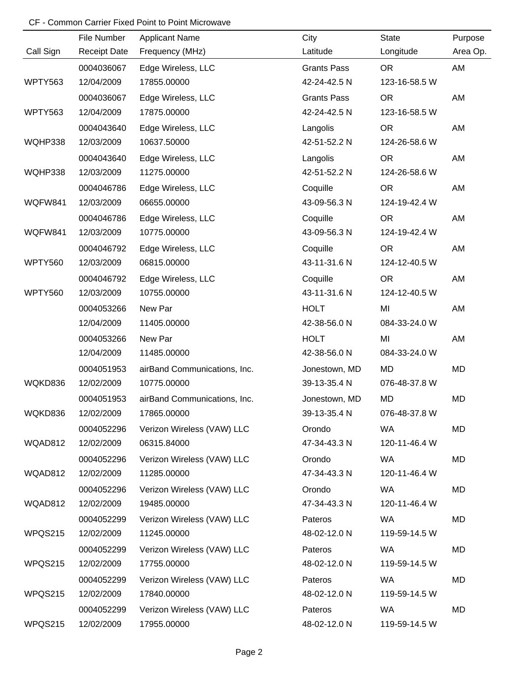|           | File Number         | <b>Applicant Name</b>        | City               | State         | Purpose  |
|-----------|---------------------|------------------------------|--------------------|---------------|----------|
| Call Sign | <b>Receipt Date</b> | Frequency (MHz)              | Latitude           | Longitude     | Area Op. |
|           | 0004036067          | Edge Wireless, LLC           | <b>Grants Pass</b> | <b>OR</b>     | AM       |
| WPTY563   | 12/04/2009          | 17855.00000                  | 42-24-42.5 N       | 123-16-58.5 W |          |
|           | 0004036067          | Edge Wireless, LLC           | <b>Grants Pass</b> | <b>OR</b>     | AM       |
| WPTY563   | 12/04/2009          | 17875.00000                  | 42-24-42.5 N       | 123-16-58.5 W |          |
|           | 0004043640          | Edge Wireless, LLC           | Langolis           | <b>OR</b>     | AM       |
| WQHP338   | 12/03/2009          | 10637.50000                  | 42-51-52.2 N       | 124-26-58.6 W |          |
|           | 0004043640          | Edge Wireless, LLC           | Langolis           | <b>OR</b>     | AM       |
| WQHP338   | 12/03/2009          | 11275.00000                  | 42-51-52.2 N       | 124-26-58.6 W |          |
|           | 0004046786          | Edge Wireless, LLC           | Coquille           | <b>OR</b>     | AM       |
| WQFW841   | 12/03/2009          | 06655.00000                  | 43-09-56.3 N       | 124-19-42.4 W |          |
|           | 0004046786          | Edge Wireless, LLC           | Coquille           | <b>OR</b>     | AM       |
| WQFW841   | 12/03/2009          | 10775.00000                  | 43-09-56.3 N       | 124-19-42.4 W |          |
|           | 0004046792          | Edge Wireless, LLC           | Coquille           | <b>OR</b>     | AM       |
| WPTY560   | 12/03/2009          | 06815.00000                  | 43-11-31.6 N       | 124-12-40.5 W |          |
|           | 0004046792          | Edge Wireless, LLC           | Coquille           | <b>OR</b>     | AM       |
| WPTY560   | 12/03/2009          | 10755.00000                  | 43-11-31.6 N       | 124-12-40.5 W |          |
|           | 0004053266          | New Par                      | <b>HOLT</b>        | MI            | AM       |
|           | 12/04/2009          | 11405.00000                  | 42-38-56.0 N       | 084-33-24.0 W |          |
|           | 0004053266          | New Par                      | <b>HOLT</b>        | MI            | AM       |
|           | 12/04/2009          | 11485.00000                  | 42-38-56.0 N       | 084-33-24.0 W |          |
|           | 0004051953          | airBand Communications, Inc. | Jonestown, MD      | <b>MD</b>     | MD       |
| WQKD836   | 12/02/2009          | 10775.00000                  | 39-13-35.4 N       | 076-48-37.8 W |          |
|           | 0004051953          | airBand Communications, Inc. | Jonestown, MD      | MD            | MD       |
| WQKD836   | 12/02/2009          | 17865.00000                  | 39-13-35.4 N       | 076-48-37.8 W |          |
|           | 0004052296          | Verizon Wireless (VAW) LLC   | Orondo             | WA            | MD       |
| WQAD812   | 12/02/2009          | 06315.84000                  | 47-34-43.3 N       | 120-11-46.4 W |          |
|           | 0004052296          | Verizon Wireless (VAW) LLC   | Orondo             | WA            | MD       |
| WQAD812   | 12/02/2009          | 11285.00000                  | 47-34-43.3 N       | 120-11-46.4 W |          |
|           | 0004052296          | Verizon Wireless (VAW) LLC   | Orondo             | WA            | MD       |
| WQAD812   | 12/02/2009          | 19485.00000                  | 47-34-43.3 N       | 120-11-46.4 W |          |
|           | 0004052299          | Verizon Wireless (VAW) LLC   | Pateros            | WA            | MD       |
| WPQS215   | 12/02/2009          | 11245.00000                  | 48-02-12.0 N       | 119-59-14.5 W |          |
|           | 0004052299          | Verizon Wireless (VAW) LLC   | Pateros            | WA            | MD       |
| WPQS215   | 12/02/2009          | 17755.00000                  | 48-02-12.0 N       | 119-59-14.5 W |          |
|           | 0004052299          | Verizon Wireless (VAW) LLC   | Pateros            | WA            | MD       |
| WPQS215   | 12/02/2009          | 17840.00000                  | 48-02-12.0 N       | 119-59-14.5 W |          |
|           | 0004052299          | Verizon Wireless (VAW) LLC   | Pateros            | <b>WA</b>     | MD       |
| WPQS215   | 12/02/2009          | 17955.00000                  | 48-02-12.0 N       | 119-59-14.5 W |          |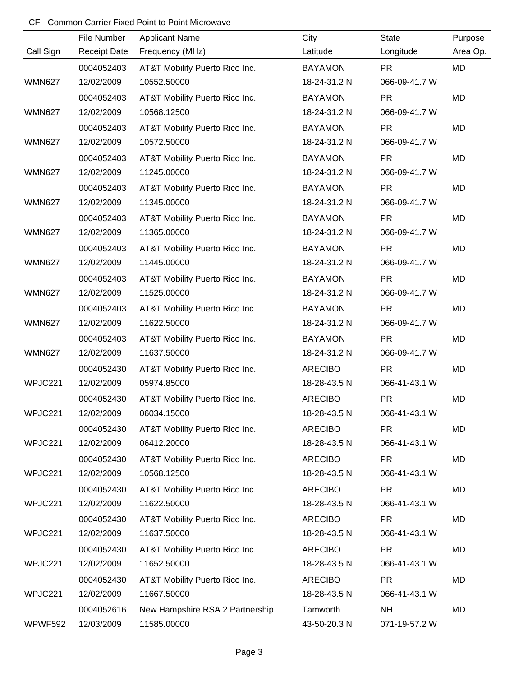|               | File Number         | <b>Applicant Name</b>           | City           | <b>State</b>  | Purpose   |
|---------------|---------------------|---------------------------------|----------------|---------------|-----------|
| Call Sign     | <b>Receipt Date</b> | Frequency (MHz)                 | Latitude       | Longitude     | Area Op.  |
|               | 0004052403          | AT&T Mobility Puerto Rico Inc.  | <b>BAYAMON</b> | <b>PR</b>     | MD        |
| <b>WMN627</b> | 12/02/2009          | 10552.50000                     | 18-24-31.2 N   | 066-09-41.7 W |           |
|               | 0004052403          | AT&T Mobility Puerto Rico Inc.  | <b>BAYAMON</b> | <b>PR</b>     | <b>MD</b> |
| <b>WMN627</b> | 12/02/2009          | 10568.12500                     | 18-24-31.2 N   | 066-09-41.7 W |           |
|               | 0004052403          | AT&T Mobility Puerto Rico Inc.  | <b>BAYAMON</b> | <b>PR</b>     | MD        |
| <b>WMN627</b> | 12/02/2009          | 10572.50000                     | 18-24-31.2 N   | 066-09-41.7 W |           |
|               | 0004052403          | AT&T Mobility Puerto Rico Inc.  | <b>BAYAMON</b> | <b>PR</b>     | MD        |
| <b>WMN627</b> | 12/02/2009          | 11245.00000                     | 18-24-31.2 N   | 066-09-41.7 W |           |
|               | 0004052403          | AT&T Mobility Puerto Rico Inc.  | <b>BAYAMON</b> | <b>PR</b>     | MD        |
| <b>WMN627</b> | 12/02/2009          | 11345.00000                     | 18-24-31.2 N   | 066-09-41.7 W |           |
|               | 0004052403          | AT&T Mobility Puerto Rico Inc.  | <b>BAYAMON</b> | <b>PR</b>     | MD        |
| <b>WMN627</b> | 12/02/2009          | 11365.00000                     | 18-24-31.2 N   | 066-09-41.7 W |           |
|               | 0004052403          | AT&T Mobility Puerto Rico Inc.  | <b>BAYAMON</b> | <b>PR</b>     | MD        |
| <b>WMN627</b> | 12/02/2009          | 11445.00000                     | 18-24-31.2 N   | 066-09-41.7 W |           |
|               | 0004052403          | AT&T Mobility Puerto Rico Inc.  | <b>BAYAMON</b> | <b>PR</b>     | MD        |
| <b>WMN627</b> | 12/02/2009          | 11525.00000                     | 18-24-31.2 N   | 066-09-41.7 W |           |
|               | 0004052403          | AT&T Mobility Puerto Rico Inc.  | <b>BAYAMON</b> | <b>PR</b>     | MD        |
| <b>WMN627</b> | 12/02/2009          | 11622.50000                     | 18-24-31.2 N   | 066-09-41.7 W |           |
|               | 0004052403          | AT&T Mobility Puerto Rico Inc.  | <b>BAYAMON</b> | <b>PR</b>     | MD        |
| <b>WMN627</b> | 12/02/2009          | 11637.50000                     | 18-24-31.2 N   | 066-09-41.7 W |           |
|               | 0004052430          | AT&T Mobility Puerto Rico Inc.  | <b>ARECIBO</b> | <b>PR</b>     | MD        |
| WPJC221       | 12/02/2009          | 05974.85000                     | 18-28-43.5 N   | 066-41-43.1 W |           |
|               | 0004052430          | AT&T Mobility Puerto Rico Inc.  | <b>ARECIBO</b> | <b>PR</b>     | MD        |
| WPJC221       | 12/02/2009          | 06034.15000                     | 18-28-43.5 N   | 066-41-43.1 W |           |
|               | 0004052430          | AT&T Mobility Puerto Rico Inc.  | <b>ARECIBO</b> | <b>PR</b>     | MD        |
| WPJC221       | 12/02/2009          | 06412.20000                     | 18-28-43.5 N   | 066-41-43.1 W |           |
|               | 0004052430          | AT&T Mobility Puerto Rico Inc.  | <b>ARECIBO</b> | <b>PR</b>     | MD        |
| WPJC221       | 12/02/2009          | 10568.12500                     | 18-28-43.5 N   | 066-41-43.1 W |           |
|               | 0004052430          | AT&T Mobility Puerto Rico Inc.  | <b>ARECIBO</b> | <b>PR</b>     | MD        |
| WPJC221       | 12/02/2009          | 11622.50000                     | 18-28-43.5 N   | 066-41-43.1 W |           |
|               | 0004052430          | AT&T Mobility Puerto Rico Inc.  | <b>ARECIBO</b> | <b>PR</b>     | MD        |
| WPJC221       | 12/02/2009          | 11637.50000                     | 18-28-43.5 N   | 066-41-43.1 W |           |
|               | 0004052430          | AT&T Mobility Puerto Rico Inc.  | <b>ARECIBO</b> | <b>PR</b>     | MD        |
| WPJC221       | 12/02/2009          | 11652.50000                     | 18-28-43.5 N   | 066-41-43.1 W |           |
|               | 0004052430          | AT&T Mobility Puerto Rico Inc.  | <b>ARECIBO</b> | <b>PR</b>     | MD        |
| WPJC221       | 12/02/2009          | 11667.50000                     | 18-28-43.5 N   | 066-41-43.1 W |           |
|               | 0004052616          | New Hampshire RSA 2 Partnership | Tamworth       | <b>NH</b>     | MD        |
| WPWF592       | 12/03/2009          | 11585.00000                     | 43-50-20.3 N   | 071-19-57.2 W |           |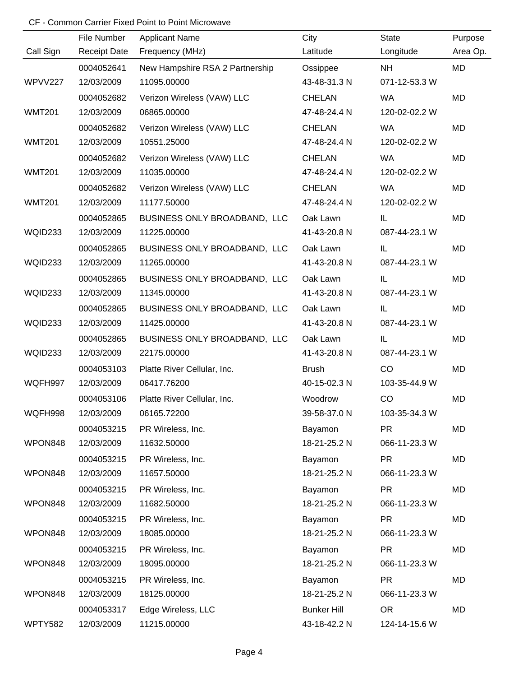|               | File Number         | <b>Applicant Name</b>           | City               | <b>State</b>  | Purpose   |
|---------------|---------------------|---------------------------------|--------------------|---------------|-----------|
| Call Sign     | <b>Receipt Date</b> | Frequency (MHz)                 | Latitude           | Longitude     | Area Op.  |
|               | 0004052641          | New Hampshire RSA 2 Partnership | Ossippee           | <b>NH</b>     | <b>MD</b> |
| WPVV227       | 12/03/2009          | 11095.00000                     | 43-48-31.3 N       | 071-12-53.3 W |           |
|               | 0004052682          | Verizon Wireless (VAW) LLC      | <b>CHELAN</b>      | <b>WA</b>     | MD        |
| <b>WMT201</b> | 12/03/2009          | 06865.00000                     | 47-48-24.4 N       | 120-02-02.2 W |           |
|               | 0004052682          | Verizon Wireless (VAW) LLC      | <b>CHELAN</b>      | <b>WA</b>     | MD        |
| <b>WMT201</b> | 12/03/2009          | 10551.25000                     | 47-48-24.4 N       | 120-02-02.2 W |           |
|               | 0004052682          | Verizon Wireless (VAW) LLC      | <b>CHELAN</b>      | <b>WA</b>     | MD        |
| <b>WMT201</b> | 12/03/2009          | 11035.00000                     | 47-48-24.4 N       | 120-02-02.2 W |           |
|               | 0004052682          | Verizon Wireless (VAW) LLC      | <b>CHELAN</b>      | <b>WA</b>     | MD        |
| <b>WMT201</b> | 12/03/2009          | 11177.50000                     | 47-48-24.4 N       | 120-02-02.2 W |           |
|               | 0004052865          | BUSINESS ONLY BROADBAND, LLC    | Oak Lawn           | IL            | MD        |
| WQID233       | 12/03/2009          | 11225.00000                     | 41-43-20.8 N       | 087-44-23.1 W |           |
|               | 0004052865          | BUSINESS ONLY BROADBAND, LLC    | Oak Lawn           | IL            | MD        |
| WQID233       | 12/03/2009          | 11265.00000                     | 41-43-20.8 N       | 087-44-23.1 W |           |
|               | 0004052865          | BUSINESS ONLY BROADBAND, LLC    | Oak Lawn           | IL            | MD        |
| WQID233       | 12/03/2009          | 11345.00000                     | 41-43-20.8 N       | 087-44-23.1 W |           |
|               | 0004052865          | BUSINESS ONLY BROADBAND, LLC    | Oak Lawn           | IL            | MD        |
| WQID233       | 12/03/2009          | 11425.00000                     | 41-43-20.8 N       | 087-44-23.1 W |           |
|               | 0004052865          | BUSINESS ONLY BROADBAND, LLC    | Oak Lawn           | IL            | MD        |
| WQID233       | 12/03/2009          | 22175.00000                     | 41-43-20.8 N       | 087-44-23.1 W |           |
|               | 0004053103          | Platte River Cellular, Inc.     | <b>Brush</b>       | CO            | MD        |
| WQFH997       | 12/03/2009          | 06417.76200                     | 40-15-02.3 N       | 103-35-44.9 W |           |
|               | 0004053106          | Platte River Cellular, Inc.     | Woodrow            | CO            | <b>MD</b> |
| WQFH998       | 12/03/2009          | 06165.72200                     | 39-58-37.0 N       | 103-35-34.3 W |           |
|               | 0004053215          | PR Wireless, Inc.               | Bayamon            | <b>PR</b>     | MD        |
| WPON848       | 12/03/2009          | 11632.50000                     | 18-21-25.2 N       | 066-11-23.3 W |           |
|               | 0004053215          | PR Wireless, Inc.               | Bayamon            | <b>PR</b>     | MD        |
| WPON848       | 12/03/2009          | 11657.50000                     | 18-21-25.2 N       | 066-11-23.3 W |           |
|               | 0004053215          | PR Wireless, Inc.               | Bayamon            | <b>PR</b>     | MD        |
| WPON848       | 12/03/2009          | 11682.50000                     | 18-21-25.2 N       | 066-11-23.3 W |           |
|               | 0004053215          | PR Wireless, Inc.               | Bayamon            | <b>PR</b>     | MD        |
| WPON848       | 12/03/2009          | 18085.00000                     | 18-21-25.2 N       | 066-11-23.3 W |           |
|               | 0004053215          | PR Wireless, Inc.               | Bayamon            | <b>PR</b>     | MD        |
| WPON848       | 12/03/2009          | 18095.00000                     | 18-21-25.2 N       | 066-11-23.3 W |           |
|               | 0004053215          | PR Wireless, Inc.               | Bayamon            | <b>PR</b>     | MD        |
| WPON848       | 12/03/2009          | 18125.00000                     | 18-21-25.2 N       | 066-11-23.3 W |           |
|               | 0004053317          | Edge Wireless, LLC              | <b>Bunker Hill</b> | <b>OR</b>     | MD        |
| WPTY582       | 12/03/2009          | 11215.00000                     | 43-18-42.2 N       | 124-14-15.6 W |           |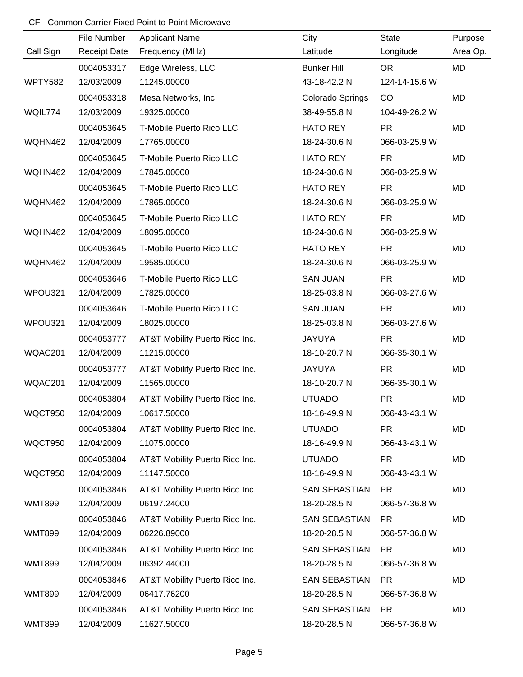|               | File Number         | <b>Applicant Name</b>          | City                 | <b>State</b>  | Purpose   |
|---------------|---------------------|--------------------------------|----------------------|---------------|-----------|
| Call Sign     | <b>Receipt Date</b> | Frequency (MHz)                | Latitude             | Longitude     | Area Op.  |
|               | 0004053317          | Edge Wireless, LLC             | <b>Bunker Hill</b>   | <b>OR</b>     | MD        |
| WPTY582       | 12/03/2009          | 11245.00000                    | 43-18-42.2 N         | 124-14-15.6 W |           |
|               | 0004053318          | Mesa Networks, Inc.            | Colorado Springs     | CO            | <b>MD</b> |
| WQIL774       | 12/03/2009          | 19325.00000                    | 38-49-55.8 N         | 104-49-26.2 W |           |
|               | 0004053645          | T-Mobile Puerto Rico LLC       | <b>HATO REY</b>      | <b>PR</b>     | <b>MD</b> |
| WQHN462       | 12/04/2009          | 17765.00000                    | 18-24-30.6 N         | 066-03-25.9 W |           |
|               | 0004053645          | T-Mobile Puerto Rico LLC       | <b>HATO REY</b>      | <b>PR</b>     | MD        |
| WQHN462       | 12/04/2009          | 17845.00000                    | 18-24-30.6 N         | 066-03-25.9 W |           |
|               | 0004053645          | T-Mobile Puerto Rico LLC       | <b>HATO REY</b>      | <b>PR</b>     | MD        |
| WQHN462       | 12/04/2009          | 17865.00000                    | 18-24-30.6 N         | 066-03-25.9 W |           |
|               | 0004053645          | T-Mobile Puerto Rico LLC       | <b>HATO REY</b>      | <b>PR</b>     | MD        |
| WQHN462       | 12/04/2009          | 18095.00000                    | 18-24-30.6 N         | 066-03-25.9 W |           |
|               | 0004053645          | T-Mobile Puerto Rico LLC       | <b>HATO REY</b>      | <b>PR</b>     | MD        |
| WQHN462       | 12/04/2009          | 19585.00000                    | 18-24-30.6 N         | 066-03-25.9 W |           |
|               | 0004053646          | T-Mobile Puerto Rico LLC       | <b>SAN JUAN</b>      | <b>PR</b>     | MD        |
| WPOU321       | 12/04/2009          | 17825.00000                    | 18-25-03.8 N         | 066-03-27.6 W |           |
|               | 0004053646          | T-Mobile Puerto Rico LLC       | <b>SAN JUAN</b>      | <b>PR</b>     | MD        |
| WPOU321       | 12/04/2009          | 18025.00000                    | 18-25-03.8 N         | 066-03-27.6 W |           |
|               | 0004053777          | AT&T Mobility Puerto Rico Inc. | <b>JAYUYA</b>        | <b>PR</b>     | MD        |
| WQAC201       | 12/04/2009          | 11215.00000                    | 18-10-20.7 N         | 066-35-30.1 W |           |
|               | 0004053777          | AT&T Mobility Puerto Rico Inc. | <b>JAYUYA</b>        | <b>PR</b>     | MD        |
| WQAC201       | 12/04/2009          | 11565.00000                    | 18-10-20.7 N         | 066-35-30.1 W |           |
|               | 0004053804          | AT&T Mobility Puerto Rico Inc. | <b>UTUADO</b>        | <b>PR</b>     | MD        |
| WQCT950       | 12/04/2009          | 10617.50000                    | 18-16-49.9 N         | 066-43-43.1 W |           |
|               | 0004053804          | AT&T Mobility Puerto Rico Inc. | <b>UTUADO</b>        | <b>PR</b>     | MD        |
| WQCT950       | 12/04/2009          | 11075.00000                    | 18-16-49.9 N         | 066-43-43.1 W |           |
|               | 0004053804          | AT&T Mobility Puerto Rico Inc. | <b>UTUADO</b>        | <b>PR</b>     | MD        |
| WQCT950       | 12/04/2009          | 11147.50000                    | 18-16-49.9 N         | 066-43-43.1 W |           |
|               | 0004053846          | AT&T Mobility Puerto Rico Inc. | <b>SAN SEBASTIAN</b> | <b>PR</b>     | MD        |
| <b>WMT899</b> | 12/04/2009          | 06197.24000                    | 18-20-28.5 N         | 066-57-36.8 W |           |
|               | 0004053846          | AT&T Mobility Puerto Rico Inc. | <b>SAN SEBASTIAN</b> | <b>PR</b>     | MD        |
| <b>WMT899</b> | 12/04/2009          | 06226.89000                    | 18-20-28.5 N         | 066-57-36.8 W |           |
|               | 0004053846          | AT&T Mobility Puerto Rico Inc. | <b>SAN SEBASTIAN</b> | <b>PR</b>     | MD        |
| <b>WMT899</b> | 12/04/2009          | 06392.44000                    | 18-20-28.5 N         | 066-57-36.8 W |           |
|               | 0004053846          | AT&T Mobility Puerto Rico Inc. | <b>SAN SEBASTIAN</b> | <b>PR</b>     | MD        |
| <b>WMT899</b> | 12/04/2009          | 06417.76200                    | 18-20-28.5 N         | 066-57-36.8 W |           |
|               | 0004053846          | AT&T Mobility Puerto Rico Inc. | <b>SAN SEBASTIAN</b> | <b>PR</b>     | MD        |
| <b>WMT899</b> | 12/04/2009          | 11627.50000                    | 18-20-28.5 N         | 066-57-36.8 W |           |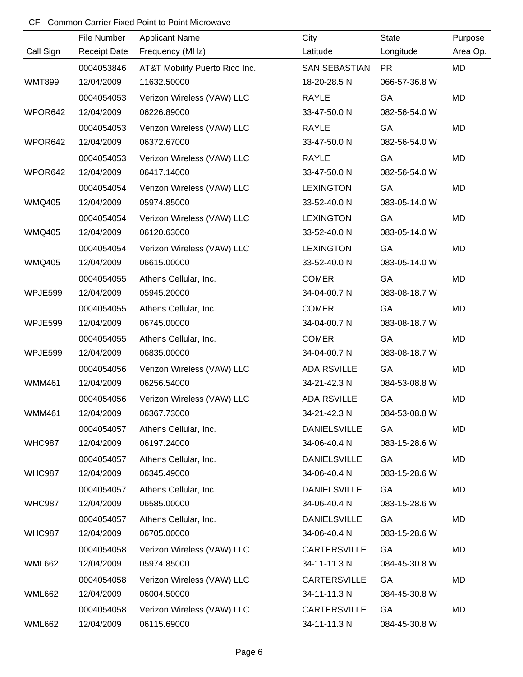|               | File Number         | <b>Applicant Name</b>          | City                 | State         | Purpose   |
|---------------|---------------------|--------------------------------|----------------------|---------------|-----------|
| Call Sign     | <b>Receipt Date</b> | Frequency (MHz)                | Latitude             | Longitude     | Area Op.  |
|               | 0004053846          | AT&T Mobility Puerto Rico Inc. | <b>SAN SEBASTIAN</b> | <b>PR</b>     | MD        |
| <b>WMT899</b> | 12/04/2009          | 11632.50000                    | 18-20-28.5 N         | 066-57-36.8 W |           |
|               | 0004054053          | Verizon Wireless (VAW) LLC     | <b>RAYLE</b>         | GA            | <b>MD</b> |
| WPOR642       | 12/04/2009          | 06226.89000                    | 33-47-50.0 N         | 082-56-54.0 W |           |
|               | 0004054053          | Verizon Wireless (VAW) LLC     | <b>RAYLE</b>         | GA            | <b>MD</b> |
| WPOR642       | 12/04/2009          | 06372.67000                    | 33-47-50.0 N         | 082-56-54.0 W |           |
|               | 0004054053          | Verizon Wireless (VAW) LLC     | <b>RAYLE</b>         | GA            | MD        |
| WPOR642       | 12/04/2009          | 06417.14000                    | 33-47-50.0 N         | 082-56-54.0 W |           |
|               | 0004054054          | Verizon Wireless (VAW) LLC     | <b>LEXINGTON</b>     | GA            | MD        |
| <b>WMQ405</b> | 12/04/2009          | 05974.85000                    | 33-52-40.0 N         | 083-05-14.0 W |           |
|               | 0004054054          | Verizon Wireless (VAW) LLC     | <b>LEXINGTON</b>     | GA            | MD        |
| <b>WMQ405</b> | 12/04/2009          | 06120.63000                    | 33-52-40.0 N         | 083-05-14.0 W |           |
|               | 0004054054          | Verizon Wireless (VAW) LLC     | <b>LEXINGTON</b>     | GA            | MD        |
| <b>WMQ405</b> | 12/04/2009          | 06615.00000                    | 33-52-40.0 N         | 083-05-14.0 W |           |
|               | 0004054055          | Athens Cellular, Inc.          | <b>COMER</b>         | GA            | MD        |
| WPJE599       | 12/04/2009          | 05945.20000                    | 34-04-00.7 N         | 083-08-18.7 W |           |
|               | 0004054055          | Athens Cellular, Inc.          | <b>COMER</b>         | GA            | MD        |
| WPJE599       | 12/04/2009          | 06745.00000                    | 34-04-00.7 N         | 083-08-18.7 W |           |
|               | 0004054055          | Athens Cellular, Inc.          | <b>COMER</b>         | GA            | MD        |
| WPJE599       | 12/04/2009          | 06835.00000                    | 34-04-00.7 N         | 083-08-18.7 W |           |
|               | 0004054056          | Verizon Wireless (VAW) LLC     | <b>ADAIRSVILLE</b>   | GA            | MD        |
| <b>WMM461</b> | 12/04/2009          | 06256.54000                    | 34-21-42.3 N         | 084-53-08.8 W |           |
|               | 0004054056          | Verizon Wireless (VAW) LLC     | <b>ADAIRSVILLE</b>   | GA            | MD        |
| WMM461        | 12/04/2009          | 06367.73000                    | 34-21-42.3 N         | 084-53-08.8 W |           |
|               | 0004054057          | Athens Cellular, Inc.          | <b>DANIELSVILLE</b>  | GA            | MD        |
| <b>WHC987</b> | 12/04/2009          | 06197.24000                    | 34-06-40.4 N         | 083-15-28.6 W |           |
|               | 0004054057          | Athens Cellular, Inc.          | <b>DANIELSVILLE</b>  | GA            | MD        |
| <b>WHC987</b> | 12/04/2009          | 06345.49000                    | 34-06-40.4 N         | 083-15-28.6 W |           |
|               | 0004054057          | Athens Cellular, Inc.          | <b>DANIELSVILLE</b>  | GA            | MD        |
| <b>WHC987</b> | 12/04/2009          | 06585.00000                    | 34-06-40.4 N         | 083-15-28.6 W |           |
|               | 0004054057          | Athens Cellular, Inc.          | <b>DANIELSVILLE</b>  | GA            | MD        |
| <b>WHC987</b> | 12/04/2009          | 06705.00000                    | 34-06-40.4 N         | 083-15-28.6 W |           |
|               | 0004054058          | Verizon Wireless (VAW) LLC     | <b>CARTERSVILLE</b>  | GA            | MD        |
| <b>WML662</b> | 12/04/2009          | 05974.85000                    | 34-11-11.3 N         | 084-45-30.8 W |           |
|               | 0004054058          | Verizon Wireless (VAW) LLC     | <b>CARTERSVILLE</b>  | GA            | MD        |
| <b>WML662</b> | 12/04/2009          | 06004.50000                    | 34-11-11.3 N         | 084-45-30.8 W |           |
|               | 0004054058          | Verizon Wireless (VAW) LLC     | <b>CARTERSVILLE</b>  | GA            | MD        |
| <b>WML662</b> | 12/04/2009          | 06115.69000                    | 34-11-11.3 N         | 084-45-30.8 W |           |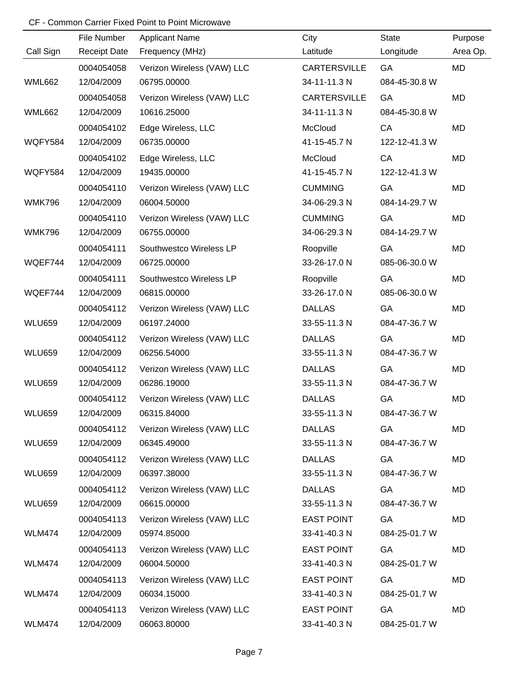|               | File Number         | <b>Applicant Name</b>      | City                | <b>State</b>  | Purpose   |
|---------------|---------------------|----------------------------|---------------------|---------------|-----------|
| Call Sign     | <b>Receipt Date</b> | Frequency (MHz)            | Latitude            | Longitude     | Area Op.  |
|               | 0004054058          | Verizon Wireless (VAW) LLC | <b>CARTERSVILLE</b> | GA            | <b>MD</b> |
| <b>WML662</b> | 12/04/2009          | 06795.00000                | 34-11-11.3 N        | 084-45-30.8 W |           |
|               | 0004054058          | Verizon Wireless (VAW) LLC | <b>CARTERSVILLE</b> | GA            | <b>MD</b> |
| <b>WML662</b> | 12/04/2009          | 10616.25000                | 34-11-11.3 N        | 084-45-30.8 W |           |
|               | 0004054102          | Edge Wireless, LLC         | McCloud             | CA            | MD        |
| WQFY584       | 12/04/2009          | 06735.00000                | 41-15-45.7 N        | 122-12-41.3 W |           |
|               | 0004054102          | Edge Wireless, LLC         | McCloud             | CA            | MD        |
| WQFY584       | 12/04/2009          | 19435.00000                | 41-15-45.7 N        | 122-12-41.3 W |           |
|               | 0004054110          | Verizon Wireless (VAW) LLC | <b>CUMMING</b>      | GA            | MD        |
| <b>WMK796</b> | 12/04/2009          | 06004.50000                | 34-06-29.3 N        | 084-14-29.7 W |           |
|               | 0004054110          | Verizon Wireless (VAW) LLC | <b>CUMMING</b>      | GA            | MD        |
| <b>WMK796</b> | 12/04/2009          | 06755.00000                | 34-06-29.3 N        | 084-14-29.7 W |           |
|               | 0004054111          | Southwestco Wireless LP    | Roopville           | GA            | <b>MD</b> |
| WQEF744       | 12/04/2009          | 06725.00000                | 33-26-17.0 N        | 085-06-30.0 W |           |
|               | 0004054111          | Southwestco Wireless LP    | Roopville           | GA            | MD        |
| WQEF744       | 12/04/2009          | 06815.00000                | 33-26-17.0 N        | 085-06-30.0 W |           |
|               | 0004054112          | Verizon Wireless (VAW) LLC | <b>DALLAS</b>       | GA            | MD        |
| <b>WLU659</b> | 12/04/2009          | 06197.24000                | 33-55-11.3 N        | 084-47-36.7 W |           |
|               | 0004054112          | Verizon Wireless (VAW) LLC | <b>DALLAS</b>       | GA            | MD        |
| <b>WLU659</b> | 12/04/2009          | 06256.54000                | 33-55-11.3 N        | 084-47-36.7 W |           |
|               | 0004054112          | Verizon Wireless (VAW) LLC | <b>DALLAS</b>       | GA            | MD        |
| <b>WLU659</b> | 12/04/2009          | 06286.19000                | 33-55-11.3 N        | 084-47-36.7 W |           |
|               | 0004054112          | Verizon Wireless (VAW) LLC | <b>DALLAS</b>       | GA            | MD        |
| <b>WLU659</b> | 12/04/2009          | 06315.84000                | 33-55-11.3 N        | 084-47-36.7 W |           |
|               | 0004054112          | Verizon Wireless (VAW) LLC | <b>DALLAS</b>       | GA            | MD        |
| <b>WLU659</b> | 12/04/2009          | 06345.49000                | 33-55-11.3 N        | 084-47-36.7 W |           |
|               | 0004054112          | Verizon Wireless (VAW) LLC | <b>DALLAS</b>       | GA            | MD        |
| <b>WLU659</b> | 12/04/2009          | 06397.38000                | 33-55-11.3 N        | 084-47-36.7 W |           |
|               | 0004054112          | Verizon Wireless (VAW) LLC | <b>DALLAS</b>       | GA            | MD        |
| <b>WLU659</b> | 12/04/2009          | 06615.00000                | 33-55-11.3 N        | 084-47-36.7 W |           |
|               | 0004054113          | Verizon Wireless (VAW) LLC | <b>EAST POINT</b>   | GA            | MD        |
| <b>WLM474</b> | 12/04/2009          | 05974.85000                | 33-41-40.3 N        | 084-25-01.7 W |           |
|               | 0004054113          | Verizon Wireless (VAW) LLC | <b>EAST POINT</b>   | GA            | MD        |
| <b>WLM474</b> | 12/04/2009          | 06004.50000                | 33-41-40.3 N        | 084-25-01.7 W |           |
|               | 0004054113          | Verizon Wireless (VAW) LLC | <b>EAST POINT</b>   | GA            | MD        |
| <b>WLM474</b> | 12/04/2009          | 06034.15000                | 33-41-40.3 N        | 084-25-01.7 W |           |
|               | 0004054113          | Verizon Wireless (VAW) LLC | <b>EAST POINT</b>   | GA            | MD        |
| <b>WLM474</b> | 12/04/2009          | 06063.80000                | 33-41-40.3 N        | 084-25-01.7 W |           |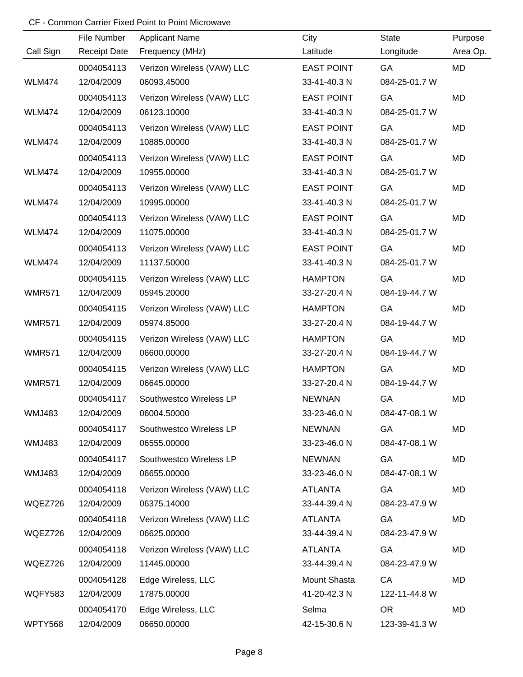|                | File Number         | <b>Applicant Name</b>      | City              | <b>State</b>  | Purpose   |
|----------------|---------------------|----------------------------|-------------------|---------------|-----------|
| Call Sign      | <b>Receipt Date</b> | Frequency (MHz)            | Latitude          | Longitude     | Area Op.  |
|                | 0004054113          | Verizon Wireless (VAW) LLC | <b>EAST POINT</b> | GA            | <b>MD</b> |
| <b>WLM474</b>  | 12/04/2009          | 06093.45000                | 33-41-40.3 N      | 084-25-01.7 W |           |
|                | 0004054113          | Verizon Wireless (VAW) LLC | <b>EAST POINT</b> | GA            | <b>MD</b> |
| <b>WLM474</b>  | 12/04/2009          | 06123.10000                | 33-41-40.3 N      | 084-25-01.7 W |           |
|                | 0004054113          | Verizon Wireless (VAW) LLC | <b>EAST POINT</b> | GA            | MD        |
| <b>WLM474</b>  | 12/04/2009          | 10885.00000                | 33-41-40.3 N      | 084-25-01.7 W |           |
|                | 0004054113          | Verizon Wireless (VAW) LLC | <b>EAST POINT</b> | GA            | <b>MD</b> |
| <b>WLM474</b>  | 12/04/2009          | 10955.00000                | 33-41-40.3 N      | 084-25-01.7 W |           |
|                | 0004054113          | Verizon Wireless (VAW) LLC | <b>EAST POINT</b> | GA            | MD        |
| <b>WLM474</b>  | 12/04/2009          | 10995.00000                | 33-41-40.3 N      | 084-25-01.7 W |           |
|                | 0004054113          | Verizon Wireless (VAW) LLC | <b>EAST POINT</b> | GA            | MD        |
| <b>WLM474</b>  | 12/04/2009          | 11075.00000                | 33-41-40.3 N      | 084-25-01.7 W |           |
|                | 0004054113          | Verizon Wireless (VAW) LLC | <b>EAST POINT</b> | GA            | MD        |
| <b>WLM474</b>  | 12/04/2009          | 11137.50000                | 33-41-40.3 N      | 084-25-01.7 W |           |
|                | 0004054115          | Verizon Wireless (VAW) LLC | <b>HAMPTON</b>    | GA            | MD        |
| <b>WMR571</b>  | 12/04/2009          | 05945.20000                | 33-27-20.4 N      | 084-19-44.7 W |           |
|                | 0004054115          | Verizon Wireless (VAW) LLC | <b>HAMPTON</b>    | GA            | MD        |
| <b>WMR571</b>  | 12/04/2009          | 05974.85000                | 33-27-20.4 N      | 084-19-44.7 W |           |
|                | 0004054115          | Verizon Wireless (VAW) LLC | <b>HAMPTON</b>    | GA            | MD        |
| <b>WMR571</b>  | 12/04/2009          | 06600.00000                | 33-27-20.4 N      | 084-19-44.7 W |           |
|                | 0004054115          | Verizon Wireless (VAW) LLC | <b>HAMPTON</b>    | GA            | MD        |
| <b>WMR571</b>  | 12/04/2009          | 06645.00000                | 33-27-20.4 N      | 084-19-44.7 W |           |
|                | 0004054117          | Southwestco Wireless LP    | <b>NEWNAN</b>     | GA            | MD        |
| <b>WMJ483</b>  | 12/04/2009          | 06004.50000                | 33-23-46.0 N      | 084-47-08.1 W |           |
|                | 0004054117          | Southwestco Wireless LP    | <b>NEWNAN</b>     | GA            | MD        |
| <b>WMJ483</b>  | 12/04/2009          | 06555.00000                | 33-23-46.0 N      | 084-47-08.1 W |           |
|                | 0004054117          | Southwestco Wireless LP    | <b>NEWNAN</b>     | GA            | MD        |
| <b>WMJ483</b>  | 12/04/2009          | 06655.00000                | 33-23-46.0 N      | 084-47-08.1 W |           |
|                | 0004054118          | Verizon Wireless (VAW) LLC | <b>ATLANTA</b>    | GA            | MD        |
| WQEZ726        | 12/04/2009          | 06375.14000                | 33-44-39.4 N      | 084-23-47.9 W |           |
|                | 0004054118          | Verizon Wireless (VAW) LLC | <b>ATLANTA</b>    | GA            | MD        |
| WQEZ726        | 12/04/2009          | 06625.00000                | 33-44-39.4 N      | 084-23-47.9 W |           |
|                | 0004054118          | Verizon Wireless (VAW) LLC | <b>ATLANTA</b>    | GA            | MD        |
| WQEZ726        | 12/04/2009          | 11445.00000                | 33-44-39.4 N      | 084-23-47.9 W |           |
|                | 0004054128          | Edge Wireless, LLC         | Mount Shasta      | CA            | MD        |
| <b>WQFY583</b> | 12/04/2009          | 17875.00000                | 41-20-42.3 N      | 122-11-44.8 W |           |
|                | 0004054170          | Edge Wireless, LLC         | Selma             | <b>OR</b>     | MD        |
| WPTY568        | 12/04/2009          | 06650.00000                | 42-15-30.6 N      | 123-39-41.3 W |           |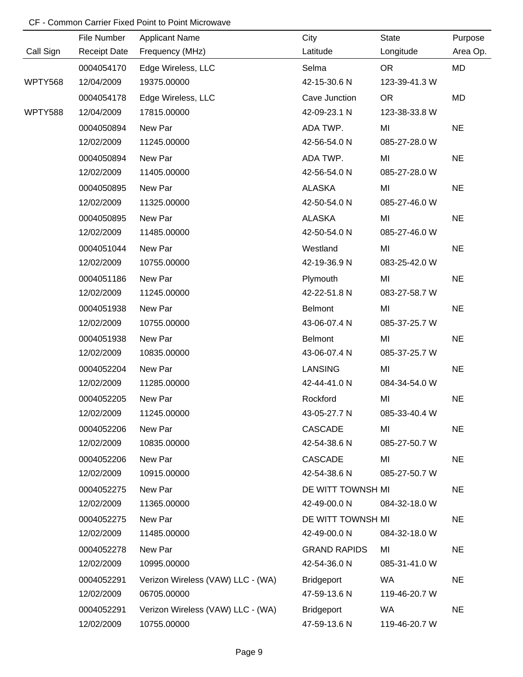|           | File Number         | <b>Applicant Name</b>             | City                | State         | Purpose   |
|-----------|---------------------|-----------------------------------|---------------------|---------------|-----------|
| Call Sign | <b>Receipt Date</b> | Frequency (MHz)                   | Latitude            | Longitude     | Area Op.  |
|           | 0004054170          | Edge Wireless, LLC                | Selma               | <b>OR</b>     | MD        |
| WPTY568   | 12/04/2009          | 19375.00000                       | 42-15-30.6 N        | 123-39-41.3 W |           |
|           | 0004054178          | Edge Wireless, LLC                | Cave Junction       | <b>OR</b>     | MD        |
| WPTY588   | 12/04/2009          | 17815.00000                       | 42-09-23.1 N        | 123-38-33.8 W |           |
|           | 0004050894          | New Par                           | ADA TWP.            | MI            | <b>NE</b> |
|           | 12/02/2009          | 11245.00000                       | 42-56-54.0 N        | 085-27-28.0 W |           |
|           | 0004050894          | New Par                           | ADA TWP.            | MI            | <b>NE</b> |
|           | 12/02/2009          | 11405.00000                       | 42-56-54.0 N        | 085-27-28.0 W |           |
|           | 0004050895          | New Par                           | <b>ALASKA</b>       | MI            | <b>NE</b> |
|           | 12/02/2009          | 11325.00000                       | 42-50-54.0 N        | 085-27-46.0 W |           |
|           | 0004050895          | New Par                           | <b>ALASKA</b>       | MI            | <b>NE</b> |
|           | 12/02/2009          | 11485.00000                       | 42-50-54.0 N        | 085-27-46.0 W |           |
|           | 0004051044          | New Par                           | Westland            | MI            | <b>NE</b> |
|           | 12/02/2009          | 10755.00000                       | 42-19-36.9 N        | 083-25-42.0 W |           |
|           | 0004051186          | New Par                           | Plymouth            | MI            | <b>NE</b> |
|           | 12/02/2009          | 11245.00000                       | 42-22-51.8 N        | 083-27-58.7 W |           |
|           | 0004051938          | New Par                           | <b>Belmont</b>      | MI            | <b>NE</b> |
|           | 12/02/2009          | 10755.00000                       | 43-06-07.4 N        | 085-37-25.7 W |           |
|           | 0004051938          | New Par                           | <b>Belmont</b>      | MI            | <b>NE</b> |
|           | 12/02/2009          | 10835.00000                       | 43-06-07.4 N        | 085-37-25.7 W |           |
|           | 0004052204          | New Par                           | <b>LANSING</b>      | MI            | <b>NE</b> |
|           | 12/02/2009          | 11285.00000                       | 42-44-41.0 N        | 084-34-54.0 W |           |
|           | 0004052205          | New Par                           | Rockford            | MI            | <b>NE</b> |
|           | 12/02/2009          | 11245.00000                       | 43-05-27.7 N        | 085-33-40.4 W |           |
|           | 0004052206          | New Par                           | <b>CASCADE</b>      | MI            | <b>NE</b> |
|           | 12/02/2009          | 10835.00000                       | 42-54-38.6 N        | 085-27-50.7 W |           |
|           | 0004052206          | New Par                           | <b>CASCADE</b>      | MI            | <b>NE</b> |
|           | 12/02/2009          | 10915.00000                       | 42-54-38.6 N        | 085-27-50.7 W |           |
|           | 0004052275          | New Par                           | DE WITT TOWNSH MI   |               | <b>NE</b> |
|           | 12/02/2009          | 11365.00000                       | 42-49-00.0 N        | 084-32-18.0 W |           |
|           | 0004052275          | New Par                           | DE WITT TOWNSH MI   |               | <b>NE</b> |
|           | 12/02/2009          | 11485.00000                       | 42-49-00.0 N        | 084-32-18.0 W |           |
|           | 0004052278          | New Par                           | <b>GRAND RAPIDS</b> | MI            | <b>NE</b> |
|           | 12/02/2009          | 10995.00000                       | 42-54-36.0 N        | 085-31-41.0 W |           |
|           | 0004052291          | Verizon Wireless (VAW) LLC - (WA) | <b>Bridgeport</b>   | <b>WA</b>     | <b>NE</b> |
|           | 12/02/2009          | 06705.00000                       | 47-59-13.6 N        | 119-46-20.7 W |           |
|           | 0004052291          | Verizon Wireless (VAW) LLC - (WA) | <b>Bridgeport</b>   | <b>WA</b>     | <b>NE</b> |
|           | 12/02/2009          | 10755.00000                       | 47-59-13.6 N        | 119-46-20.7 W |           |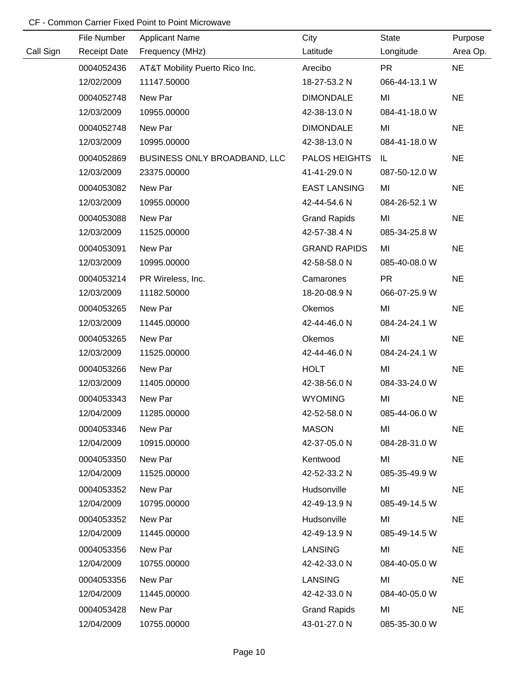|           | File Number         | <b>Applicant Name</b>          | City                 | <b>State</b>  | Purpose   |
|-----------|---------------------|--------------------------------|----------------------|---------------|-----------|
| Call Sign | <b>Receipt Date</b> | Frequency (MHz)                | Latitude             | Longitude     | Area Op.  |
|           | 0004052436          | AT&T Mobility Puerto Rico Inc. | Arecibo              | <b>PR</b>     | <b>NE</b> |
|           | 12/02/2009          | 11147.50000                    | 18-27-53.2 N         | 066-44-13.1 W |           |
|           | 0004052748          | New Par                        | <b>DIMONDALE</b>     | MI            | <b>NE</b> |
|           | 12/03/2009          | 10955.00000                    | 42-38-13.0 N         | 084-41-18.0 W |           |
|           | 0004052748          | New Par                        | <b>DIMONDALE</b>     | MI            | <b>NE</b> |
|           | 12/03/2009          | 10995.00000                    | 42-38-13.0 N         | 084-41-18.0 W |           |
|           | 0004052869          | BUSINESS ONLY BROADBAND, LLC   | <b>PALOS HEIGHTS</b> | IL            | <b>NE</b> |
|           | 12/03/2009          | 23375.00000                    | 41-41-29.0 N         | 087-50-12.0 W |           |
|           | 0004053082          | New Par                        | <b>EAST LANSING</b>  | MI            | <b>NE</b> |
|           | 12/03/2009          | 10955.00000                    | 42-44-54.6 N         | 084-26-52.1 W |           |
|           | 0004053088          | New Par                        | <b>Grand Rapids</b>  | MI            | <b>NE</b> |
|           | 12/03/2009          | 11525.00000                    | 42-57-38.4 N         | 085-34-25.8 W |           |
|           | 0004053091          | New Par                        | <b>GRAND RAPIDS</b>  | MI            | <b>NE</b> |
|           | 12/03/2009          | 10995.00000                    | 42-58-58.0 N         | 085-40-08.0 W |           |
|           | 0004053214          | PR Wireless, Inc.              | Camarones            | <b>PR</b>     | <b>NE</b> |
|           | 12/03/2009          | 11182.50000                    | 18-20-08.9 N         | 066-07-25.9 W |           |
|           | 0004053265          | New Par                        | Okemos               | MI            | <b>NE</b> |
|           | 12/03/2009          | 11445.00000                    | 42-44-46.0 N         | 084-24-24.1 W |           |
|           | 0004053265          | New Par                        | Okemos               | MI            | <b>NE</b> |
|           | 12/03/2009          | 11525.00000                    | 42-44-46.0 N         | 084-24-24.1 W |           |
|           | 0004053266          | New Par                        | <b>HOLT</b>          | MI            | <b>NE</b> |
|           | 12/03/2009          | 11405.00000                    | 42-38-56.0 N         | 084-33-24.0 W |           |
|           | 0004053343          | New Par                        | <b>WYOMING</b>       | MI            | <b>NE</b> |
|           | 12/04/2009          | 11285.00000                    | 42-52-58.0 N         | 085-44-06.0 W |           |
|           | 0004053346          | New Par                        | <b>MASON</b>         | MI            | <b>NE</b> |
|           | 12/04/2009          | 10915.00000                    | 42-37-05.0 N         | 084-28-31.0 W |           |
|           | 0004053350          | New Par                        | Kentwood             | MI            | <b>NE</b> |
|           | 12/04/2009          | 11525.00000                    | 42-52-33.2 N         | 085-35-49.9 W |           |
|           | 0004053352          | New Par                        | Hudsonville          | MI            | <b>NE</b> |
|           | 12/04/2009          | 10795.00000                    | 42-49-13.9 N         | 085-49-14.5 W |           |
|           | 0004053352          | New Par                        | Hudsonville          | MI            | <b>NE</b> |
|           | 12/04/2009          | 11445.00000                    | 42-49-13.9 N         | 085-49-14.5 W |           |
|           | 0004053356          | New Par                        | <b>LANSING</b>       | MI            | <b>NE</b> |
|           | 12/04/2009          | 10755.00000                    | 42-42-33.0 N         | 084-40-05.0 W |           |
|           | 0004053356          | New Par                        | <b>LANSING</b>       | MI            | <b>NE</b> |
|           | 12/04/2009          | 11445.00000                    | 42-42-33.0 N         | 084-40-05.0 W |           |
|           | 0004053428          | New Par                        | <b>Grand Rapids</b>  | MI            | <b>NE</b> |
|           | 12/04/2009          | 10755.00000                    | 43-01-27.0 N         | 085-35-30.0 W |           |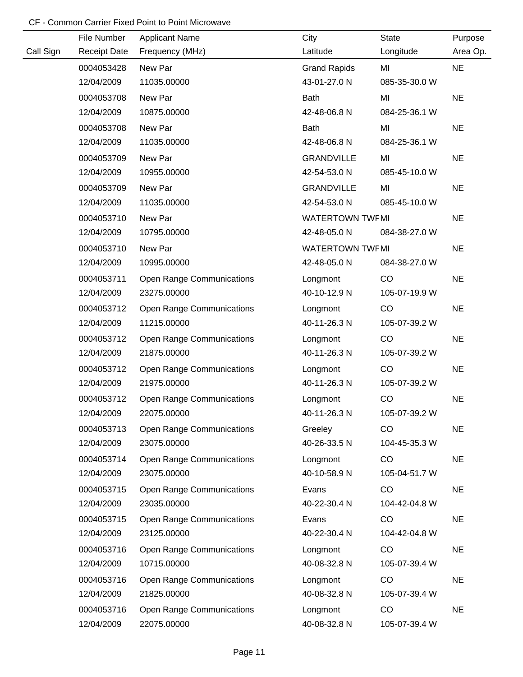|           | File Number         | <b>Applicant Name</b>            | City                    | <b>State</b>  | Purpose   |
|-----------|---------------------|----------------------------------|-------------------------|---------------|-----------|
| Call Sign | <b>Receipt Date</b> | Frequency (MHz)                  | Latitude                | Longitude     | Area Op.  |
|           | 0004053428          | New Par                          | <b>Grand Rapids</b>     | MI            | <b>NE</b> |
|           | 12/04/2009          | 11035.00000                      | 43-01-27.0 N            | 085-35-30.0 W |           |
|           | 0004053708          | New Par                          | Bath                    | MI            | <b>NE</b> |
|           | 12/04/2009          | 10875.00000                      | 42-48-06.8 N            | 084-25-36.1 W |           |
|           | 0004053708          | New Par                          | <b>Bath</b>             | MI            | <b>NE</b> |
|           | 12/04/2009          | 11035.00000                      | 42-48-06.8 N            | 084-25-36.1 W |           |
|           | 0004053709          | New Par                          | <b>GRANDVILLE</b>       | MI            | <b>NE</b> |
|           | 12/04/2009          | 10955.00000                      | 42-54-53.0 N            | 085-45-10.0 W |           |
|           | 0004053709          | New Par                          | <b>GRANDVILLE</b>       | MI            | <b>NE</b> |
|           | 12/04/2009          | 11035.00000                      | 42-54-53.0 N            | 085-45-10.0 W |           |
|           | 0004053710          | New Par                          | <b>WATERTOWN TWF MI</b> |               | <b>NE</b> |
|           | 12/04/2009          | 10795.00000                      | 42-48-05.0 N            | 084-38-27.0 W |           |
|           | 0004053710          | New Par                          | <b>WATERTOWN TWFMI</b>  |               | <b>NE</b> |
|           | 12/04/2009          | 10995.00000                      | 42-48-05.0 N            | 084-38-27.0 W |           |
|           | 0004053711          | <b>Open Range Communications</b> | Longmont                | CO            | <b>NE</b> |
|           | 12/04/2009          | 23275.00000                      | 40-10-12.9 N            | 105-07-19.9 W |           |
|           | 0004053712          | <b>Open Range Communications</b> | Longmont                | CO            | <b>NE</b> |
|           | 12/04/2009          | 11215.00000                      | 40-11-26.3 N            | 105-07-39.2 W |           |
|           | 0004053712          | <b>Open Range Communications</b> | Longmont                | CO            | <b>NE</b> |
|           | 12/04/2009          | 21875.00000                      | 40-11-26.3 N            | 105-07-39.2 W |           |
|           | 0004053712          | <b>Open Range Communications</b> | Longmont                | CO            | <b>NE</b> |
|           | 12/04/2009          | 21975.00000                      | 40-11-26.3 N            | 105-07-39.2 W |           |
|           | 0004053712          | <b>Open Range Communications</b> | Longmont                | CO            | <b>NE</b> |
|           | 12/04/2009          | 22075.00000                      | 40-11-26.3 N            | 105-07-39.2 W |           |
|           | 0004053713          | <b>Open Range Communications</b> | Greeley                 | CO            | <b>NE</b> |
|           | 12/04/2009          | 23075.00000                      | 40-26-33.5 N            | 104-45-35.3 W |           |
|           | 0004053714          | <b>Open Range Communications</b> | Longmont                | CO            | <b>NE</b> |
|           | 12/04/2009          | 23075.00000                      | 40-10-58.9 N            | 105-04-51.7 W |           |
|           | 0004053715          | <b>Open Range Communications</b> | Evans                   | CO            | <b>NE</b> |
|           | 12/04/2009          | 23035.00000                      | 40-22-30.4 N            | 104-42-04.8 W |           |
|           | 0004053715          | <b>Open Range Communications</b> | Evans                   | CO            | <b>NE</b> |
|           | 12/04/2009          | 23125.00000                      | 40-22-30.4 N            | 104-42-04.8 W |           |
|           | 0004053716          | <b>Open Range Communications</b> | Longmont                | CO            | <b>NE</b> |
|           | 12/04/2009          | 10715.00000                      | 40-08-32.8 N            | 105-07-39.4 W |           |
|           | 0004053716          | <b>Open Range Communications</b> | Longmont                | CO            | <b>NE</b> |
|           | 12/04/2009          | 21825.00000                      | 40-08-32.8 N            | 105-07-39.4 W |           |
|           | 0004053716          | <b>Open Range Communications</b> | Longmont                | CO            | <b>NE</b> |
|           | 12/04/2009          | 22075.00000                      | 40-08-32.8 N            | 105-07-39.4 W |           |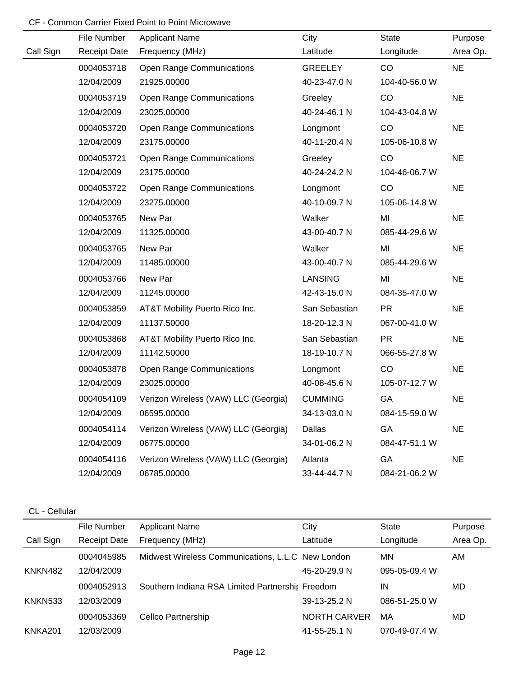|           | File Number         | <b>Applicant Name</b>                | City           | <b>State</b>  | Purpose   |
|-----------|---------------------|--------------------------------------|----------------|---------------|-----------|
| Call Sign | <b>Receipt Date</b> | Frequency (MHz)                      | Latitude       | Longitude     | Area Op.  |
|           | 0004053718          | <b>Open Range Communications</b>     | <b>GREELEY</b> | CO            | <b>NE</b> |
|           | 12/04/2009          | 21925.00000                          | 40-23-47.0 N   | 104-40-56.0 W |           |
|           | 0004053719          | <b>Open Range Communications</b>     | Greeley        | CO            | <b>NE</b> |
|           | 12/04/2009          | 23025.00000                          | 40-24-46.1 N   | 104-43-04.8 W |           |
|           | 0004053720          | <b>Open Range Communications</b>     | Longmont       | CO            | <b>NE</b> |
|           | 12/04/2009          | 23175.00000                          | 40-11-20.4 N   | 105-06-10.8 W |           |
|           | 0004053721          | <b>Open Range Communications</b>     | Greeley        | CO            | <b>NE</b> |
|           | 12/04/2009          | 23175.00000                          | 40-24-24.2 N   | 104-46-06.7 W |           |
|           | 0004053722          | <b>Open Range Communications</b>     | Longmont       | CO            | <b>NE</b> |
|           | 12/04/2009          | 23275.00000                          | 40-10-09.7 N   | 105-06-14.8 W |           |
|           | 0004053765          | New Par                              | Walker         | MI            | <b>NE</b> |
|           | 12/04/2009          | 11325.00000                          | 43-00-40.7 N   | 085-44-29.6 W |           |
|           | 0004053765          | New Par                              | Walker         | MI            | <b>NE</b> |
|           | 12/04/2009          | 11485.00000                          | 43-00-40.7 N   | 085-44-29.6 W |           |
|           | 0004053766          | New Par                              | <b>LANSING</b> | MI            | <b>NE</b> |
|           | 12/04/2009          | 11245.00000                          | 42-43-15.0 N   | 084-35-47.0 W |           |
|           | 0004053859          | AT&T Mobility Puerto Rico Inc.       | San Sebastian  | <b>PR</b>     | <b>NE</b> |
|           | 12/04/2009          | 11137.50000                          | 18-20-12.3 N   | 067-00-41.0 W |           |
|           | 0004053868          | AT&T Mobility Puerto Rico Inc.       | San Sebastian  | <b>PR</b>     | <b>NE</b> |
|           | 12/04/2009          | 11142.50000                          | 18-19-10.7 N   | 066-55-27.8 W |           |
|           | 0004053878          | <b>Open Range Communications</b>     | Longmont       | CO            | <b>NE</b> |
|           | 12/04/2009          | 23025.00000                          | 40-08-45.6 N   | 105-07-12.7 W |           |
|           | 0004054109          | Verizon Wireless (VAW) LLC (Georgia) | <b>CUMMING</b> | GA            | <b>NE</b> |
|           | 12/04/2009          | 06595.00000                          | 34-13-03.0 N   | 084-15-59.0 W |           |
|           | 0004054114          | Verizon Wireless (VAW) LLC (Georgia) | Dallas         | GA            | <b>NE</b> |
|           | 12/04/2009          | 06775.00000                          | 34-01-06.2 N   | 084-47-51.1 W |           |
|           | 0004054116          | Verizon Wireless (VAW) LLC (Georgia) | Atlanta        | GA            | <b>NE</b> |
|           | 12/04/2009          | 06785.00000                          | 33-44-44.7 N   | 084-21-06.2 W |           |

### CL - Cellular

|           | File Number         | <b>Applicant Name</b>                             | City                | <b>State</b>  | Purpose  |
|-----------|---------------------|---------------------------------------------------|---------------------|---------------|----------|
| Call Sign | <b>Receipt Date</b> | Frequency (MHz)                                   | Latitude            | Longitude     | Area Op. |
|           | 0004045985          | Midwest Wireless Communications, L.L.C New London |                     | MN            | AM.      |
| KNKN482   | 12/04/2009          |                                                   | 45-20-29.9 N        | 095-05-09.4 W |          |
|           | 0004052913          | Southern Indiana RSA Limited Partnershir Freedom  |                     | ΙN            | MD       |
| KNKN533   | 12/03/2009          |                                                   | 39-13-25.2 N        | 086-51-25.0 W |          |
|           | 0004053369          | Cellco Partnership                                | <b>NORTH CARVER</b> | МA            | MD       |
| KNKA201   | 12/03/2009          |                                                   | 41-55-25.1 N        | 070-49-07.4 W |          |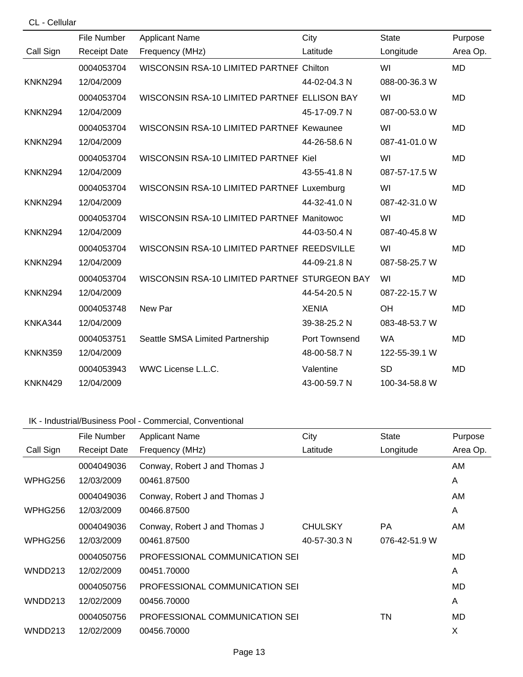| CL - Cellular  |                     |                                               |               |               |           |
|----------------|---------------------|-----------------------------------------------|---------------|---------------|-----------|
|                | File Number         | <b>Applicant Name</b>                         | City          | <b>State</b>  | Purpose   |
| Call Sign      | <b>Receipt Date</b> | Frequency (MHz)                               | Latitude      | Longitude     | Area Op.  |
|                | 0004053704          | WISCONSIN RSA-10 LIMITED PARTNEF Chilton      |               | WI            | <b>MD</b> |
| KNKN294        | 12/04/2009          |                                               | 44-02-04.3 N  | 088-00-36.3 W |           |
|                | 0004053704          | WISCONSIN RSA-10 LIMITED PARTNEF ELLISON BAY  |               | WI            | <b>MD</b> |
| <b>KNKN294</b> | 12/04/2009          |                                               | 45-17-09.7 N  | 087-00-53.0 W |           |
|                | 0004053704          | WISCONSIN RSA-10 LIMITED PARTNEF Kewaunee     |               | WI            | <b>MD</b> |
| <b>KNKN294</b> | 12/04/2009          |                                               | 44-26-58.6 N  | 087-41-01.0 W |           |
|                | 0004053704          | WISCONSIN RSA-10 LIMITED PARTNEF Kiel         |               | WI            | <b>MD</b> |
| <b>KNKN294</b> | 12/04/2009          |                                               | 43-55-41.8 N  | 087-57-17.5 W |           |
|                | 0004053704          | WISCONSIN RSA-10 LIMITED PARTNEF Luxemburg    |               | WI            | <b>MD</b> |
| KNKN294        | 12/04/2009          |                                               | 44-32-41.0 N  | 087-42-31.0 W |           |
|                | 0004053704          | WISCONSIN RSA-10 LIMITED PARTNEF Manitowoc    |               | WI            | <b>MD</b> |
| <b>KNKN294</b> | 12/04/2009          |                                               | 44-03-50.4 N  | 087-40-45.8 W |           |
|                | 0004053704          | WISCONSIN RSA-10 LIMITED PARTNEF REEDSVILLE   |               | WI            | <b>MD</b> |
| KNKN294        | 12/04/2009          |                                               | 44-09-21.8 N  | 087-58-25.7 W |           |
|                | 0004053704          | WISCONSIN RSA-10 LIMITED PARTNEF STURGEON BAY |               | WI            | <b>MD</b> |
| <b>KNKN294</b> | 12/04/2009          |                                               | 44-54-20.5 N  | 087-22-15.7 W |           |
|                | 0004053748          | New Par                                       | <b>XENIA</b>  | OH            | <b>MD</b> |
| KNKA344        | 12/04/2009          |                                               | 39-38-25.2 N  | 083-48-53.7 W |           |
|                | 0004053751          | Seattle SMSA Limited Partnership              | Port Townsend | <b>WA</b>     | <b>MD</b> |
| <b>KNKN359</b> | 12/04/2009          |                                               | 48-00-58.7 N  | 122-55-39.1 W |           |
|                | 0004053943          | WWC License L.L.C.                            | Valentine     | <b>SD</b>     | <b>MD</b> |
| KNKN429        | 12/04/2009          |                                               | 43-00-59.7 N  | 100-34-58.8 W |           |

## IK - Industrial/Business Pool - Commercial, Conventional

|           | File Number         | <b>Applicant Name</b>          | City           | <b>State</b>  | Purpose  |
|-----------|---------------------|--------------------------------|----------------|---------------|----------|
| Call Sign | <b>Receipt Date</b> | Frequency (MHz)                | Latitude       | Longitude     | Area Op. |
|           | 0004049036          | Conway, Robert J and Thomas J  |                |               | AM       |
| WPHG256   | 12/03/2009          | 00461.87500                    |                |               | A        |
|           | 0004049036          | Conway, Robert J and Thomas J  |                |               | AM.      |
| WPHG256   | 12/03/2009          | 00466.87500                    |                |               | A        |
|           | 0004049036          | Conway, Robert J and Thomas J  | <b>CHULSKY</b> | <b>PA</b>     | AM.      |
| WPHG256   | 12/03/2009          | 00461.87500                    | 40-57-30.3 N   | 076-42-51.9 W |          |
|           | 0004050756          | PROFESSIONAL COMMUNICATION SEI |                |               | MD       |
| WNDD213   | 12/02/2009          | 00451.70000                    |                |               | A        |
|           | 0004050756          | PROFESSIONAL COMMUNICATION SEI |                |               | MD       |
| WNDD213   | 12/02/2009          | 00456.70000                    |                |               | A        |
|           | 0004050756          | PROFESSIONAL COMMUNICATION SEI |                | ΤN            | MD       |
| WNDD213   | 12/02/2009          | 00456.70000                    |                |               | X        |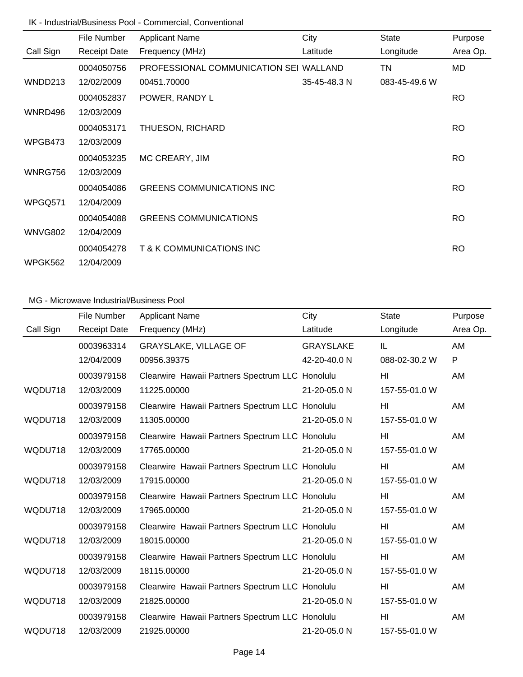## IK - Industrial/Business Pool - Commercial, Conventional

|                | File Number         | <b>Applicant Name</b>                  | City         | <b>State</b>  | Purpose   |
|----------------|---------------------|----------------------------------------|--------------|---------------|-----------|
| Call Sign      | <b>Receipt Date</b> | Frequency (MHz)                        | Latitude     | Longitude     | Area Op.  |
|                | 0004050756          | PROFESSIONAL COMMUNICATION SEI WALLAND |              | TN            | MD        |
| WNDD213        | 12/02/2009          | 00451.70000                            | 35-45-48.3 N | 083-45-49.6 W |           |
|                | 0004052837          | POWER, RANDY L                         |              |               | <b>RO</b> |
| WNRD496        | 12/03/2009          |                                        |              |               |           |
|                | 0004053171          | THUESON, RICHARD                       |              |               | <b>RO</b> |
| WPGB473        | 12/03/2009          |                                        |              |               |           |
|                | 0004053235          | MC CREARY, JIM                         |              |               | <b>RO</b> |
| WNRG756        | 12/03/2009          |                                        |              |               |           |
|                | 0004054086          | <b>GREENS COMMUNICATIONS INC</b>       |              |               | <b>RO</b> |
| WPGQ571        | 12/04/2009          |                                        |              |               |           |
|                | 0004054088          | <b>GREENS COMMUNICATIONS</b>           |              |               | <b>RO</b> |
| <b>WNVG802</b> | 12/04/2009          |                                        |              |               |           |
|                | 0004054278          | T & K COMMUNICATIONS INC               |              |               | <b>RO</b> |
| WPGK562        | 12/04/2009          |                                        |              |               |           |

|           | File Number         | <b>Applicant Name</b>                           | City             | <b>State</b>   | Purpose      |
|-----------|---------------------|-------------------------------------------------|------------------|----------------|--------------|
| Call Sign | <b>Receipt Date</b> | Frequency (MHz)                                 | Latitude         | Longitude      | Area Op.     |
|           | 0003963314          | <b>GRAYSLAKE, VILLAGE OF</b>                    | <b>GRAYSLAKE</b> | IL             | AM           |
|           | 12/04/2009          | 00956.39375                                     | 42-20-40.0 N     | 088-02-30.2 W  | $\mathsf{P}$ |
|           | 0003979158          | Clearwire Hawaii Partners Spectrum LLC Honolulu |                  | HI             | AM           |
| WQDU718   | 12/03/2009          | 11225.00000                                     | 21-20-05.0 N     | 157-55-01.0 W  |              |
|           | 0003979158          | Clearwire Hawaii Partners Spectrum LLC Honolulu |                  | HI             | AM           |
| WQDU718   | 12/03/2009          | 11305.00000                                     | 21-20-05.0 N     | 157-55-01.0 W  |              |
|           | 0003979158          | Clearwire Hawaii Partners Spectrum LLC Honolulu |                  | HI             | AM           |
| WQDU718   | 12/03/2009          | 17765.00000                                     | 21-20-05.0 N     | 157-55-01.0 W  |              |
|           | 0003979158          | Clearwire Hawaii Partners Spectrum LLC Honolulu |                  | HI             | AM           |
| WQDU718   | 12/03/2009          | 17915.00000                                     | 21-20-05.0 N     | 157-55-01.0 W  |              |
|           | 0003979158          | Clearwire Hawaii Partners Spectrum LLC Honolulu |                  | H <sub>l</sub> | AM           |
| WQDU718   | 12/03/2009          | 17965.00000                                     | 21-20-05.0 N     | 157-55-01.0 W  |              |
|           | 0003979158          | Clearwire Hawaii Partners Spectrum LLC Honolulu |                  | HI             | AM           |
| WQDU718   | 12/03/2009          | 18015.00000                                     | 21-20-05.0 N     | 157-55-01.0 W  |              |
|           | 0003979158          | Clearwire Hawaii Partners Spectrum LLC Honolulu |                  | HI             | AM           |
| WQDU718   | 12/03/2009          | 18115.00000                                     | 21-20-05.0 N     | 157-55-01.0 W  |              |
|           | 0003979158          | Clearwire Hawaii Partners Spectrum LLC Honolulu |                  | HI             | AM           |
| WQDU718   | 12/03/2009          | 21825.00000                                     | 21-20-05.0 N     | 157-55-01.0 W  |              |
|           | 0003979158          | Clearwire Hawaii Partners Spectrum LLC Honolulu |                  | HI             | AM           |
| WQDU718   | 12/03/2009          | 21925.00000                                     | 21-20-05.0 N     | 157-55-01.0 W  |              |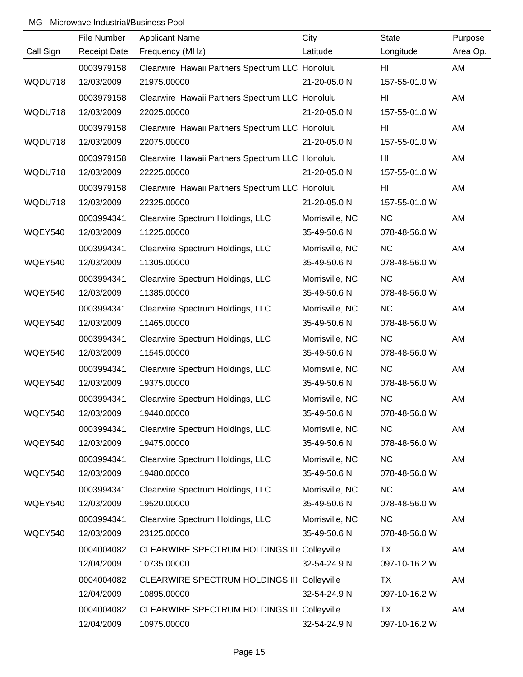|           | File Number         | <b>Applicant Name</b>                              | City            | <b>State</b>   | Purpose  |
|-----------|---------------------|----------------------------------------------------|-----------------|----------------|----------|
| Call Sign | <b>Receipt Date</b> | Frequency (MHz)                                    | Latitude        | Longitude      | Area Op. |
|           | 0003979158          | Clearwire Hawaii Partners Spectrum LLC Honolulu    |                 | HI             | AM       |
| WQDU718   | 12/03/2009          | 21975.00000                                        | 21-20-05.0 N    | 157-55-01.0 W  |          |
|           | 0003979158          | Clearwire Hawaii Partners Spectrum LLC Honolulu    |                 | H <sub>l</sub> | AM       |
| WQDU718   | 12/03/2009          | 22025.00000                                        | 21-20-05.0 N    | 157-55-01.0 W  |          |
|           | 0003979158          | Clearwire Hawaii Partners Spectrum LLC Honolulu    |                 | HI             | AM       |
| WQDU718   | 12/03/2009          | 22075.00000                                        | 21-20-05.0 N    | 157-55-01.0 W  |          |
|           | 0003979158          | Clearwire Hawaii Partners Spectrum LLC Honolulu    |                 | HI             | AM       |
| WQDU718   | 12/03/2009          | 22225.00000                                        | 21-20-05.0 N    | 157-55-01.0 W  |          |
|           | 0003979158          | Clearwire Hawaii Partners Spectrum LLC Honolulu    |                 | HI             | AM       |
| WQDU718   | 12/03/2009          | 22325.00000                                        | 21-20-05.0 N    | 157-55-01.0 W  |          |
|           | 0003994341          | Clearwire Spectrum Holdings, LLC                   | Morrisville, NC | <b>NC</b>      | AM       |
| WQEY540   | 12/03/2009          | 11225.00000                                        | 35-49-50.6 N    | 078-48-56.0 W  |          |
|           | 0003994341          | Clearwire Spectrum Holdings, LLC                   | Morrisville, NC | <b>NC</b>      | AM       |
| WQEY540   | 12/03/2009          | 11305.00000                                        | 35-49-50.6 N    | 078-48-56.0 W  |          |
|           | 0003994341          | Clearwire Spectrum Holdings, LLC                   | Morrisville, NC | <b>NC</b>      | AM       |
| WQEY540   | 12/03/2009          | 11385.00000                                        | 35-49-50.6 N    | 078-48-56.0 W  |          |
|           | 0003994341          | Clearwire Spectrum Holdings, LLC                   | Morrisville, NC | <b>NC</b>      | AM       |
| WQEY540   | 12/03/2009          | 11465.00000                                        | 35-49-50.6 N    | 078-48-56.0 W  |          |
|           | 0003994341          | Clearwire Spectrum Holdings, LLC                   | Morrisville, NC | <b>NC</b>      | AM       |
| WQEY540   | 12/03/2009          | 11545.00000                                        | 35-49-50.6 N    | 078-48-56.0 W  |          |
|           | 0003994341          | Clearwire Spectrum Holdings, LLC                   | Morrisville, NC | <b>NC</b>      | AM       |
| WQEY540   | 12/03/2009          | 19375.00000                                        | 35-49-50.6 N    | 078-48-56.0 W  |          |
|           | 0003994341          | Clearwire Spectrum Holdings, LLC                   | Morrisville, NC | <b>NC</b>      | AM       |
| WQEY540   | 12/03/2009          | 19440.00000                                        | 35-49-50.6 N    | 078-48-56.0 W  |          |
|           | 0003994341          | Clearwire Spectrum Holdings, LLC                   | Morrisville, NC | <b>NC</b>      | AM       |
| WQEY540   | 12/03/2009          | 19475.00000                                        | 35-49-50.6 N    | 078-48-56.0 W  |          |
|           | 0003994341          | Clearwire Spectrum Holdings, LLC                   | Morrisville, NC | <b>NC</b>      | AM       |
| WQEY540   | 12/03/2009          | 19480.00000                                        | 35-49-50.6 N    | 078-48-56.0 W  |          |
|           | 0003994341          | Clearwire Spectrum Holdings, LLC                   | Morrisville, NC | <b>NC</b>      | AM       |
| WQEY540   | 12/03/2009          | 19520.00000                                        | 35-49-50.6 N    | 078-48-56.0 W  |          |
|           | 0003994341          | Clearwire Spectrum Holdings, LLC                   | Morrisville, NC | <b>NC</b>      | AM       |
| WQEY540   | 12/03/2009          | 23125.00000                                        | 35-49-50.6 N    | 078-48-56.0 W  |          |
|           | 0004004082          | <b>CLEARWIRE SPECTRUM HOLDINGS III Colleyville</b> |                 | TX             | AM       |
|           | 12/04/2009          | 10735.00000                                        | 32-54-24.9 N    | 097-10-16.2 W  |          |
|           | 0004004082          | <b>CLEARWIRE SPECTRUM HOLDINGS III Colleyville</b> |                 | TX             | AM       |
|           | 12/04/2009          | 10895.00000                                        | 32-54-24.9 N    | 097-10-16.2 W  |          |
|           | 0004004082          | <b>CLEARWIRE SPECTRUM HOLDINGS III Colleyville</b> |                 | <b>TX</b>      | AM       |
|           | 12/04/2009          | 10975.00000                                        | 32-54-24.9 N    | 097-10-16.2 W  |          |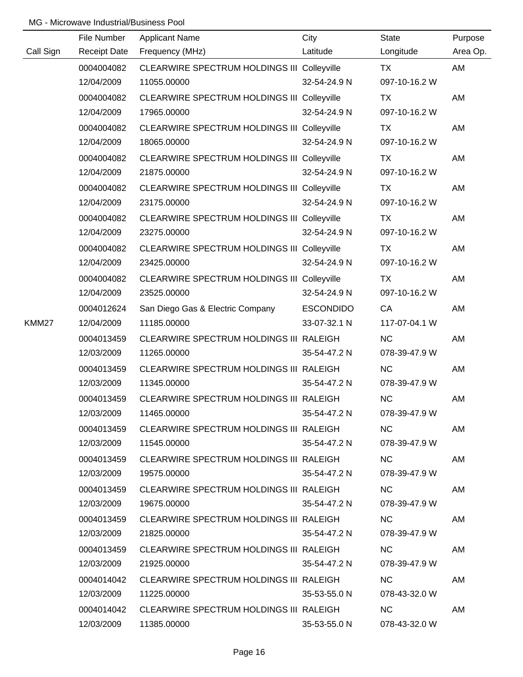|           | File Number         | <b>Applicant Name</b>                              | City             | <b>State</b>  | Purpose  |
|-----------|---------------------|----------------------------------------------------|------------------|---------------|----------|
| Call Sign | <b>Receipt Date</b> | Frequency (MHz)                                    | Latitude         | Longitude     | Area Op. |
|           | 0004004082          | <b>CLEARWIRE SPECTRUM HOLDINGS III Colleyville</b> |                  | TX            | AM       |
|           | 12/04/2009          | 11055.00000                                        | 32-54-24.9 N     | 097-10-16.2 W |          |
|           | 0004004082          | <b>CLEARWIRE SPECTRUM HOLDINGS III Colleyville</b> |                  | TX            | AM       |
|           | 12/04/2009          | 17965.00000                                        | 32-54-24.9 N     | 097-10-16.2 W |          |
|           | 0004004082          | <b>CLEARWIRE SPECTRUM HOLDINGS III Colleyville</b> |                  | <b>TX</b>     | AM       |
|           | 12/04/2009          | 18065.00000                                        | 32-54-24.9 N     | 097-10-16.2 W |          |
|           | 0004004082          | CLEARWIRE SPECTRUM HOLDINGS III Colleyville        |                  | <b>TX</b>     | AM       |
|           | 12/04/2009          | 21875.00000                                        | 32-54-24.9 N     | 097-10-16.2 W |          |
|           | 0004004082          | <b>CLEARWIRE SPECTRUM HOLDINGS III Colleyville</b> |                  | <b>TX</b>     | AM       |
|           | 12/04/2009          | 23175.00000                                        | 32-54-24.9 N     | 097-10-16.2 W |          |
|           | 0004004082          | CLEARWIRE SPECTRUM HOLDINGS III Colleyville        |                  | <b>TX</b>     | AM       |
|           | 12/04/2009          | 23275.00000                                        | 32-54-24.9 N     | 097-10-16.2 W |          |
|           | 0004004082          | <b>CLEARWIRE SPECTRUM HOLDINGS III Colleyville</b> |                  | <b>TX</b>     | AM       |
|           | 12/04/2009          | 23425.00000                                        | 32-54-24.9 N     | 097-10-16.2 W |          |
|           | 0004004082          | CLEARWIRE SPECTRUM HOLDINGS III Colleyville        |                  | <b>TX</b>     | AM       |
|           | 12/04/2009          | 23525.00000                                        | 32-54-24.9 N     | 097-10-16.2 W |          |
|           | 0004012624          | San Diego Gas & Electric Company                   | <b>ESCONDIDO</b> | CA            | AM       |
| KMM27     | 12/04/2009          | 11185.00000                                        | 33-07-32.1 N     | 117-07-04.1 W |          |
|           | 0004013459          | CLEARWIRE SPECTRUM HOLDINGS III RALEIGH            |                  | <b>NC</b>     | AM       |
|           | 12/03/2009          | 11265.00000                                        | 35-54-47.2 N     | 078-39-47.9 W |          |
|           | 0004013459          | CLEARWIRE SPECTRUM HOLDINGS III RALEIGH            |                  | <b>NC</b>     | AM       |
|           | 12/03/2009          | 11345.00000                                        | 35-54-47.2 N     | 078-39-47.9 W |          |
|           | 0004013459          | CLEARWIRE SPECTRUM HOLDINGS III RALEIGH            |                  | <b>NC</b>     | AM       |
|           | 12/03/2009          | 11465.00000                                        | 35-54-47.2 N     | 078-39-47.9 W |          |
|           | 0004013459          | CLEARWIRE SPECTRUM HOLDINGS III RALEIGH            |                  | NC.           | AM       |
|           | 12/03/2009          | 11545.00000                                        | 35-54-47.2 N     | 078-39-47.9 W |          |
|           | 0004013459          | CLEARWIRE SPECTRUM HOLDINGS III RALEIGH            |                  | NC.           | AM       |
|           | 12/03/2009          | 19575.00000                                        | 35-54-47.2 N     | 078-39-47.9 W |          |
|           | 0004013459          | CLEARWIRE SPECTRUM HOLDINGS III RALEIGH            |                  | NC .          | AM       |
|           | 12/03/2009          | 19675.00000                                        | 35-54-47.2 N     | 078-39-47.9 W |          |
|           | 0004013459          | CLEARWIRE SPECTRUM HOLDINGS III RALEIGH            |                  | NC.           | AM       |
|           | 12/03/2009          | 21825.00000                                        | 35-54-47.2 N     | 078-39-47.9 W |          |
|           | 0004013459          | CLEARWIRE SPECTRUM HOLDINGS III RALEIGH            |                  | NC.           | AM       |
|           | 12/03/2009          | 21925.00000                                        | 35-54-47.2 N     | 078-39-47.9 W |          |
|           | 0004014042          | CLEARWIRE SPECTRUM HOLDINGS III RALEIGH            |                  | NC.           | AM       |
|           | 12/03/2009          | 11225.00000                                        | 35-53-55.0 N     | 078-43-32.0 W |          |
|           | 0004014042          | CLEARWIRE SPECTRUM HOLDINGS III RALEIGH            |                  | <b>NC</b>     | AM       |
|           | 12/03/2009          | 11385.00000                                        | 35-53-55.0 N     | 078-43-32.0 W |          |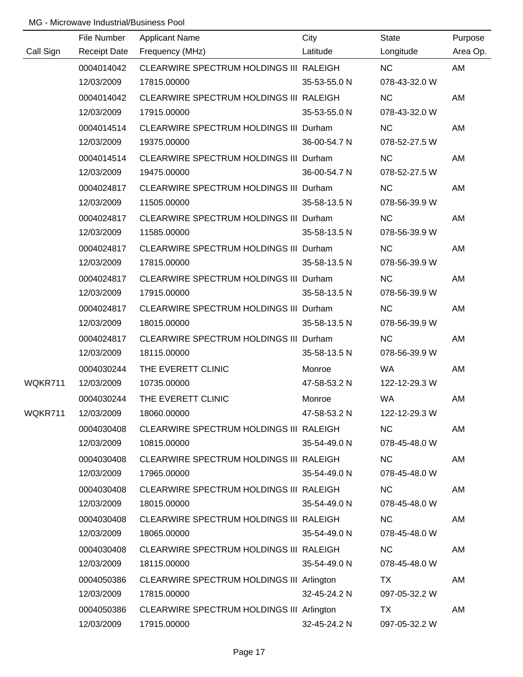|           | File Number         | <b>Applicant Name</b>                     | City         | <b>State</b>  | Purpose  |
|-----------|---------------------|-------------------------------------------|--------------|---------------|----------|
| Call Sign | <b>Receipt Date</b> | Frequency (MHz)                           | Latitude     | Longitude     | Area Op. |
|           | 0004014042          | CLEARWIRE SPECTRUM HOLDINGS III RALEIGH   |              | <b>NC</b>     | AM       |
|           | 12/03/2009          | 17815.00000                               | 35-53-55.0 N | 078-43-32.0 W |          |
|           | 0004014042          | CLEARWIRE SPECTRUM HOLDINGS III RALEIGH   |              | <b>NC</b>     | AM       |
|           | 12/03/2009          | 17915.00000                               | 35-53-55.0 N | 078-43-32.0 W |          |
|           | 0004014514          | CLEARWIRE SPECTRUM HOLDINGS III Durham    |              | <b>NC</b>     | AM       |
|           | 12/03/2009          | 19375.00000                               | 36-00-54.7 N | 078-52-27.5 W |          |
|           | 0004014514          | CLEARWIRE SPECTRUM HOLDINGS III Durham    |              | <b>NC</b>     | AM       |
|           | 12/03/2009          | 19475.00000                               | 36-00-54.7 N | 078-52-27.5 W |          |
|           | 0004024817          | CLEARWIRE SPECTRUM HOLDINGS III Durham    |              | <b>NC</b>     | AM       |
|           | 12/03/2009          | 11505.00000                               | 35-58-13.5 N | 078-56-39.9 W |          |
|           | 0004024817          | CLEARWIRE SPECTRUM HOLDINGS III Durham    |              | <b>NC</b>     | AM       |
|           | 12/03/2009          | 11585.00000                               | 35-58-13.5 N | 078-56-39.9 W |          |
|           | 0004024817          | CLEARWIRE SPECTRUM HOLDINGS III Durham    |              | <b>NC</b>     | AM       |
|           | 12/03/2009          | 17815.00000                               | 35-58-13.5 N | 078-56-39.9 W |          |
|           | 0004024817          | CLEARWIRE SPECTRUM HOLDINGS III Durham    |              | <b>NC</b>     | AM       |
|           | 12/03/2009          | 17915.00000                               | 35-58-13.5 N | 078-56-39.9 W |          |
|           | 0004024817          | CLEARWIRE SPECTRUM HOLDINGS III Durham    |              | <b>NC</b>     | AM       |
|           | 12/03/2009          | 18015.00000                               | 35-58-13.5 N | 078-56-39.9 W |          |
|           | 0004024817          | CLEARWIRE SPECTRUM HOLDINGS III Durham    |              | <b>NC</b>     | AM       |
|           | 12/03/2009          | 18115.00000                               | 35-58-13.5 N | 078-56-39.9 W |          |
|           | 0004030244          | THE EVERETT CLINIC                        | Monroe       | <b>WA</b>     | AM       |
| WQKR711   | 12/03/2009          | 10735.00000                               | 47-58-53.2 N | 122-12-29.3 W |          |
|           | 0004030244          | THE EVERETT CLINIC                        | Monroe       | WA            | AM       |
| WQKR711   | 12/03/2009          | 18060.00000                               | 47-58-53.2 N | 122-12-29.3 W |          |
|           | 0004030408          | CLEARWIRE SPECTRUM HOLDINGS III RALEIGH   |              | <b>NC</b>     | AM       |
|           | 12/03/2009          | 10815.00000                               | 35-54-49.0 N | 078-45-48.0 W |          |
|           | 0004030408          | CLEARWIRE SPECTRUM HOLDINGS III RALEIGH   |              | <b>NC</b>     | AM       |
|           | 12/03/2009          | 17965.00000                               | 35-54-49.0 N | 078-45-48.0 W |          |
|           | 0004030408          | CLEARWIRE SPECTRUM HOLDINGS III RALEIGH   |              | <b>NC</b>     | AM       |
|           | 12/03/2009          | 18015.00000                               | 35-54-49.0 N | 078-45-48.0 W |          |
|           | 0004030408          | CLEARWIRE SPECTRUM HOLDINGS III RALEIGH   |              | <b>NC</b>     | AM       |
|           | 12/03/2009          | 18065.00000                               | 35-54-49.0 N | 078-45-48.0 W |          |
|           | 0004030408          | CLEARWIRE SPECTRUM HOLDINGS III RALEIGH   |              | <b>NC</b>     | AM       |
|           | 12/03/2009          | 18115.00000                               | 35-54-49.0 N | 078-45-48.0 W |          |
|           | 0004050386          | CLEARWIRE SPECTRUM HOLDINGS III Arlington |              | TX            | AM       |
|           | 12/03/2009          | 17815.00000                               | 32-45-24.2 N | 097-05-32.2 W |          |
|           | 0004050386          | CLEARWIRE SPECTRUM HOLDINGS III Arlington |              | <b>TX</b>     | AM       |
|           | 12/03/2009          | 17915.00000                               | 32-45-24.2 N | 097-05-32.2 W |          |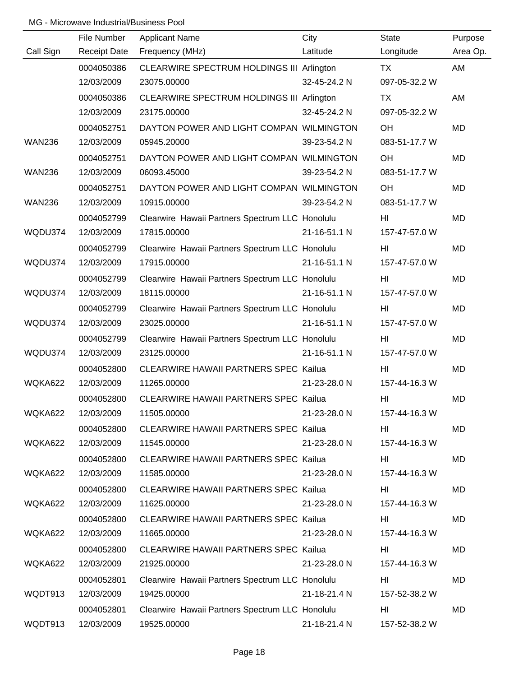|               | File Number         | <b>Applicant Name</b>                           | City         | <b>State</b>    | Purpose   |
|---------------|---------------------|-------------------------------------------------|--------------|-----------------|-----------|
| Call Sign     | <b>Receipt Date</b> | Frequency (MHz)                                 | Latitude     | Longitude       | Area Op.  |
|               | 0004050386          | CLEARWIRE SPECTRUM HOLDINGS III Arlington       |              | TX              | AM        |
|               | 12/03/2009          | 23075.00000                                     | 32-45-24.2 N | 097-05-32.2 W   |           |
|               | 0004050386          | CLEARWIRE SPECTRUM HOLDINGS III Arlington       |              | TX              | AM        |
|               | 12/03/2009          | 23175.00000                                     | 32-45-24.2 N | 097-05-32.2 W   |           |
|               | 0004052751          | DAYTON POWER AND LIGHT COMPAN WILMINGTON        |              | OH              | <b>MD</b> |
| <b>WAN236</b> | 12/03/2009          | 05945.20000                                     | 39-23-54.2 N | 083-51-17.7 W   |           |
|               | 0004052751          | DAYTON POWER AND LIGHT COMPAN WILMINGTON        |              | OH              | <b>MD</b> |
| <b>WAN236</b> | 12/03/2009          | 06093.45000                                     | 39-23-54.2 N | 083-51-17.7 W   |           |
|               | 0004052751          | DAYTON POWER AND LIGHT COMPAN WILMINGTON        |              | OH              | MD        |
| <b>WAN236</b> | 12/03/2009          | 10915.00000                                     | 39-23-54.2 N | 083-51-17.7 W   |           |
|               | 0004052799          | Clearwire Hawaii Partners Spectrum LLC Honolulu |              | HI              | <b>MD</b> |
| WQDU374       | 12/03/2009          | 17815.00000                                     | 21-16-51.1 N | 157-47-57.0 W   |           |
|               | 0004052799          | Clearwire Hawaii Partners Spectrum LLC Honolulu |              | HI              | MD        |
| WQDU374       | 12/03/2009          | 17915.00000                                     | 21-16-51.1 N | 157-47-57.0 W   |           |
|               | 0004052799          | Clearwire Hawaii Partners Spectrum LLC Honolulu |              | HI              | MD        |
| WQDU374       | 12/03/2009          | 18115.00000                                     | 21-16-51.1 N | 157-47-57.0 W   |           |
|               | 0004052799          | Clearwire Hawaii Partners Spectrum LLC Honolulu |              | HI              | MD        |
| WQDU374       | 12/03/2009          | 23025.00000                                     | 21-16-51.1 N | 157-47-57.0 W   |           |
|               | 0004052799          | Clearwire Hawaii Partners Spectrum LLC Honolulu |              | HI              | <b>MD</b> |
| WQDU374       | 12/03/2009          | 23125.00000                                     | 21-16-51.1 N | 157-47-57.0 W   |           |
|               | 0004052800          | <b>CLEARWIRE HAWAII PARTNERS SPEC Kailua</b>    |              | H <sub>II</sub> | MD        |
| WQKA622       | 12/03/2009          | 11265.00000                                     | 21-23-28.0 N | 157-44-16.3 W   |           |
|               | 0004052800          | <b>CLEARWIRE HAWAII PARTNERS SPEC Kailua</b>    |              | H <sub>II</sub> | MD        |
| WQKA622       | 12/03/2009          | 11505.00000                                     | 21-23-28.0 N | 157-44-16.3 W   |           |
|               | 0004052800          | CLEARWIRE HAWAII PARTNERS SPEC Kailua           |              | HI              | MD        |
| WQKA622       | 12/03/2009          | 11545.00000                                     | 21-23-28.0 N | 157-44-16.3 W   |           |
|               | 0004052800          | CLEARWIRE HAWAII PARTNERS SPEC Kailua           |              | HI              | MD        |
| WQKA622       | 12/03/2009          | 11585.00000                                     | 21-23-28.0 N | 157-44-16.3 W   |           |
|               | 0004052800          | CLEARWIRE HAWAII PARTNERS SPEC Kailua           |              | HI              | MD        |
| WQKA622       | 12/03/2009          | 11625.00000                                     | 21-23-28.0 N | 157-44-16.3 W   |           |
|               | 0004052800          | <b>CLEARWIRE HAWAII PARTNERS SPEC Kailua</b>    |              | HI              | MD        |
| WQKA622       | 12/03/2009          | 11665.00000                                     | 21-23-28.0 N | 157-44-16.3 W   |           |
|               | 0004052800          | <b>CLEARWIRE HAWAII PARTNERS SPEC Kailua</b>    |              | HI              | MD        |
| WQKA622       | 12/03/2009          | 21925.00000                                     | 21-23-28.0 N | 157-44-16.3 W   |           |
|               | 0004052801          | Clearwire Hawaii Partners Spectrum LLC Honolulu |              | HI              | MD        |
| WQDT913       | 12/03/2009          | 19425.00000                                     | 21-18-21.4 N | 157-52-38.2 W   |           |
|               | 0004052801          | Clearwire Hawaii Partners Spectrum LLC Honolulu |              | HI              | MD        |
| WQDT913       | 12/03/2009          | 19525.00000                                     | 21-18-21.4 N | 157-52-38.2 W   |           |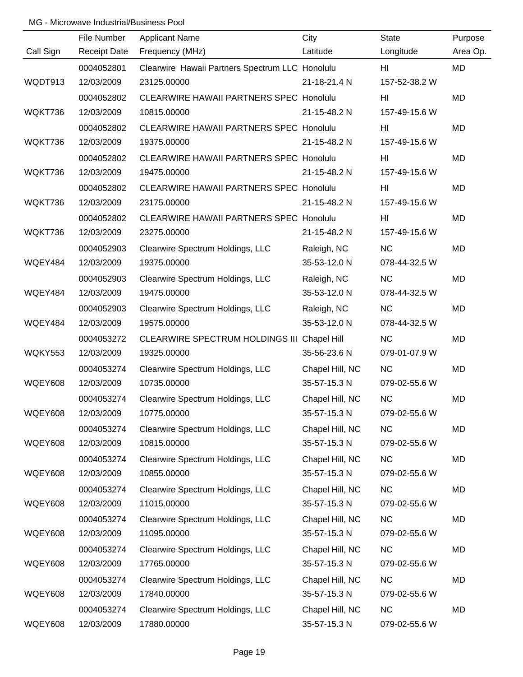|                | File Number         | <b>Applicant Name</b>                           | City            | <b>State</b>  | Purpose   |
|----------------|---------------------|-------------------------------------------------|-----------------|---------------|-----------|
| Call Sign      | <b>Receipt Date</b> | Frequency (MHz)                                 | Latitude        | Longitude     | Area Op.  |
|                | 0004052801          | Clearwire Hawaii Partners Spectrum LLC Honolulu |                 | HI            | <b>MD</b> |
| WQDT913        | 12/03/2009          | 23125.00000                                     | 21-18-21.4 N    | 157-52-38.2 W |           |
|                | 0004052802          | <b>CLEARWIRE HAWAII PARTNERS SPEC Honolulu</b>  |                 | HI            | <b>MD</b> |
| WQKT736        | 12/03/2009          | 10815.00000                                     | 21-15-48.2 N    | 157-49-15.6 W |           |
|                | 0004052802          | <b>CLEARWIRE HAWAII PARTNERS SPEC Honolulu</b>  |                 | HI            | <b>MD</b> |
| WQKT736        | 12/03/2009          | 19375.00000                                     | 21-15-48.2 N    | 157-49-15.6 W |           |
|                | 0004052802          | <b>CLEARWIRE HAWAII PARTNERS SPEC Honolulu</b>  |                 | HI            | <b>MD</b> |
| WQKT736        | 12/03/2009          | 19475.00000                                     | 21-15-48.2 N    | 157-49-15.6 W |           |
|                | 0004052802          | <b>CLEARWIRE HAWAII PARTNERS SPEC Honolulu</b>  |                 | HI            | <b>MD</b> |
| WQKT736        | 12/03/2009          | 23175.00000                                     | 21-15-48.2 N    | 157-49-15.6 W |           |
|                | 0004052802          | <b>CLEARWIRE HAWAII PARTNERS SPEC Honolulu</b>  |                 | HI            | MD        |
| WQKT736        | 12/03/2009          | 23275.00000                                     | 21-15-48.2 N    | 157-49-15.6 W |           |
|                | 0004052903          | Clearwire Spectrum Holdings, LLC                | Raleigh, NC     | <b>NC</b>     | <b>MD</b> |
| WQEY484        | 12/03/2009          | 19375.00000                                     | 35-53-12.0 N    | 078-44-32.5 W |           |
|                | 0004052903          | Clearwire Spectrum Holdings, LLC                | Raleigh, NC     | <b>NC</b>     | MD        |
| WQEY484        | 12/03/2009          | 19475.00000                                     | 35-53-12.0 N    | 078-44-32.5 W |           |
|                | 0004052903          | Clearwire Spectrum Holdings, LLC                | Raleigh, NC     | <b>NC</b>     | MD        |
| WQEY484        | 12/03/2009          | 19575.00000                                     | 35-53-12.0 N    | 078-44-32.5 W |           |
|                | 0004053272          | CLEARWIRE SPECTRUM HOLDINGS III Chapel Hill     |                 | <b>NC</b>     | MD        |
| <b>WQKY553</b> | 12/03/2009          | 19325.00000                                     | 35-56-23.6 N    | 079-01-07.9 W |           |
|                | 0004053274          | Clearwire Spectrum Holdings, LLC                | Chapel Hill, NC | <b>NC</b>     | MD        |
| <b>WQEY608</b> | 12/03/2009          | 10735.00000                                     | 35-57-15.3 N    | 079-02-55.6 W |           |
|                | 0004053274          | Clearwire Spectrum Holdings, LLC                | Chapel Hill, NC | NC            | MD        |
| <b>WQEY608</b> | 12/03/2009          | 10775.00000                                     | 35-57-15.3 N    | 079-02-55.6 W |           |
|                | 0004053274          | Clearwire Spectrum Holdings, LLC                | Chapel Hill, NC | NC            | MD        |
| <b>WQEY608</b> | 12/03/2009          | 10815.00000                                     | 35-57-15.3 N    | 079-02-55.6 W |           |
|                | 0004053274          | Clearwire Spectrum Holdings, LLC                | Chapel Hill, NC | NC            | MD        |
| WQEY608        | 12/03/2009          | 10855.00000                                     | 35-57-15.3 N    | 079-02-55.6 W |           |
|                | 0004053274          | Clearwire Spectrum Holdings, LLC                | Chapel Hill, NC | <b>NC</b>     | MD        |
| <b>WQEY608</b> | 12/03/2009          | 11015.00000                                     | 35-57-15.3 N    | 079-02-55.6 W |           |
|                | 0004053274          | Clearwire Spectrum Holdings, LLC                | Chapel Hill, NC | <b>NC</b>     | MD        |
| <b>WQEY608</b> | 12/03/2009          | 11095.00000                                     | 35-57-15.3 N    | 079-02-55.6 W |           |
|                | 0004053274          | Clearwire Spectrum Holdings, LLC                | Chapel Hill, NC | <b>NC</b>     | MD        |
| <b>WQEY608</b> | 12/03/2009          | 17765.00000                                     | 35-57-15.3 N    | 079-02-55.6 W |           |
|                | 0004053274          | Clearwire Spectrum Holdings, LLC                | Chapel Hill, NC | NC            | MD        |
| <b>WQEY608</b> | 12/03/2009          | 17840.00000                                     | 35-57-15.3 N    | 079-02-55.6 W |           |
|                | 0004053274          | Clearwire Spectrum Holdings, LLC                | Chapel Hill, NC | NC            | MD        |
| <b>WQEY608</b> | 12/03/2009          | 17880.00000                                     | 35-57-15.3 N    | 079-02-55.6 W |           |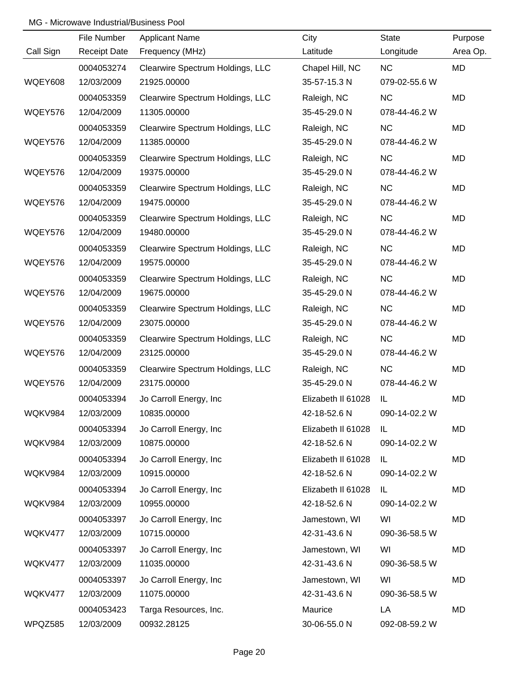|           | File Number         | <b>Applicant Name</b>            | City               | <b>State</b>  | Purpose   |
|-----------|---------------------|----------------------------------|--------------------|---------------|-----------|
| Call Sign | <b>Receipt Date</b> | Frequency (MHz)                  | Latitude           | Longitude     | Area Op.  |
|           | 0004053274          | Clearwire Spectrum Holdings, LLC | Chapel Hill, NC    | NC            | MD        |
| WQEY608   | 12/03/2009          | 21925.00000                      | 35-57-15.3 N       | 079-02-55.6 W |           |
|           | 0004053359          | Clearwire Spectrum Holdings, LLC | Raleigh, NC        | <b>NC</b>     | <b>MD</b> |
| WQEY576   | 12/04/2009          | 11305.00000                      | 35-45-29.0 N       | 078-44-46.2 W |           |
|           | 0004053359          | Clearwire Spectrum Holdings, LLC | Raleigh, NC        | <b>NC</b>     | <b>MD</b> |
| WQEY576   | 12/04/2009          | 11385.00000                      | 35-45-29.0 N       | 078-44-46.2 W |           |
|           | 0004053359          | Clearwire Spectrum Holdings, LLC | Raleigh, NC        | <b>NC</b>     | <b>MD</b> |
| WQEY576   | 12/04/2009          | 19375.00000                      | 35-45-29.0 N       | 078-44-46.2 W |           |
|           | 0004053359          | Clearwire Spectrum Holdings, LLC | Raleigh, NC        | NC            | MD        |
| WQEY576   | 12/04/2009          | 19475.00000                      | 35-45-29.0 N       | 078-44-46.2 W |           |
|           | 0004053359          | Clearwire Spectrum Holdings, LLC | Raleigh, NC        | NC            | MD        |
| WQEY576   | 12/04/2009          | 19480.00000                      | 35-45-29.0 N       | 078-44-46.2 W |           |
|           | 0004053359          | Clearwire Spectrum Holdings, LLC | Raleigh, NC        | NC            | MD        |
| WQEY576   | 12/04/2009          | 19575.00000                      | 35-45-29.0 N       | 078-44-46.2 W |           |
|           | 0004053359          | Clearwire Spectrum Holdings, LLC | Raleigh, NC        | <b>NC</b>     | MD        |
| WQEY576   | 12/04/2009          | 19675.00000                      | 35-45-29.0 N       | 078-44-46.2 W |           |
|           | 0004053359          | Clearwire Spectrum Holdings, LLC | Raleigh, NC        | <b>NC</b>     | MD        |
| WQEY576   | 12/04/2009          | 23075.00000                      | 35-45-29.0 N       | 078-44-46.2 W |           |
|           | 0004053359          | Clearwire Spectrum Holdings, LLC | Raleigh, NC        | NC            | MD        |
| WQEY576   | 12/04/2009          | 23125.00000                      | 35-45-29.0 N       | 078-44-46.2 W |           |
|           | 0004053359          | Clearwire Spectrum Holdings, LLC | Raleigh, NC        | NC            | MD        |
| WQEY576   | 12/04/2009          | 23175.00000                      | 35-45-29.0 N       | 078-44-46.2 W |           |
|           | 0004053394          | Jo Carroll Energy, Inc           | Elizabeth II 61028 | IL            | MD        |
| WQKV984   | 12/03/2009          | 10835.00000                      | 42-18-52.6 N       | 090-14-02.2 W |           |
|           | 0004053394          | Jo Carroll Energy, Inc.          | Elizabeth II 61028 | IL            | MD        |
| WQKV984   | 12/03/2009          | 10875.00000                      | 42-18-52.6 N       | 090-14-02.2 W |           |
|           | 0004053394          | Jo Carroll Energy, Inc.          | Elizabeth II 61028 | IL.           | MD        |
| WQKV984   | 12/03/2009          | 10915.00000                      | 42-18-52.6 N       | 090-14-02.2 W |           |
|           | 0004053394          | Jo Carroll Energy, Inc.          | Elizabeth II 61028 | IL            | MD        |
| WQKV984   | 12/03/2009          | 10955.00000                      | 42-18-52.6 N       | 090-14-02.2 W |           |
|           | 0004053397          | Jo Carroll Energy, Inc.          | Jamestown, WI      | WI            | MD        |
| WQKV477   | 12/03/2009          | 10715.00000                      | 42-31-43.6 N       | 090-36-58.5 W |           |
|           | 0004053397          | Jo Carroll Energy, Inc.          | Jamestown, WI      | WI            | MD        |
| WQKV477   | 12/03/2009          | 11035.00000                      | 42-31-43.6 N       | 090-36-58.5 W |           |
|           | 0004053397          | Jo Carroll Energy, Inc.          | Jamestown, WI      | WI            | MD        |
| WQKV477   | 12/03/2009          | 11075.00000                      | 42-31-43.6 N       | 090-36-58.5 W |           |
|           | 0004053423          | Targa Resources, Inc.            | Maurice            | LA            | MD        |
| WPQZ585   | 12/03/2009          | 00932.28125                      | 30-06-55.0 N       | 092-08-59.2 W |           |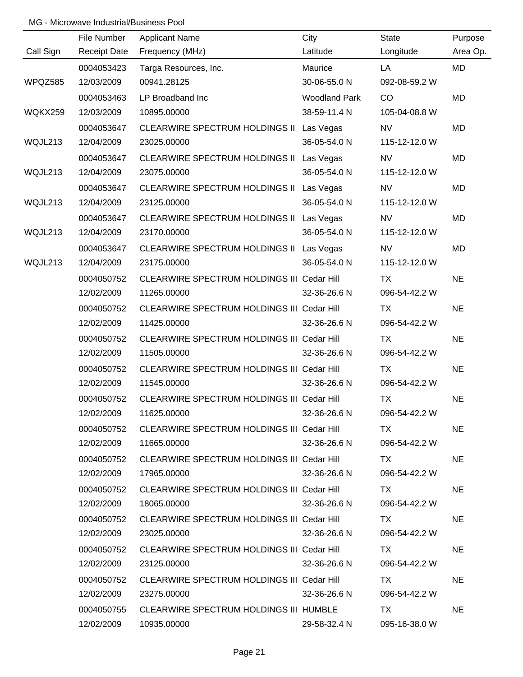|           | File Number         | <b>Applicant Name</b>                      | City                 | State         | Purpose   |
|-----------|---------------------|--------------------------------------------|----------------------|---------------|-----------|
| Call Sign | <b>Receipt Date</b> | Frequency (MHz)                            | Latitude             | Longitude     | Area Op.  |
|           | 0004053423          | Targa Resources, Inc.                      | Maurice              | LA            | MD        |
| WPQZ585   | 12/03/2009          | 00941.28125                                | 30-06-55.0 N         | 092-08-59.2 W |           |
|           | 0004053463          | LP Broadband Inc                           | <b>Woodland Park</b> | CO            | <b>MD</b> |
| WQKX259   | 12/03/2009          | 10895.00000                                | 38-59-11.4 N         | 105-04-08.8 W |           |
|           | 0004053647          | CLEARWIRE SPECTRUM HOLDINGS II Las Vegas   |                      | <b>NV</b>     | MD        |
| WQJL213   | 12/04/2009          | 23025.00000                                | 36-05-54.0 N         | 115-12-12.0 W |           |
|           | 0004053647          | CLEARWIRE SPECTRUM HOLDINGS II Las Vegas   |                      | <b>NV</b>     | <b>MD</b> |
| WQJL213   | 12/04/2009          | 23075.00000                                | 36-05-54.0 N         | 115-12-12.0 W |           |
|           | 0004053647          | CLEARWIRE SPECTRUM HOLDINGS II Las Vegas   |                      | <b>NV</b>     | MD        |
| WQJL213   | 12/04/2009          | 23125.00000                                | 36-05-54.0 N         | 115-12-12.0 W |           |
|           | 0004053647          | CLEARWIRE SPECTRUM HOLDINGS II Las Vegas   |                      | <b>NV</b>     | MD        |
| WQJL213   | 12/04/2009          | 23170.00000                                | 36-05-54.0 N         | 115-12-12.0 W |           |
|           | 0004053647          | CLEARWIRE SPECTRUM HOLDINGS II Las Vegas   |                      | <b>NV</b>     | MD        |
| WQJL213   | 12/04/2009          | 23175.00000                                | 36-05-54.0 N         | 115-12-12.0 W |           |
|           | 0004050752          | CLEARWIRE SPECTRUM HOLDINGS III Cedar Hill |                      | TX            | <b>NE</b> |
|           | 12/02/2009          | 11265.00000                                | 32-36-26.6 N         | 096-54-42.2 W |           |
|           | 0004050752          | CLEARWIRE SPECTRUM HOLDINGS III Cedar Hill |                      | TX            | <b>NE</b> |
|           | 12/02/2009          | 11425.00000                                | 32-36-26.6 N         | 096-54-42.2 W |           |
|           | 0004050752          | CLEARWIRE SPECTRUM HOLDINGS III Cedar Hill |                      | <b>TX</b>     | <b>NE</b> |
|           | 12/02/2009          | 11505.00000                                | 32-36-26.6 N         | 096-54-42.2 W |           |
|           | 0004050752          | CLEARWIRE SPECTRUM HOLDINGS III Cedar Hill |                      | <b>TX</b>     | <b>NE</b> |
|           | 12/02/2009          | 11545.00000                                | 32-36-26.6 N         | 096-54-42.2 W |           |
|           | 0004050752          | CLEARWIRE SPECTRUM HOLDINGS III Cedar Hill |                      | <b>TX</b>     | <b>NE</b> |
|           | 12/02/2009          | 11625.00000                                | 32-36-26.6 N         | 096-54-42.2 W |           |
|           | 0004050752          | CLEARWIRE SPECTRUM HOLDINGS III Cedar Hill |                      | TX .          | <b>NE</b> |
|           | 12/02/2009          | 11665.00000                                | 32-36-26.6 N         | 096-54-42.2 W |           |
|           | 0004050752          | CLEARWIRE SPECTRUM HOLDINGS III Cedar Hill |                      | TX T          | <b>NE</b> |
|           | 12/02/2009          | 17965.00000                                | 32-36-26.6 N         | 096-54-42.2 W |           |
|           | 0004050752          | CLEARWIRE SPECTRUM HOLDINGS III Cedar Hill |                      | TX .          | <b>NE</b> |
|           | 12/02/2009          | 18065.00000                                | 32-36-26.6 N         | 096-54-42.2 W |           |
|           | 0004050752          | CLEARWIRE SPECTRUM HOLDINGS III Cedar Hill |                      | TX.           | <b>NE</b> |
|           | 12/02/2009          | 23025.00000                                | 32-36-26.6 N         | 096-54-42.2 W |           |
|           | 0004050752          | CLEARWIRE SPECTRUM HOLDINGS III Cedar Hill |                      | TX.           | <b>NE</b> |
|           | 12/02/2009          | 23125.00000                                | 32-36-26.6 N         | 096-54-42.2 W |           |
|           | 0004050752          | CLEARWIRE SPECTRUM HOLDINGS III Cedar Hill |                      | TX            | <b>NE</b> |
|           | 12/02/2009          | 23275.00000                                | 32-36-26.6 N         | 096-54-42.2 W |           |
|           | 0004050755          | CLEARWIRE SPECTRUM HOLDINGS III HUMBLE     |                      | TX.           | <b>NE</b> |
|           | 12/02/2009          | 10935.00000                                | 29-58-32.4 N         | 095-16-38.0 W |           |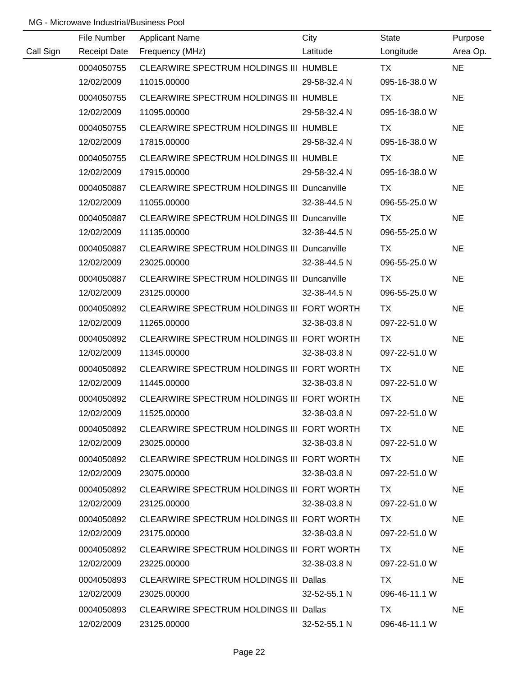|           | File Number         | <b>Applicant Name</b>                              | City         | State         | Purpose   |
|-----------|---------------------|----------------------------------------------------|--------------|---------------|-----------|
| Call Sign | <b>Receipt Date</b> | Frequency (MHz)                                    | Latitude     | Longitude     | Area Op.  |
|           | 0004050755          | CLEARWIRE SPECTRUM HOLDINGS III HUMBLE             |              | <b>TX</b>     | <b>NE</b> |
|           | 12/02/2009          | 11015.00000                                        | 29-58-32.4 N | 095-16-38.0 W |           |
|           | 0004050755          | CLEARWIRE SPECTRUM HOLDINGS III HUMBLE             |              | <b>TX</b>     | <b>NE</b> |
|           | 12/02/2009          | 11095.00000                                        | 29-58-32.4 N | 095-16-38.0 W |           |
|           | 0004050755          | CLEARWIRE SPECTRUM HOLDINGS III HUMBLE             |              | TX            | <b>NE</b> |
|           | 12/02/2009          | 17815.00000                                        | 29-58-32.4 N | 095-16-38.0 W |           |
|           | 0004050755          | CLEARWIRE SPECTRUM HOLDINGS III HUMBLE             |              | TX            | <b>NE</b> |
|           | 12/02/2009          | 17915.00000                                        | 29-58-32.4 N | 095-16-38.0 W |           |
|           | 0004050887          | CLEARWIRE SPECTRUM HOLDINGS III Duncanville        |              | TX            | <b>NE</b> |
|           | 12/02/2009          | 11055.00000                                        | 32-38-44.5 N | 096-55-25.0 W |           |
|           | 0004050887          | <b>CLEARWIRE SPECTRUM HOLDINGS III Duncanville</b> |              | TX            | <b>NE</b> |
|           | 12/02/2009          | 11135.00000                                        | 32-38-44.5 N | 096-55-25.0 W |           |
|           | 0004050887          | CLEARWIRE SPECTRUM HOLDINGS III Duncanville        |              | <b>TX</b>     | <b>NE</b> |
|           | 12/02/2009          | 23025.00000                                        | 32-38-44.5 N | 096-55-25.0 W |           |
|           | 0004050887          | CLEARWIRE SPECTRUM HOLDINGS III Duncanville        |              | TX            | <b>NE</b> |
|           | 12/02/2009          | 23125.00000                                        | 32-38-44.5 N | 096-55-25.0 W |           |
|           | 0004050892          | CLEARWIRE SPECTRUM HOLDINGS III FORT WORTH         |              | TX            | <b>NE</b> |
|           | 12/02/2009          | 11265.00000                                        | 32-38-03.8 N | 097-22-51.0 W |           |
|           | 0004050892          | CLEARWIRE SPECTRUM HOLDINGS III FORT WORTH         |              | TX            | <b>NE</b> |
|           | 12/02/2009          | 11345.00000                                        | 32-38-03.8 N | 097-22-51.0 W |           |
|           | 0004050892          | CLEARWIRE SPECTRUM HOLDINGS III FORT WORTH         |              | <b>TX</b>     | <b>NE</b> |
|           | 12/02/2009          | 11445.00000                                        | 32-38-03.8 N | 097-22-51.0 W |           |
|           | 0004050892          | CLEARWIRE SPECTRUM HOLDINGS III FORT WORTH         |              | <b>TX</b>     | <b>NE</b> |
|           | 12/02/2009          | 11525.00000                                        | 32-38-03.8 N | 097-22-51.0 W |           |
|           | 0004050892          | CLEARWIRE SPECTRUM HOLDINGS III FORT WORTH         |              | TX.           | <b>NE</b> |
|           | 12/02/2009          | 23025.00000                                        | 32-38-03.8 N | 097-22-51.0 W |           |
|           | 0004050892          | CLEARWIRE SPECTRUM HOLDINGS III FORT WORTH         |              | TX TX         | <b>NE</b> |
|           | 12/02/2009          | 23075.00000                                        | 32-38-03.8 N | 097-22-51.0 W |           |
|           | 0004050892          | CLEARWIRE SPECTRUM HOLDINGS III FORT WORTH         |              | TX.           | <b>NE</b> |
|           | 12/02/2009          | 23125.00000                                        | 32-38-03.8 N | 097-22-51.0 W |           |
|           | 0004050892          | CLEARWIRE SPECTRUM HOLDINGS III FORT WORTH         |              | TX.           | <b>NE</b> |
|           | 12/02/2009          | 23175.00000                                        | 32-38-03.8 N | 097-22-51.0 W |           |
|           | 0004050892          | CLEARWIRE SPECTRUM HOLDINGS III FORT WORTH         |              | TX.           | <b>NE</b> |
|           | 12/02/2009          | 23225.00000                                        | 32-38-03.8 N | 097-22-51.0 W |           |
|           | 0004050893          | CLEARWIRE SPECTRUM HOLDINGS III Dallas             |              | TX            | <b>NE</b> |
|           | 12/02/2009          | 23025.00000                                        | 32-52-55.1 N | 096-46-11.1 W |           |
|           | 0004050893          | <b>CLEARWIRE SPECTRUM HOLDINGS III Dallas</b>      |              | TX.           | <b>NE</b> |
|           | 12/02/2009          | 23125.00000                                        | 32-52-55.1 N | 096-46-11.1 W |           |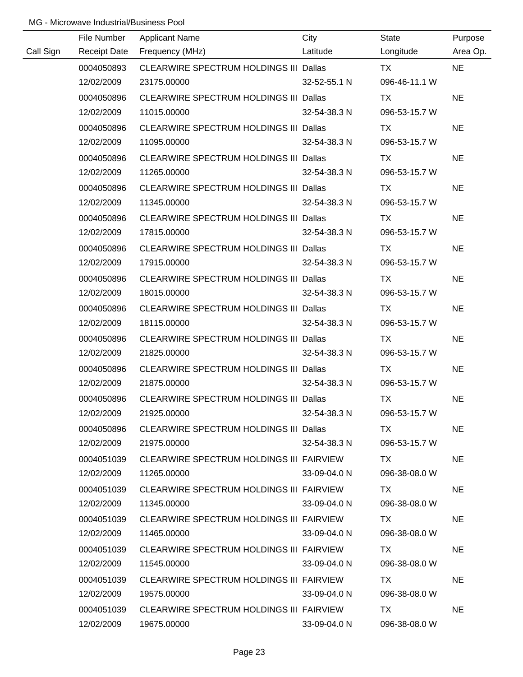|           | File Number         | <b>Applicant Name</b>                         | City         | <b>State</b>  | Purpose   |
|-----------|---------------------|-----------------------------------------------|--------------|---------------|-----------|
| Call Sign | <b>Receipt Date</b> | Frequency (MHz)                               | Latitude     | Longitude     | Area Op.  |
|           | 0004050893          | CLEARWIRE SPECTRUM HOLDINGS III Dallas        |              | <b>TX</b>     | <b>NE</b> |
|           | 12/02/2009          | 23175.00000                                   | 32-52-55.1 N | 096-46-11.1 W |           |
|           | 0004050896          | CLEARWIRE SPECTRUM HOLDINGS III Dallas        |              | TX            | <b>NE</b> |
|           | 12/02/2009          | 11015.00000                                   | 32-54-38.3 N | 096-53-15.7 W |           |
|           | 0004050896          | CLEARWIRE SPECTRUM HOLDINGS III Dallas        |              | TX            | <b>NE</b> |
|           | 12/02/2009          | 11095.00000                                   | 32-54-38.3 N | 096-53-15.7 W |           |
|           | 0004050896          | CLEARWIRE SPECTRUM HOLDINGS III Dallas        |              | TX            | <b>NE</b> |
|           | 12/02/2009          | 11265.00000                                   | 32-54-38.3 N | 096-53-15.7 W |           |
|           | 0004050896          | CLEARWIRE SPECTRUM HOLDINGS III Dallas        |              | <b>TX</b>     | <b>NE</b> |
|           | 12/02/2009          | 11345.00000                                   | 32-54-38.3 N | 096-53-15.7 W |           |
|           | 0004050896          | CLEARWIRE SPECTRUM HOLDINGS III Dallas        |              | TX            | <b>NE</b> |
|           | 12/02/2009          | 17815.00000                                   | 32-54-38.3 N | 096-53-15.7 W |           |
|           | 0004050896          | CLEARWIRE SPECTRUM HOLDINGS III Dallas        |              | TX            | <b>NE</b> |
|           | 12/02/2009          | 17915.00000                                   | 32-54-38.3 N | 096-53-15.7 W |           |
|           | 0004050896          | <b>CLEARWIRE SPECTRUM HOLDINGS III Dallas</b> |              | TX            | <b>NE</b> |
|           | 12/02/2009          | 18015.00000                                   | 32-54-38.3 N | 096-53-15.7 W |           |
|           | 0004050896          | <b>CLEARWIRE SPECTRUM HOLDINGS III Dallas</b> |              | TX            | <b>NE</b> |
|           | 12/02/2009          | 18115.00000                                   | 32-54-38.3 N | 096-53-15.7 W |           |
|           | 0004050896          | CLEARWIRE SPECTRUM HOLDINGS III Dallas        |              | <b>TX</b>     | <b>NE</b> |
|           | 12/02/2009          | 21825.00000                                   | 32-54-38.3 N | 096-53-15.7 W |           |
|           | 0004050896          | CLEARWIRE SPECTRUM HOLDINGS III Dallas        |              | <b>TX</b>     | <b>NE</b> |
|           | 12/02/2009          | 21875.00000                                   | 32-54-38.3 N | 096-53-15.7 W |           |
|           | 0004050896          | CLEARWIRE SPECTRUM HOLDINGS III Dallas        |              | <b>TX</b>     | <b>NE</b> |
|           | 12/02/2009          | 21925.00000                                   | 32-54-38.3 N | 096-53-15.7 W |           |
|           | 0004050896          | CLEARWIRE SPECTRUM HOLDINGS III Dallas        |              | TX.           | <b>NE</b> |
|           | 12/02/2009          | 21975.00000                                   | 32-54-38.3 N | 096-53-15.7 W |           |
|           | 0004051039          | CLEARWIRE SPECTRUM HOLDINGS III FAIRVIEW      |              | TX.           | <b>NE</b> |
|           | 12/02/2009          | 11265.00000                                   | 33-09-04.0 N | 096-38-08.0 W |           |
|           | 0004051039          | CLEARWIRE SPECTRUM HOLDINGS III FAIRVIEW      |              | TX.           | <b>NE</b> |
|           | 12/02/2009          | 11345.00000                                   | 33-09-04.0 N | 096-38-08.0 W |           |
|           | 0004051039          | CLEARWIRE SPECTRUM HOLDINGS III FAIRVIEW      |              | TX.           | <b>NE</b> |
|           | 12/02/2009          | 11465.00000                                   | 33-09-04.0 N | 096-38-08.0 W |           |
|           | 0004051039          | CLEARWIRE SPECTRUM HOLDINGS III FAIRVIEW      |              | TX.           | <b>NE</b> |
|           | 12/02/2009          | 11545.00000                                   | 33-09-04.0 N | 096-38-08.0 W |           |
|           | 0004051039          | CLEARWIRE SPECTRUM HOLDINGS III FAIRVIEW      |              | TX            | <b>NE</b> |
|           | 12/02/2009          | 19575.00000                                   | 33-09-04.0 N | 096-38-08.0 W |           |
|           | 0004051039          | CLEARWIRE SPECTRUM HOLDINGS III FAIRVIEW      |              | <b>TX</b>     | <b>NE</b> |
|           | 12/02/2009          | 19675.00000                                   | 33-09-04.0 N | 096-38-08.0 W |           |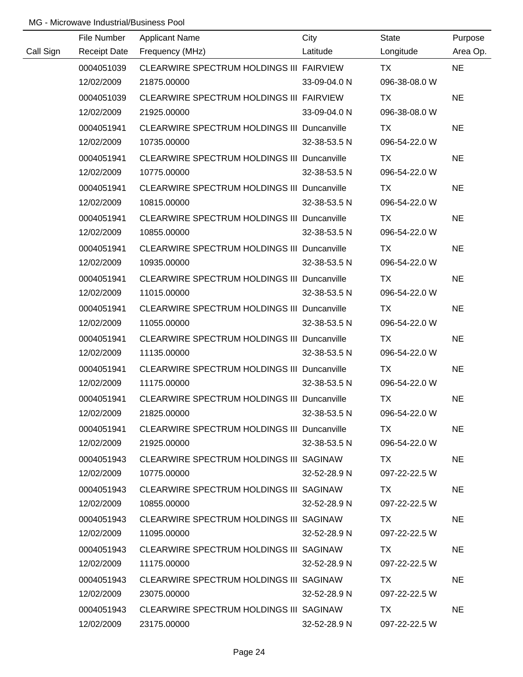|           | File Number         | <b>Applicant Name</b>                              | City         | <b>State</b>  | Purpose   |
|-----------|---------------------|----------------------------------------------------|--------------|---------------|-----------|
| Call Sign | <b>Receipt Date</b> | Frequency (MHz)                                    | Latitude     | Longitude     | Area Op.  |
|           | 0004051039          | CLEARWIRE SPECTRUM HOLDINGS III FAIRVIEW           |              | <b>TX</b>     | <b>NE</b> |
|           | 12/02/2009          | 21875.00000                                        | 33-09-04.0 N | 096-38-08.0 W |           |
|           | 0004051039          | CLEARWIRE SPECTRUM HOLDINGS III FAIRVIEW           |              | <b>TX</b>     | <b>NE</b> |
|           | 12/02/2009          | 21925.00000                                        | 33-09-04.0 N | 096-38-08.0 W |           |
|           | 0004051941          | <b>CLEARWIRE SPECTRUM HOLDINGS III Duncanville</b> |              | TX            | <b>NE</b> |
|           | 12/02/2009          | 10735.00000                                        | 32-38-53.5 N | 096-54-22.0 W |           |
|           | 0004051941          | <b>CLEARWIRE SPECTRUM HOLDINGS III Duncanville</b> |              | TX            | <b>NE</b> |
|           | 12/02/2009          | 10775.00000                                        | 32-38-53.5 N | 096-54-22.0 W |           |
|           | 0004051941          | <b>CLEARWIRE SPECTRUM HOLDINGS III Duncanville</b> |              | <b>TX</b>     | <b>NE</b> |
|           | 12/02/2009          | 10815.00000                                        | 32-38-53.5 N | 096-54-22.0 W |           |
|           | 0004051941          | CLEARWIRE SPECTRUM HOLDINGS III Duncanville        |              | TX            | <b>NE</b> |
|           | 12/02/2009          | 10855.00000                                        | 32-38-53.5 N | 096-54-22.0 W |           |
|           | 0004051941          | CLEARWIRE SPECTRUM HOLDINGS III Duncanville        |              | TX            | <b>NE</b> |
|           | 12/02/2009          | 10935.00000                                        | 32-38-53.5 N | 096-54-22.0 W |           |
|           | 0004051941          | CLEARWIRE SPECTRUM HOLDINGS III Duncanville        |              | TX            | <b>NE</b> |
|           | 12/02/2009          | 11015.00000                                        | 32-38-53.5 N | 096-54-22.0 W |           |
|           | 0004051941          | CLEARWIRE SPECTRUM HOLDINGS III Duncanville        |              | <b>TX</b>     | <b>NE</b> |
|           | 12/02/2009          | 11055.00000                                        | 32-38-53.5 N | 096-54-22.0 W |           |
|           | 0004051941          | <b>CLEARWIRE SPECTRUM HOLDINGS III Duncanville</b> |              | <b>TX</b>     | <b>NE</b> |
|           | 12/02/2009          | 11135.00000                                        | 32-38-53.5 N | 096-54-22.0 W |           |
|           | 0004051941          | <b>CLEARWIRE SPECTRUM HOLDINGS III Duncanville</b> |              | <b>TX</b>     | <b>NE</b> |
|           | 12/02/2009          | 11175.00000                                        | 32-38-53.5 N | 096-54-22.0 W |           |
|           | 0004051941          | <b>CLEARWIRE SPECTRUM HOLDINGS III Duncanville</b> |              | <b>TX</b>     | <b>NE</b> |
|           | 12/02/2009          | 21825.00000                                        | 32-38-53.5 N | 096-54-22.0 W |           |
|           | 0004051941          | CLEARWIRE SPECTRUM HOLDINGS III Duncanville        |              | TX.           | <b>NE</b> |
|           | 12/02/2009          | 21925.00000                                        | 32-38-53.5 N | 096-54-22.0 W |           |
|           | 0004051943          | CLEARWIRE SPECTRUM HOLDINGS III SAGINAW            |              | TX.           | <b>NE</b> |
|           | 12/02/2009          | 10775.00000                                        | 32-52-28.9 N | 097-22-22.5 W |           |
|           | 0004051943          | CLEARWIRE SPECTRUM HOLDINGS III SAGINAW            |              | TX.           | <b>NE</b> |
|           | 12/02/2009          | 10855.00000                                        | 32-52-28.9 N | 097-22-22.5 W |           |
|           | 0004051943          | CLEARWIRE SPECTRUM HOLDINGS III SAGINAW            |              | TX.           | <b>NE</b> |
|           | 12/02/2009          | 11095.00000                                        | 32-52-28.9 N | 097-22-22.5 W |           |
|           | 0004051943          | CLEARWIRE SPECTRUM HOLDINGS III SAGINAW            |              | TX.           | <b>NE</b> |
|           | 12/02/2009          | 11175.00000                                        | 32-52-28.9 N | 097-22-22.5 W |           |
|           | 0004051943          | CLEARWIRE SPECTRUM HOLDINGS III SAGINAW            |              | TX            | <b>NE</b> |
|           | 12/02/2009          | 23075.00000                                        | 32-52-28.9 N | 097-22-22.5 W |           |
|           | 0004051943          | CLEARWIRE SPECTRUM HOLDINGS III SAGINAW            |              | <b>TX</b>     | <b>NE</b> |
|           | 12/02/2009          | 23175.00000                                        | 32-52-28.9 N | 097-22-22.5 W |           |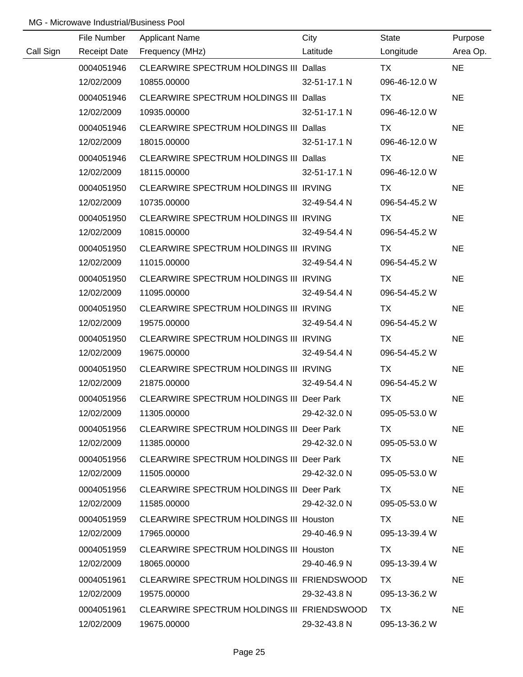|           | File Number         | <b>Applicant Name</b>                            | City         | State         | Purpose   |
|-----------|---------------------|--------------------------------------------------|--------------|---------------|-----------|
| Call Sign | <b>Receipt Date</b> | Frequency (MHz)                                  | Latitude     | Longitude     | Area Op.  |
|           | 0004051946          | CLEARWIRE SPECTRUM HOLDINGS III Dallas           |              | <b>TX</b>     | <b>NE</b> |
|           | 12/02/2009          | 10855.00000                                      | 32-51-17.1 N | 096-46-12.0 W |           |
|           | 0004051946          | CLEARWIRE SPECTRUM HOLDINGS III Dallas           |              | TX            | <b>NE</b> |
|           | 12/02/2009          | 10935.00000                                      | 32-51-17.1 N | 096-46-12.0 W |           |
|           | 0004051946          | CLEARWIRE SPECTRUM HOLDINGS III Dallas           |              | TX            | <b>NE</b> |
|           | 12/02/2009          | 18015.00000                                      | 32-51-17.1 N | 096-46-12.0 W |           |
|           | 0004051946          | CLEARWIRE SPECTRUM HOLDINGS III Dallas           |              | TX            | <b>NE</b> |
|           | 12/02/2009          | 18115.00000                                      | 32-51-17.1 N | 096-46-12.0 W |           |
|           | 0004051950          | CLEARWIRE SPECTRUM HOLDINGS III IRVING           |              | TX            | <b>NE</b> |
|           | 12/02/2009          | 10735.00000                                      | 32-49-54.4 N | 096-54-45.2 W |           |
|           | 0004051950          | CLEARWIRE SPECTRUM HOLDINGS III IRVING           |              | TX            | <b>NE</b> |
|           | 12/02/2009          | 10815.00000                                      | 32-49-54.4 N | 096-54-45.2 W |           |
|           | 0004051950          | CLEARWIRE SPECTRUM HOLDINGS III IRVING           |              | TX            | <b>NE</b> |
|           | 12/02/2009          | 11015.00000                                      | 32-49-54.4 N | 096-54-45.2 W |           |
|           | 0004051950          | CLEARWIRE SPECTRUM HOLDINGS III IRVING           |              | TX            | <b>NE</b> |
|           | 12/02/2009          | 11095.00000                                      | 32-49-54.4 N | 096-54-45.2 W |           |
|           | 0004051950          | CLEARWIRE SPECTRUM HOLDINGS III IRVING           |              | TX            | <b>NE</b> |
|           | 12/02/2009          | 19575.00000                                      | 32-49-54.4 N | 096-54-45.2 W |           |
|           | 0004051950          | CLEARWIRE SPECTRUM HOLDINGS III IRVING           |              | <b>TX</b>     | <b>NE</b> |
|           | 12/02/2009          | 19675.00000                                      | 32-49-54.4 N | 096-54-45.2 W |           |
|           | 0004051950          | CLEARWIRE SPECTRUM HOLDINGS III IRVING           |              | <b>TX</b>     | <b>NE</b> |
|           | 12/02/2009          | 21875.00000                                      | 32-49-54.4 N | 096-54-45.2 W |           |
|           | 0004051956          | CLEARWIRE SPECTRUM HOLDINGS III Deer Park        |              | <b>TX</b>     | <b>NE</b> |
|           | 12/02/2009          | 11305.00000                                      | 29-42-32.0 N | 095-05-53.0 W |           |
|           | 0004051956          | CLEARWIRE SPECTRUM HOLDINGS III Deer Park        |              | TX.           | <b>NE</b> |
|           | 12/02/2009          | 11385.00000                                      | 29-42-32.0 N | 095-05-53.0 W |           |
|           | 0004051956          | <b>CLEARWIRE SPECTRUM HOLDINGS III Deer Park</b> |              | TX.           | NE.       |
|           | 12/02/2009          | 11505.00000                                      | 29-42-32.0 N | 095-05-53.0 W |           |
|           | 0004051956          | <b>CLEARWIRE SPECTRUM HOLDINGS III Deer Park</b> |              | TX.           | <b>NE</b> |
|           | 12/02/2009          | 11585.00000                                      | 29-42-32.0 N | 095-05-53.0 W |           |
|           | 0004051959          | <b>CLEARWIRE SPECTRUM HOLDINGS III Houston</b>   |              | TX.           | <b>NE</b> |
|           | 12/02/2009          | 17965.00000                                      | 29-40-46.9 N | 095-13-39.4 W |           |
|           | 0004051959          | CLEARWIRE SPECTRUM HOLDINGS III Houston          |              | TX.           | NE        |
|           | 12/02/2009          | 18065.00000                                      | 29-40-46.9 N | 095-13-39.4 W |           |
|           | 0004051961          | CLEARWIRE SPECTRUM HOLDINGS III FRIENDSWOOD      |              | TX.           | <b>NE</b> |
|           | 12/02/2009          | 19575.00000                                      | 29-32-43.8 N | 095-13-36.2 W |           |
|           | 0004051961          | CLEARWIRE SPECTRUM HOLDINGS III FRIENDSWOOD      |              | TX            | <b>NE</b> |
|           | 12/02/2009          | 19675.00000                                      | 29-32-43.8 N | 095-13-36.2 W |           |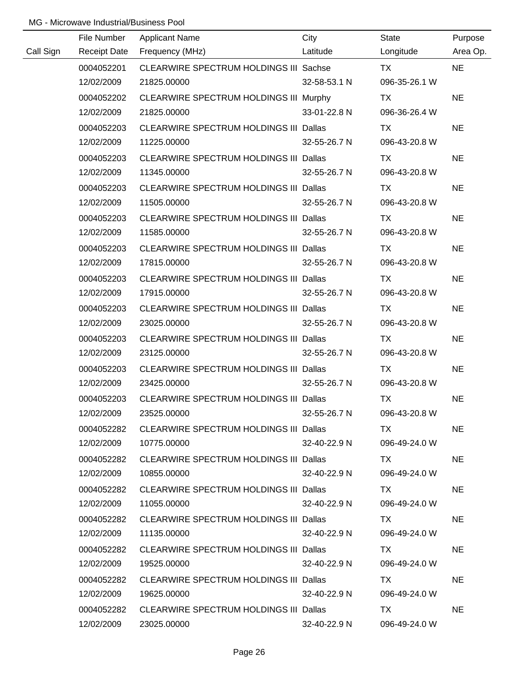|           | File Number         | <b>Applicant Name</b>                         | City         | State                                                                                                                                                                                                                          | Purpose   |
|-----------|---------------------|-----------------------------------------------|--------------|--------------------------------------------------------------------------------------------------------------------------------------------------------------------------------------------------------------------------------|-----------|
| Call Sign | <b>Receipt Date</b> | Frequency (MHz)                               | Latitude     | Longitude                                                                                                                                                                                                                      | Area Op.  |
|           | 0004052201          | CLEARWIRE SPECTRUM HOLDINGS III Sachse        |              | <b>TX</b>                                                                                                                                                                                                                      | <b>NE</b> |
|           | 12/02/2009          | 21825.00000                                   | 32-58-53.1 N | 096-35-26.1 W                                                                                                                                                                                                                  |           |
|           | 0004052202          | CLEARWIRE SPECTRUM HOLDINGS III Murphy        |              | <b>TX</b>                                                                                                                                                                                                                      | <b>NE</b> |
|           | 12/02/2009          | 21825.00000                                   | 33-01-22.8 N | 096-36-26.4 W                                                                                                                                                                                                                  |           |
|           | 0004052203          | CLEARWIRE SPECTRUM HOLDINGS III Dallas        |              | TX                                                                                                                                                                                                                             | <b>NE</b> |
|           | 12/02/2009          | 11225.00000                                   | 32-55-26.7 N | 096-43-20.8 W                                                                                                                                                                                                                  |           |
|           | 0004052203          | CLEARWIRE SPECTRUM HOLDINGS III Dallas        |              | TX                                                                                                                                                                                                                             | <b>NE</b> |
|           | 12/02/2009          | 11345.00000                                   | 32-55-26.7 N | 096-43-20.8 W                                                                                                                                                                                                                  |           |
|           | 0004052203          | <b>CLEARWIRE SPECTRUM HOLDINGS III Dallas</b> |              | TX                                                                                                                                                                                                                             | <b>NE</b> |
|           | 12/02/2009          | 11505.00000                                   | 32-55-26.7 N | 096-43-20.8 W                                                                                                                                                                                                                  |           |
|           | 0004052203          | CLEARWIRE SPECTRUM HOLDINGS III Dallas        |              | TX                                                                                                                                                                                                                             | <b>NE</b> |
|           | 12/02/2009          | 11585.00000                                   | 32-55-26.7 N | 096-43-20.8 W                                                                                                                                                                                                                  |           |
|           | 0004052203          | CLEARWIRE SPECTRUM HOLDINGS III Dallas        |              | TX                                                                                                                                                                                                                             | <b>NE</b> |
|           | 12/02/2009          | 17815.00000                                   | 32-55-26.7 N | 096-43-20.8 W                                                                                                                                                                                                                  |           |
|           | 0004052203          | CLEARWIRE SPECTRUM HOLDINGS III Dallas        |              | TX                                                                                                                                                                                                                             | <b>NE</b> |
|           | 12/02/2009          | 17915.00000                                   | 32-55-26.7 N | 096-43-20.8 W                                                                                                                                                                                                                  |           |
|           | 0004052203          | <b>CLEARWIRE SPECTRUM HOLDINGS III Dallas</b> |              | TX                                                                                                                                                                                                                             | <b>NE</b> |
|           | 12/02/2009          | 23025.00000                                   | 32-55-26.7 N | 096-43-20.8 W                                                                                                                                                                                                                  |           |
|           | 0004052203          | CLEARWIRE SPECTRUM HOLDINGS III Dallas        |              | <b>TX</b>                                                                                                                                                                                                                      | <b>NE</b> |
|           | 12/02/2009          | 23125.00000                                   | 32-55-26.7 N | 096-43-20.8 W                                                                                                                                                                                                                  |           |
|           | 0004052203          | <b>CLEARWIRE SPECTRUM HOLDINGS III Dallas</b> |              | <b>TX</b>                                                                                                                                                                                                                      | <b>NE</b> |
|           | 12/02/2009          | 23425.00000                                   | 32-55-26.7 N | 096-43-20.8 W                                                                                                                                                                                                                  |           |
|           | 0004052203          | CLEARWIRE SPECTRUM HOLDINGS III Dallas        |              | <b>TX</b>                                                                                                                                                                                                                      | <b>NE</b> |
|           | 12/02/2009          | 23525.00000                                   | 32-55-26.7 N | 096-43-20.8 W                                                                                                                                                                                                                  |           |
|           | 0004052282          | CLEARWIRE SPECTRUM HOLDINGS III Dallas        |              | TX.                                                                                                                                                                                                                            | <b>NE</b> |
|           | 12/02/2009          | 10775.00000                                   | 32-40-22.9 N | 096-49-24.0 W                                                                                                                                                                                                                  |           |
|           | 0004052282          | CLEARWIRE SPECTRUM HOLDINGS III Dallas        |              | TX and the state of the state of the state of the state of the state of the state of the state of the state of the state of the state of the state of the state of the state of the state of the state of the state of the sta | <b>NE</b> |
|           | 12/02/2009          | 10855.00000                                   | 32-40-22.9 N | 096-49-24.0 W                                                                                                                                                                                                                  |           |
|           | 0004052282          | <b>CLEARWIRE SPECTRUM HOLDINGS III Dallas</b> |              | TX.                                                                                                                                                                                                                            | <b>NE</b> |
|           | 12/02/2009          | 11055.00000                                   | 32-40-22.9 N | 096-49-24.0 W                                                                                                                                                                                                                  |           |
|           | 0004052282          | CLEARWIRE SPECTRUM HOLDINGS III Dallas        |              | TX.                                                                                                                                                                                                                            | <b>NE</b> |
|           | 12/02/2009          | 11135.00000                                   | 32-40-22.9 N | 096-49-24.0 W                                                                                                                                                                                                                  |           |
|           | 0004052282          | CLEARWIRE SPECTRUM HOLDINGS III Dallas        |              | TX.                                                                                                                                                                                                                            | <b>NE</b> |
|           | 12/02/2009          | 19525.00000                                   | 32-40-22.9 N | 096-49-24.0 W                                                                                                                                                                                                                  |           |
|           | 0004052282          | <b>CLEARWIRE SPECTRUM HOLDINGS III Dallas</b> |              | TX.                                                                                                                                                                                                                            | <b>NE</b> |
|           | 12/02/2009          | 19625.00000                                   | 32-40-22.9 N | 096-49-24.0 W                                                                                                                                                                                                                  |           |
|           | 0004052282          | <b>CLEARWIRE SPECTRUM HOLDINGS III Dallas</b> |              | TX.                                                                                                                                                                                                                            | <b>NE</b> |
|           | 12/02/2009          | 23025.00000                                   | 32-40-22.9 N | 096-49-24.0 W                                                                                                                                                                                                                  |           |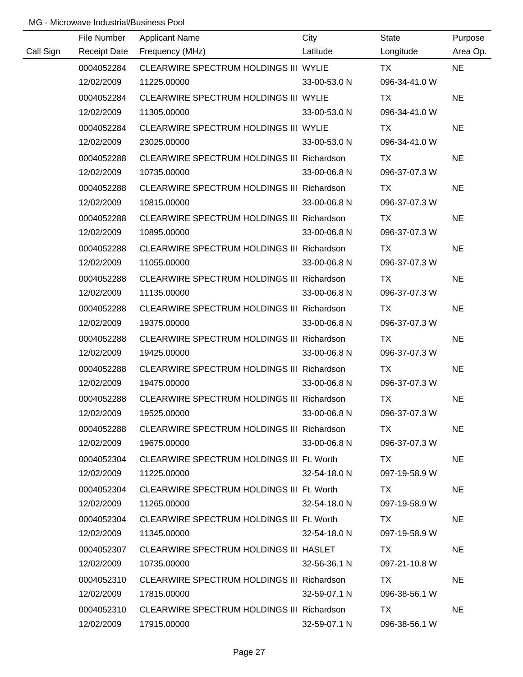|           | File Number         | <b>Applicant Name</b>                      | City         | <b>State</b>  | Purpose   |
|-----------|---------------------|--------------------------------------------|--------------|---------------|-----------|
| Call Sign | <b>Receipt Date</b> | Frequency (MHz)                            | Latitude     | Longitude     | Area Op.  |
|           | 0004052284          | CLEARWIRE SPECTRUM HOLDINGS III WYLIE      |              | <b>TX</b>     | <b>NE</b> |
|           | 12/02/2009          | 11225.00000                                | 33-00-53.0 N | 096-34-41.0 W |           |
|           | 0004052284          | CLEARWIRE SPECTRUM HOLDINGS III WYLIE      |              | <b>TX</b>     | <b>NE</b> |
|           | 12/02/2009          | 11305.00000                                | 33-00-53.0 N | 096-34-41.0 W |           |
|           | 0004052284          | CLEARWIRE SPECTRUM HOLDINGS III WYLIE      |              | TX            | <b>NE</b> |
|           | 12/02/2009          | 23025.00000                                | 33-00-53.0 N | 096-34-41.0 W |           |
|           | 0004052288          | CLEARWIRE SPECTRUM HOLDINGS III Richardson |              | TX            | <b>NE</b> |
|           | 12/02/2009          | 10735.00000                                | 33-00-06.8 N | 096-37-07.3 W |           |
|           | 0004052288          | CLEARWIRE SPECTRUM HOLDINGS III Richardson |              | TX            | <b>NE</b> |
|           | 12/02/2009          | 10815.00000                                | 33-00-06.8 N | 096-37-07.3 W |           |
|           | 0004052288          | CLEARWIRE SPECTRUM HOLDINGS III Richardson |              | TX            | <b>NE</b> |
|           | 12/02/2009          | 10895.00000                                | 33-00-06.8 N | 096-37-07.3 W |           |
|           | 0004052288          | CLEARWIRE SPECTRUM HOLDINGS III Richardson |              | TX            | <b>NE</b> |
|           | 12/02/2009          | 11055.00000                                | 33-00-06.8 N | 096-37-07.3 W |           |
|           | 0004052288          | CLEARWIRE SPECTRUM HOLDINGS III Richardson |              | TX            | <b>NE</b> |
|           | 12/02/2009          | 11135.00000                                | 33-00-06.8 N | 096-37-07.3 W |           |
|           | 0004052288          | CLEARWIRE SPECTRUM HOLDINGS III Richardson |              | <b>TX</b>     | <b>NE</b> |
|           | 12/02/2009          | 19375.00000                                | 33-00-06.8 N | 096-37-07.3 W |           |
|           | 0004052288          | CLEARWIRE SPECTRUM HOLDINGS III Richardson |              | <b>TX</b>     | <b>NE</b> |
|           | 12/02/2009          | 19425.00000                                | 33-00-06.8 N | 096-37-07.3 W |           |
|           | 0004052288          | CLEARWIRE SPECTRUM HOLDINGS III Richardson |              | <b>TX</b>     | <b>NE</b> |
|           | 12/02/2009          | 19475.00000                                | 33-00-06.8 N | 096-37-07.3 W |           |
|           | 0004052288          | CLEARWIRE SPECTRUM HOLDINGS III Richardson |              | <b>TX</b>     | <b>NE</b> |
|           | 12/02/2009          | 19525.00000                                | 33-00-06.8 N | 096-37-07.3 W |           |
|           | 0004052288          | CLEARWIRE SPECTRUM HOLDINGS III Richardson |              | TX.           | <b>NE</b> |
|           | 12/02/2009          | 19675.00000                                | 33-00-06.8 N | 096-37-07.3 W |           |
|           | 0004052304          | CLEARWIRE SPECTRUM HOLDINGS III Ft. Worth  |              | TX.           | <b>NE</b> |
|           | 12/02/2009          | 11225.00000                                | 32-54-18.0 N | 097-19-58.9 W |           |
|           | 0004052304          | CLEARWIRE SPECTRUM HOLDINGS III Ft. Worth  |              | TX.           | <b>NE</b> |
|           | 12/02/2009          | 11265.00000                                | 32-54-18.0 N | 097-19-58.9 W |           |
|           | 0004052304          | CLEARWIRE SPECTRUM HOLDINGS III Ft. Worth  |              | TX.           | <b>NE</b> |
|           | 12/02/2009          | 11345.00000                                | 32-54-18.0 N | 097-19-58.9 W |           |
|           | 0004052307          | CLEARWIRE SPECTRUM HOLDINGS III HASLET     |              | TX.           | <b>NE</b> |
|           | 12/02/2009          | 10735.00000                                | 32-56-36.1 N | 097-21-10.8 W |           |
|           | 0004052310          | CLEARWIRE SPECTRUM HOLDINGS III Richardson |              | TX            | <b>NE</b> |
|           | 12/02/2009          | 17815.00000                                | 32-59-07.1 N | 096-38-56.1 W |           |
|           | 0004052310          | CLEARWIRE SPECTRUM HOLDINGS III Richardson |              | TX            | <b>NE</b> |
|           | 12/02/2009          | 17915.00000                                | 32-59-07.1 N | 096-38-56.1 W |           |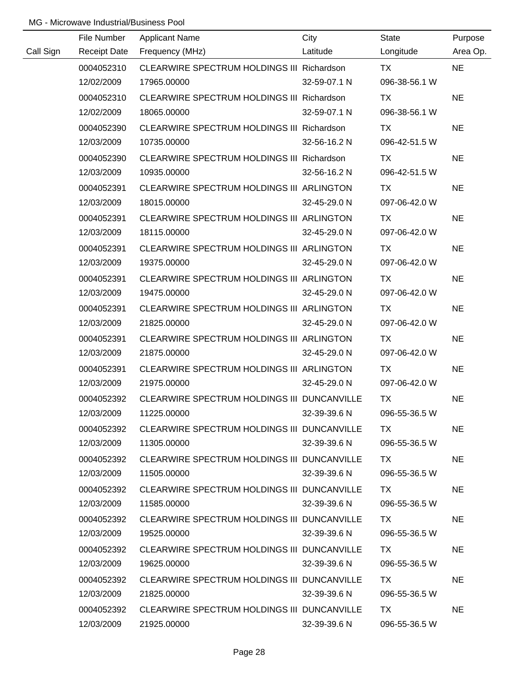|           | File Number | <b>Applicant Name</b>                       | City         | State         | Purpose   |
|-----------|-------------|---------------------------------------------|--------------|---------------|-----------|
| Call Sign |             | Receipt Date Frequency (MHz)                | Latitude     | Longitude     | Area Op.  |
|           | 0004052310  | CLEARWIRE SPECTRUM HOLDINGS III Richardson  |              | TX TX         | <b>NE</b> |
|           | 12/02/2009  | 17965.00000                                 | 32-59-07.1 N | 096-38-56.1 W |           |
|           | 0004052310  | CLEARWIRE SPECTRUM HOLDINGS III Richardson  |              | TX            | <b>NE</b> |
|           | 12/02/2009  | 18065.00000                                 | 32-59-07.1 N | 096-38-56.1 W |           |
|           | 0004052390  | CLEARWIRE SPECTRUM HOLDINGS III Richardson  |              | <b>TX</b>     | <b>NE</b> |
|           | 12/03/2009  | 10735.00000                                 | 32-56-16.2 N | 096-42-51.5 W |           |
|           | 0004052390  | CLEARWIRE SPECTRUM HOLDINGS III Richardson  |              | TX            | <b>NE</b> |
|           | 12/03/2009  | 10935.00000                                 | 32-56-16.2 N | 096-42-51.5 W |           |
|           | 0004052391  | CLEARWIRE SPECTRUM HOLDINGS III ARLINGTON   |              | <b>TX</b>     | <b>NE</b> |
|           | 12/03/2009  | 18015.00000                                 | 32-45-29.0 N | 097-06-42.0 W |           |
|           | 0004052391  | CLEARWIRE SPECTRUM HOLDINGS III ARLINGTON   |              | TX            | <b>NE</b> |
|           | 12/03/2009  | 18115.00000                                 | 32-45-29.0 N | 097-06-42.0 W |           |
|           | 0004052391  | CLEARWIRE SPECTRUM HOLDINGS III ARLINGTON   |              | TX            | <b>NE</b> |
|           | 12/03/2009  | 19375.00000                                 | 32-45-29.0 N | 097-06-42.0 W |           |
|           | 0004052391  | CLEARWIRE SPECTRUM HOLDINGS III ARLINGTON   |              | TX            | <b>NE</b> |
|           | 12/03/2009  | 19475.00000                                 | 32-45-29.0 N | 097-06-42.0 W |           |
|           | 0004052391  | CLEARWIRE SPECTRUM HOLDINGS III ARLINGTON   |              | TX            | <b>NE</b> |
|           | 12/03/2009  | 21825.00000                                 | 32-45-29.0 N | 097-06-42.0 W |           |
|           | 0004052391  | CLEARWIRE SPECTRUM HOLDINGS III ARLINGTON   |              | <b>TX</b>     | <b>NE</b> |
|           | 12/03/2009  | 21875.00000                                 | 32-45-29.0 N | 097-06-42.0 W |           |
|           | 0004052391  | CLEARWIRE SPECTRUM HOLDINGS III ARLINGTON   |              | <b>TX</b>     | <b>NE</b> |
|           | 12/03/2009  | 21975.00000                                 | 32-45-29.0 N | 097-06-42.0 W |           |
|           | 0004052392  | CLEARWIRE SPECTRUM HOLDINGS III DUNCANVILLE |              | <b>TX</b>     | <b>NE</b> |
|           | 12/03/2009  | 11225.00000                                 | 32-39-39.6 N | 096-55-36.5 W |           |
|           | 0004052392  | CLEARWIRE SPECTRUM HOLDINGS III DUNCANVILLE |              | TX.           | <b>NE</b> |
|           | 12/03/2009  | 11305.00000                                 | 32-39-39.6 N | 096-55-36.5 W |           |
|           | 0004052392  | CLEARWIRE SPECTRUM HOLDINGS III DUNCANVILLE |              | TX.           | <b>NE</b> |
|           | 12/03/2009  | 11505.00000                                 | 32-39-39.6 N | 096-55-36.5 W |           |
|           | 0004052392  | CLEARWIRE SPECTRUM HOLDINGS III DUNCANVILLE |              | TX.           | <b>NE</b> |
|           | 12/03/2009  | 11585.00000                                 | 32-39-39.6 N | 096-55-36.5 W |           |
|           | 0004052392  | CLEARWIRE SPECTRUM HOLDINGS III DUNCANVILLE |              | TX.           | <b>NE</b> |
|           | 12/03/2009  | 19525.00000                                 | 32-39-39.6 N | 096-55-36.5 W |           |
|           | 0004052392  | CLEARWIRE SPECTRUM HOLDINGS III DUNCANVILLE |              | TX.           | <b>NE</b> |
|           | 12/03/2009  | 19625.00000                                 | 32-39-39.6 N | 096-55-36.5 W |           |
|           | 0004052392  | CLEARWIRE SPECTRUM HOLDINGS III DUNCANVILLE |              | TX.           | <b>NE</b> |
|           | 12/03/2009  | 21825.00000                                 | 32-39-39.6 N | 096-55-36.5 W |           |
|           | 0004052392  | CLEARWIRE SPECTRUM HOLDINGS III DUNCANVILLE |              | TX            | <b>NE</b> |
|           | 12/03/2009  | 21925.00000                                 | 32-39-39.6 N | 096-55-36.5 W |           |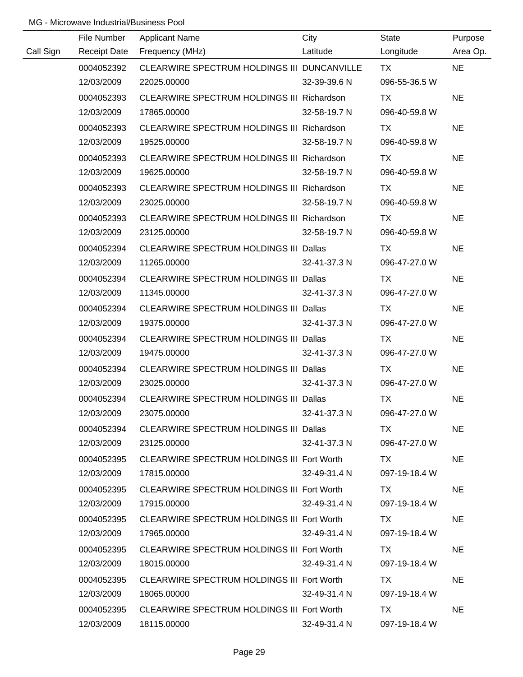|           | File Number         | <b>Applicant Name</b>                         | City         | State         | Purpose   |
|-----------|---------------------|-----------------------------------------------|--------------|---------------|-----------|
| Call Sign | <b>Receipt Date</b> | Frequency (MHz)                               | Latitude     | Longitude     | Area Op.  |
|           | 0004052392          | CLEARWIRE SPECTRUM HOLDINGS III DUNCANVILLE   |              | <b>TX</b>     | <b>NE</b> |
|           | 12/03/2009          | 22025.00000                                   | 32-39-39.6 N | 096-55-36.5 W |           |
|           | 0004052393          | CLEARWIRE SPECTRUM HOLDINGS III Richardson    |              | TX            | <b>NE</b> |
|           | 12/03/2009          | 17865.00000                                   | 32-58-19.7 N | 096-40-59.8 W |           |
|           | 0004052393          | CLEARWIRE SPECTRUM HOLDINGS III Richardson    |              | TX            | <b>NE</b> |
|           | 12/03/2009          | 19525.00000                                   | 32-58-19.7 N | 096-40-59.8 W |           |
|           | 0004052393          | CLEARWIRE SPECTRUM HOLDINGS III Richardson    |              | TX            | <b>NE</b> |
|           | 12/03/2009          | 19625.00000                                   | 32-58-19.7 N | 096-40-59.8 W |           |
|           | 0004052393          | CLEARWIRE SPECTRUM HOLDINGS III Richardson    |              | TX            | <b>NE</b> |
|           | 12/03/2009          | 23025.00000                                   | 32-58-19.7 N | 096-40-59.8 W |           |
|           | 0004052393          | CLEARWIRE SPECTRUM HOLDINGS III Richardson    |              | TX            | <b>NE</b> |
|           | 12/03/2009          | 23125.00000                                   | 32-58-19.7 N | 096-40-59.8 W |           |
|           | 0004052394          | CLEARWIRE SPECTRUM HOLDINGS III Dallas        |              | <b>TX</b>     | <b>NE</b> |
|           | 12/03/2009          | 11265.00000                                   | 32-41-37.3 N | 096-47-27.0 W |           |
|           | 0004052394          | CLEARWIRE SPECTRUM HOLDINGS III Dallas        |              | TX            | <b>NE</b> |
|           | 12/03/2009          | 11345.00000                                   | 32-41-37.3 N | 096-47-27.0 W |           |
|           | 0004052394          | <b>CLEARWIRE SPECTRUM HOLDINGS III Dallas</b> |              | TX            | <b>NE</b> |
|           | 12/03/2009          | 19375.00000                                   | 32-41-37.3 N | 096-47-27.0 W |           |
|           | 0004052394          | CLEARWIRE SPECTRUM HOLDINGS III Dallas        |              | <b>TX</b>     | <b>NE</b> |
|           | 12/03/2009          | 19475.00000                                   | 32-41-37.3 N | 096-47-27.0 W |           |
|           | 0004052394          | <b>CLEARWIRE SPECTRUM HOLDINGS III Dallas</b> |              | <b>TX</b>     | <b>NE</b> |
|           | 12/03/2009          | 23025.00000                                   | 32-41-37.3 N | 096-47-27.0 W |           |
|           | 0004052394          | CLEARWIRE SPECTRUM HOLDINGS III Dallas        |              | <b>TX</b>     | <b>NE</b> |
|           | 12/03/2009          | 23075.00000                                   | 32-41-37.3 N | 096-47-27.0 W |           |
|           | 0004052394          | CLEARWIRE SPECTRUM HOLDINGS III Dallas        |              | TX.           | <b>NE</b> |
|           | 12/03/2009          | 23125.00000                                   | 32-41-37.3 N | 096-47-27.0 W |           |
|           | 0004052395          | CLEARWIRE SPECTRUM HOLDINGS III Fort Worth    |              | TX TX         | <b>NE</b> |
|           | 12/03/2009          | 17815.00000                                   | 32-49-31.4 N | 097-19-18.4 W |           |
|           | 0004052395          | CLEARWIRE SPECTRUM HOLDINGS III Fort Worth    |              | TX.           | <b>NE</b> |
|           | 12/03/2009          | 17915.00000                                   | 32-49-31.4 N | 097-19-18.4 W |           |
|           | 0004052395          | CLEARWIRE SPECTRUM HOLDINGS III Fort Worth    |              | TX.           | <b>NE</b> |
|           | 12/03/2009          | 17965.00000                                   | 32-49-31.4 N | 097-19-18.4 W |           |
|           | 0004052395          | CLEARWIRE SPECTRUM HOLDINGS III Fort Worth    |              | TX.           | <b>NE</b> |
|           | 12/03/2009          | 18015.00000                                   | 32-49-31.4 N | 097-19-18.4 W |           |
|           | 0004052395          | CLEARWIRE SPECTRUM HOLDINGS III Fort Worth    |              | TX.           | <b>NE</b> |
|           | 12/03/2009          | 18065.00000                                   | 32-49-31.4 N | 097-19-18.4 W |           |
|           | 0004052395          | CLEARWIRE SPECTRUM HOLDINGS III Fort Worth    |              | <b>TX</b>     | <b>NE</b> |
|           | 12/03/2009          | 18115.00000                                   | 32-49-31.4 N | 097-19-18.4 W |           |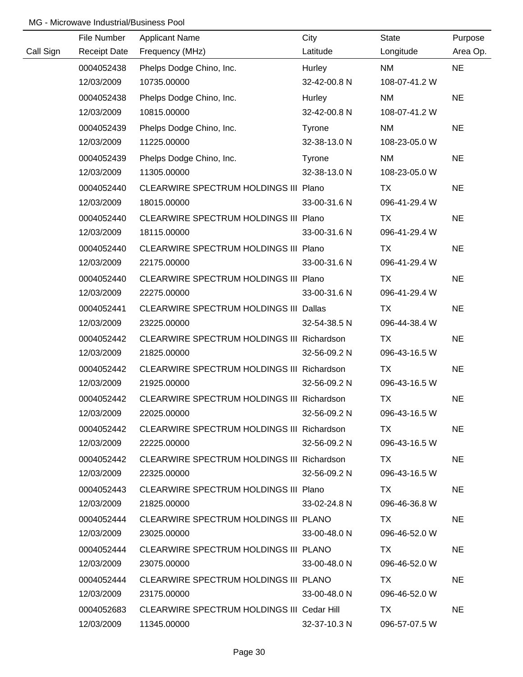|           | File Number         | <b>Applicant Name</b>                      | City          | State         | Purpose   |
|-----------|---------------------|--------------------------------------------|---------------|---------------|-----------|
| Call Sign | <b>Receipt Date</b> | Frequency (MHz)                            | Latitude      | Longitude     | Area Op.  |
|           | 0004052438          | Phelps Dodge Chino, Inc.                   | Hurley        | <b>NM</b>     | <b>NE</b> |
|           | 12/03/2009          | 10735.00000                                | 32-42-00.8 N  | 108-07-41.2 W |           |
|           | 0004052438          | Phelps Dodge Chino, Inc.                   | Hurley        | <b>NM</b>     | <b>NE</b> |
|           | 12/03/2009          | 10815.00000                                | 32-42-00.8 N  | 108-07-41.2 W |           |
|           | 0004052439          | Phelps Dodge Chino, Inc.                   | Tyrone        | <b>NM</b>     | <b>NE</b> |
|           | 12/03/2009          | 11225.00000                                | 32-38-13.0 N  | 108-23-05.0 W |           |
|           | 0004052439          | Phelps Dodge Chino, Inc.                   | <b>Tyrone</b> | <b>NM</b>     | <b>NE</b> |
|           | 12/03/2009          | 11305.00000                                | 32-38-13.0 N  | 108-23-05.0 W |           |
|           | 0004052440          | CLEARWIRE SPECTRUM HOLDINGS III Plano      |               | <b>TX</b>     | <b>NE</b> |
|           | 12/03/2009          | 18015.00000                                | 33-00-31.6 N  | 096-41-29.4 W |           |
|           | 0004052440          | CLEARWIRE SPECTRUM HOLDINGS III Plano      |               | TX            | <b>NE</b> |
|           | 12/03/2009          | 18115.00000                                | 33-00-31.6 N  | 096-41-29.4 W |           |
|           | 0004052440          | CLEARWIRE SPECTRUM HOLDINGS III Plano      |               | TX            | <b>NE</b> |
|           | 12/03/2009          | 22175.00000                                | 33-00-31.6 N  | 096-41-29.4 W |           |
|           | 0004052440          | CLEARWIRE SPECTRUM HOLDINGS III Plano      |               | TX            | <b>NE</b> |
|           | 12/03/2009          | 22275.00000                                | 33-00-31.6 N  | 096-41-29.4 W |           |
|           | 0004052441          | CLEARWIRE SPECTRUM HOLDINGS III Dallas     |               | TX            | <b>NE</b> |
|           | 12/03/2009          | 23225.00000                                | 32-54-38.5 N  | 096-44-38.4 W |           |
|           | 0004052442          | CLEARWIRE SPECTRUM HOLDINGS III Richardson |               | TX            | <b>NE</b> |
|           | 12/03/2009          | 21825.00000                                | 32-56-09.2 N  | 096-43-16.5 W |           |
|           | 0004052442          | CLEARWIRE SPECTRUM HOLDINGS III Richardson |               | <b>TX</b>     | <b>NE</b> |
|           | 12/03/2009          | 21925.00000                                | 32-56-09.2 N  | 096-43-16.5 W |           |
|           | 0004052442          | CLEARWIRE SPECTRUM HOLDINGS III Richardson |               | <b>TX</b>     | <b>NE</b> |
|           | 12/03/2009          | 22025.00000                                | 32-56-09.2 N  | 096-43-16.5 W |           |
|           | 0004052442          | CLEARWIRE SPECTRUM HOLDINGS III Richardson |               | TX.           | <b>NE</b> |
|           | 12/03/2009          | 22225.00000                                | 32-56-09.2 N  | 096-43-16.5 W |           |
|           | 0004052442          | CLEARWIRE SPECTRUM HOLDINGS III Richardson |               | TX.           | <b>NE</b> |
|           | 12/03/2009          | 22325.00000                                | 32-56-09.2 N  | 096-43-16.5 W |           |
|           | 0004052443          | CLEARWIRE SPECTRUM HOLDINGS III Plano      |               | TX.           | <b>NE</b> |
|           | 12/03/2009          | 21825.00000                                | 33-02-24.8 N  | 096-46-36.8 W |           |
|           | 0004052444          | CLEARWIRE SPECTRUM HOLDINGS III PLANO      |               | TX.           | <b>NE</b> |
|           | 12/03/2009          | 23025.00000                                | 33-00-48.0 N  | 096-46-52.0 W |           |
|           | 0004052444          | CLEARWIRE SPECTRUM HOLDINGS III PLANO      |               | TX.           | <b>NE</b> |
|           | 12/03/2009          | 23075.00000                                | 33-00-48.0 N  | 096-46-52.0 W |           |
|           | 0004052444          | CLEARWIRE SPECTRUM HOLDINGS III PLANO      |               | TX            | <b>NE</b> |
|           | 12/03/2009          | 23175.00000                                | 33-00-48.0 N  | 096-46-52.0 W |           |
|           | 0004052683          | CLEARWIRE SPECTRUM HOLDINGS III Cedar Hill |               | TX.           | <b>NE</b> |
|           | 12/03/2009          | 11345.00000                                | 32-37-10.3 N  | 096-57-07.5 W |           |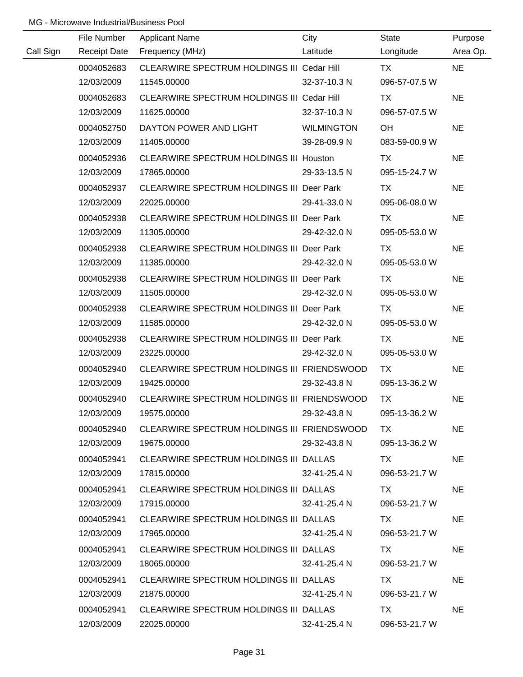|           | File Number         | <b>Applicant Name</b>                            | City              | State         | Purpose   |
|-----------|---------------------|--------------------------------------------------|-------------------|---------------|-----------|
| Call Sign | <b>Receipt Date</b> | Frequency (MHz)                                  | Latitude          | Longitude     | Area Op.  |
|           | 0004052683          | CLEARWIRE SPECTRUM HOLDINGS III Cedar Hill       |                   | <b>TX</b>     | <b>NE</b> |
|           | 12/03/2009          | 11545.00000                                      | 32-37-10.3 N      | 096-57-07.5 W |           |
|           | 0004052683          | CLEARWIRE SPECTRUM HOLDINGS III Cedar Hill       |                   | <b>TX</b>     | <b>NE</b> |
|           | 12/03/2009          | 11625.00000                                      | 32-37-10.3 N      | 096-57-07.5 W |           |
|           | 0004052750          | DAYTON POWER AND LIGHT                           | <b>WILMINGTON</b> | OH            | <b>NE</b> |
|           | 12/03/2009          | 11405.00000                                      | 39-28-09.9 N      | 083-59-00.9 W |           |
|           | 0004052936          | CLEARWIRE SPECTRUM HOLDINGS III Houston          |                   | TX            | <b>NE</b> |
|           | 12/03/2009          | 17865.00000                                      | 29-33-13.5 N      | 095-15-24.7 W |           |
|           | 0004052937          | CLEARWIRE SPECTRUM HOLDINGS III Deer Park        |                   | <b>TX</b>     | <b>NE</b> |
|           | 12/03/2009          | 22025.00000                                      | 29-41-33.0 N      | 095-06-08.0 W |           |
|           | 0004052938          | CLEARWIRE SPECTRUM HOLDINGS III Deer Park        |                   | TX            | <b>NE</b> |
|           | 12/03/2009          | 11305.00000                                      | 29-42-32.0 N      | 095-05-53.0 W |           |
|           | 0004052938          | CLEARWIRE SPECTRUM HOLDINGS III Deer Park        |                   | TX            | <b>NE</b> |
|           | 12/03/2009          | 11385.00000                                      | 29-42-32.0 N      | 095-05-53.0 W |           |
|           | 0004052938          | <b>CLEARWIRE SPECTRUM HOLDINGS III Deer Park</b> |                   | TX            | <b>NE</b> |
|           | 12/03/2009          | 11505.00000                                      | 29-42-32.0 N      | 095-05-53.0 W |           |
|           | 0004052938          | <b>CLEARWIRE SPECTRUM HOLDINGS III Deer Park</b> |                   | TX            | <b>NE</b> |
|           | 12/03/2009          | 11585.00000                                      | 29-42-32.0 N      | 095-05-53.0 W |           |
|           | 0004052938          | <b>CLEARWIRE SPECTRUM HOLDINGS III Deer Park</b> |                   | <b>TX</b>     | <b>NE</b> |
|           | 12/03/2009          | 23225.00000                                      | 29-42-32.0 N      | 095-05-53.0 W |           |
|           | 0004052940          | CLEARWIRE SPECTRUM HOLDINGS III FRIENDSWOOD      |                   | TX            | <b>NE</b> |
|           | 12/03/2009          | 19425.00000                                      | 29-32-43.8 N      | 095-13-36.2 W |           |
|           | 0004052940          | CLEARWIRE SPECTRUM HOLDINGS III FRIENDSWOOD      |                   | <b>TX</b>     | <b>NE</b> |
|           | 12/03/2009          | 19575.00000                                      | 29-32-43.8 N      | 095-13-36.2 W |           |
|           | 0004052940          | CLEARWIRE SPECTRUM HOLDINGS III FRIENDSWOOD      |                   | TX.           | <b>NE</b> |
|           | 12/03/2009          | 19675.00000                                      | 29-32-43.8 N      | 095-13-36.2 W |           |
|           | 0004052941          | CLEARWIRE SPECTRUM HOLDINGS III DALLAS           |                   | TX.           | <b>NE</b> |
|           | 12/03/2009          | 17815.00000                                      | 32-41-25.4 N      | 096-53-21.7 W |           |
|           | 0004052941          | CLEARWIRE SPECTRUM HOLDINGS III DALLAS           |                   | TX.           | <b>NE</b> |
|           | 12/03/2009          | 17915.00000                                      | 32-41-25.4 N      | 096-53-21.7 W |           |
|           | 0004052941          | CLEARWIRE SPECTRUM HOLDINGS III DALLAS           |                   | TX.           | <b>NE</b> |
|           | 12/03/2009          | 17965.00000                                      | 32-41-25.4 N      | 096-53-21.7 W |           |
|           | 0004052941          | CLEARWIRE SPECTRUM HOLDINGS III DALLAS           |                   | TX.           | <b>NE</b> |
|           | 12/03/2009          | 18065.00000                                      | 32-41-25.4 N      | 096-53-21.7 W |           |
|           | 0004052941          | CLEARWIRE SPECTRUM HOLDINGS III DALLAS           |                   | TX            | <b>NE</b> |
|           | 12/03/2009          | 21875.00000                                      | 32-41-25.4 N      | 096-53-21.7 W |           |
|           | 0004052941          | CLEARWIRE SPECTRUM HOLDINGS III DALLAS           |                   | <b>TX</b>     | <b>NE</b> |
|           | 12/03/2009          | 22025.00000                                      | 32-41-25.4 N      | 096-53-21.7 W |           |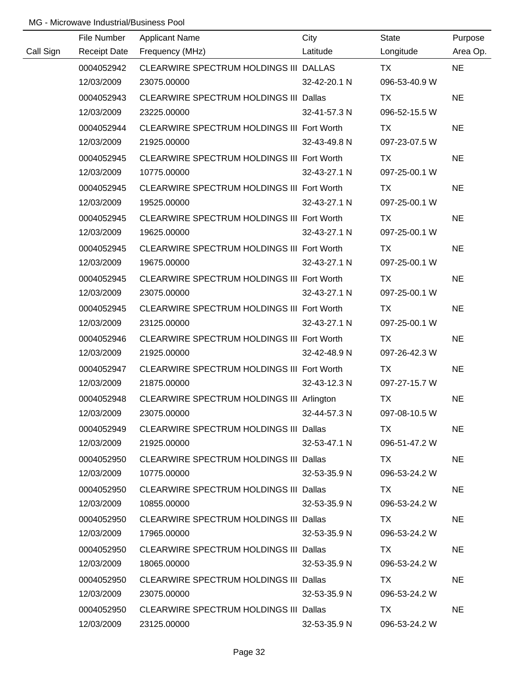|           | File Number         | <b>Applicant Name</b>                         | City         | <b>State</b>  | Purpose   |
|-----------|---------------------|-----------------------------------------------|--------------|---------------|-----------|
| Call Sign | <b>Receipt Date</b> | Frequency (MHz)                               | Latitude     | Longitude     | Area Op.  |
|           | 0004052942          | CLEARWIRE SPECTRUM HOLDINGS III DALLAS        |              | <b>TX</b>     | <b>NE</b> |
|           | 12/03/2009          | 23075.00000                                   | 32-42-20.1 N | 096-53-40.9 W |           |
|           | 0004052943          | CLEARWIRE SPECTRUM HOLDINGS III Dallas        |              | <b>TX</b>     | <b>NE</b> |
|           | 12/03/2009          | 23225.00000                                   | 32-41-57.3 N | 096-52-15.5 W |           |
|           | 0004052944          | CLEARWIRE SPECTRUM HOLDINGS III Fort Worth    |              | TX            | <b>NE</b> |
|           | 12/03/2009          | 21925.00000                                   | 32-43-49.8 N | 097-23-07.5 W |           |
|           | 0004052945          | CLEARWIRE SPECTRUM HOLDINGS III Fort Worth    |              | TX            | <b>NE</b> |
|           | 12/03/2009          | 10775.00000                                   | 32-43-27.1 N | 097-25-00.1 W |           |
|           | 0004052945          | CLEARWIRE SPECTRUM HOLDINGS III Fort Worth    |              | <b>TX</b>     | <b>NE</b> |
|           | 12/03/2009          | 19525.00000                                   | 32-43-27.1 N | 097-25-00.1 W |           |
|           | 0004052945          | CLEARWIRE SPECTRUM HOLDINGS III Fort Worth    |              | TX            | <b>NE</b> |
|           | 12/03/2009          | 19625.00000                                   | 32-43-27.1 N | 097-25-00.1 W |           |
|           | 0004052945          | CLEARWIRE SPECTRUM HOLDINGS III Fort Worth    |              | TX            | <b>NE</b> |
|           | 12/03/2009          | 19675.00000                                   | 32-43-27.1 N | 097-25-00.1 W |           |
|           | 0004052945          | CLEARWIRE SPECTRUM HOLDINGS III Fort Worth    |              | TX            | <b>NE</b> |
|           | 12/03/2009          | 23075.00000                                   | 32-43-27.1 N | 097-25-00.1 W |           |
|           | 0004052945          | CLEARWIRE SPECTRUM HOLDINGS III Fort Worth    |              | <b>TX</b>     | <b>NE</b> |
|           | 12/03/2009          | 23125.00000                                   | 32-43-27.1 N | 097-25-00.1 W |           |
|           | 0004052946          | CLEARWIRE SPECTRUM HOLDINGS III Fort Worth    |              | <b>TX</b>     | <b>NE</b> |
|           | 12/03/2009          | 21925.00000                                   | 32-42-48.9 N | 097-26-42.3 W |           |
|           | 0004052947          | CLEARWIRE SPECTRUM HOLDINGS III Fort Worth    |              | <b>TX</b>     | <b>NE</b> |
|           | 12/03/2009          | 21875.00000                                   | 32-43-12.3 N | 097-27-15.7 W |           |
|           | 0004052948          | CLEARWIRE SPECTRUM HOLDINGS III Arlington     |              | <b>TX</b>     | <b>NE</b> |
|           | 12/03/2009          | 23075.00000                                   | 32-44-57.3 N | 097-08-10.5 W |           |
|           | 0004052949          | CLEARWIRE SPECTRUM HOLDINGS III Dallas        |              | TX.           | <b>NE</b> |
|           | 12/03/2009          | 21925.00000                                   | 32-53-47.1 N | 096-51-47.2 W |           |
|           | 0004052950          | CLEARWIRE SPECTRUM HOLDINGS III Dallas        |              | TX TX         | <b>NE</b> |
|           | 12/03/2009          | 10775.00000                                   | 32-53-35.9 N | 096-53-24.2 W |           |
|           | 0004052950          | CLEARWIRE SPECTRUM HOLDINGS III Dallas        |              | TX TX         | <b>NE</b> |
|           | 12/03/2009          | 10855.00000                                   | 32-53-35.9 N | 096-53-24.2 W |           |
|           | 0004052950          | CLEARWIRE SPECTRUM HOLDINGS III Dallas        |              | TX.           | <b>NE</b> |
|           | 12/03/2009          | 17965.00000                                   | 32-53-35.9 N | 096-53-24.2 W |           |
|           | 0004052950          | CLEARWIRE SPECTRUM HOLDINGS III Dallas        |              | TX.           | <b>NE</b> |
|           | 12/03/2009          | 18065.00000                                   | 32-53-35.9 N | 096-53-24.2 W |           |
|           | 0004052950          | <b>CLEARWIRE SPECTRUM HOLDINGS III Dallas</b> |              | TX.           | <b>NE</b> |
|           | 12/03/2009          | 23075.00000                                   | 32-53-35.9 N | 096-53-24.2 W |           |
|           | 0004052950          | CLEARWIRE SPECTRUM HOLDINGS III Dallas        |              | TX.           | <b>NE</b> |
|           | 12/03/2009          | 23125.00000                                   | 32-53-35.9 N | 096-53-24.2 W |           |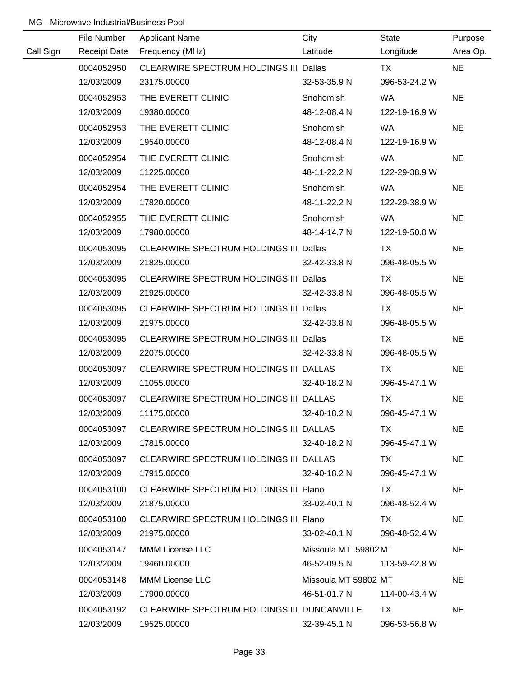|           | File Number         | <b>Applicant Name</b>                       | City                 | State         | Purpose   |
|-----------|---------------------|---------------------------------------------|----------------------|---------------|-----------|
| Call Sign | <b>Receipt Date</b> | Frequency (MHz)                             | Latitude             | Longitude     | Area Op.  |
|           | 0004052950          | CLEARWIRE SPECTRUM HOLDINGS III Dallas      |                      | <b>TX</b>     | <b>NE</b> |
|           | 12/03/2009          | 23175.00000                                 | 32-53-35.9 N         | 096-53-24.2 W |           |
|           | 0004052953          | THE EVERETT CLINIC                          | Snohomish            | <b>WA</b>     | <b>NE</b> |
|           | 12/03/2009          | 19380.00000                                 | 48-12-08.4 N         | 122-19-16.9 W |           |
|           | 0004052953          | THE EVERETT CLINIC                          | Snohomish            | <b>WA</b>     | <b>NE</b> |
|           | 12/03/2009          | 19540.00000                                 | 48-12-08.4 N         | 122-19-16.9 W |           |
|           | 0004052954          | THE EVERETT CLINIC                          | Snohomish            | WA            | <b>NE</b> |
|           | 12/03/2009          | 11225.00000                                 | 48-11-22.2 N         | 122-29-38.9 W |           |
|           | 0004052954          | THE EVERETT CLINIC                          | Snohomish            | WA            | <b>NE</b> |
|           | 12/03/2009          | 17820.00000                                 | 48-11-22.2 N         | 122-29-38.9 W |           |
|           | 0004052955          | THE EVERETT CLINIC                          | Snohomish            | <b>WA</b>     | <b>NE</b> |
|           | 12/03/2009          | 17980.00000                                 | 48-14-14.7 N         | 122-19-50.0 W |           |
|           | 0004053095          | CLEARWIRE SPECTRUM HOLDINGS III Dallas      |                      | TX            | <b>NE</b> |
|           | 12/03/2009          | 21825.00000                                 | 32-42-33.8 N         | 096-48-05.5 W |           |
|           | 0004053095          | CLEARWIRE SPECTRUM HOLDINGS III Dallas      |                      | TX            | <b>NE</b> |
|           | 12/03/2009          | 21925.00000                                 | 32-42-33.8 N         | 096-48-05.5 W |           |
|           | 0004053095          | CLEARWIRE SPECTRUM HOLDINGS III Dallas      |                      | TX            | <b>NE</b> |
|           | 12/03/2009          | 21975.00000                                 | 32-42-33.8 N         | 096-48-05.5 W |           |
|           | 0004053095          | CLEARWIRE SPECTRUM HOLDINGS III Dallas      |                      | <b>TX</b>     | <b>NE</b> |
|           | 12/03/2009          | 22075.00000                                 | 32-42-33.8 N         | 096-48-05.5 W |           |
|           | 0004053097          | CLEARWIRE SPECTRUM HOLDINGS III DALLAS      |                      | <b>TX</b>     | <b>NE</b> |
|           | 12/03/2009          | 11055.00000                                 | 32-40-18.2 N         | 096-45-47.1 W |           |
|           | 0004053097          | CLEARWIRE SPECTRUM HOLDINGS III DALLAS      |                      | <b>TX</b>     | <b>NE</b> |
|           | 12/03/2009          | 11175.00000                                 | 32-40-18.2 N         | 096-45-47.1 W |           |
|           | 0004053097          | CLEARWIRE SPECTRUM HOLDINGS III DALLAS      |                      | TX.           | <b>NE</b> |
|           | 12/03/2009          | 17815.00000                                 | 32-40-18.2 N         | 096-45-47.1 W |           |
|           | 0004053097          | CLEARWIRE SPECTRUM HOLDINGS III DALLAS      |                      | TX.           | <b>NE</b> |
|           | 12/03/2009          | 17915.00000                                 | 32-40-18.2 N         | 096-45-47.1 W |           |
|           | 0004053100          | CLEARWIRE SPECTRUM HOLDINGS III Plano       |                      | TX            | <b>NE</b> |
|           | 12/03/2009          | 21875.00000                                 | 33-02-40.1 N         | 096-48-52.4 W |           |
|           | 0004053100          | CLEARWIRE SPECTRUM HOLDINGS III Plano       |                      | TX.           | <b>NE</b> |
|           | 12/03/2009          | 21975.00000                                 | 33-02-40.1 N         | 096-48-52.4 W |           |
|           | 0004053147          | <b>MMM License LLC</b>                      | Missoula MT 59802 MT |               | <b>NE</b> |
|           | 12/03/2009          | 19460.00000                                 | 46-52-09.5 N         | 113-59-42.8 W |           |
|           | 0004053148          | MMM License LLC                             | Missoula MT 59802 MT |               | <b>NE</b> |
|           | 12/03/2009          | 17900.00000                                 | 46-51-01.7 N         | 114-00-43.4 W |           |
|           | 0004053192          | CLEARWIRE SPECTRUM HOLDINGS III DUNCANVILLE |                      | TX.           | <b>NE</b> |
|           | 12/03/2009          | 19525.00000                                 | 32-39-45.1 N         | 096-53-56.8 W |           |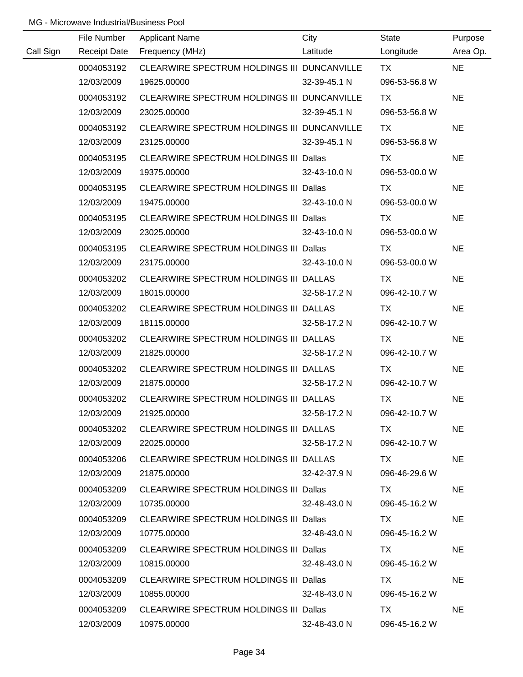|           | File Number         | <b>Applicant Name</b>                         | City         | <b>State</b>  | Purpose   |
|-----------|---------------------|-----------------------------------------------|--------------|---------------|-----------|
| Call Sign | <b>Receipt Date</b> | Frequency (MHz)                               | Latitude     | Longitude     | Area Op.  |
|           | 0004053192          | CLEARWIRE SPECTRUM HOLDINGS III DUNCANVILLE   |              | <b>TX</b>     | <b>NE</b> |
|           | 12/03/2009          | 19625.00000                                   | 32-39-45.1 N | 096-53-56.8 W |           |
|           | 0004053192          | CLEARWIRE SPECTRUM HOLDINGS III DUNCANVILLE   |              | TX            | <b>NE</b> |
|           | 12/03/2009          | 23025.00000                                   | 32-39-45.1 N | 096-53-56.8 W |           |
|           | 0004053192          | CLEARWIRE SPECTRUM HOLDINGS III DUNCANVILLE   |              | TX            | <b>NE</b> |
|           | 12/03/2009          | 23125.00000                                   | 32-39-45.1 N | 096-53-56.8 W |           |
|           | 0004053195          | CLEARWIRE SPECTRUM HOLDINGS III Dallas        |              | TX            | <b>NE</b> |
|           | 12/03/2009          | 19375.00000                                   | 32-43-10.0 N | 096-53-00.0 W |           |
|           | 0004053195          | CLEARWIRE SPECTRUM HOLDINGS III Dallas        |              | <b>TX</b>     | <b>NE</b> |
|           | 12/03/2009          | 19475.00000                                   | 32-43-10.0 N | 096-53-00.0 W |           |
|           | 0004053195          | CLEARWIRE SPECTRUM HOLDINGS III Dallas        |              | TX            | <b>NE</b> |
|           | 12/03/2009          | 23025.00000                                   | 32-43-10.0 N | 096-53-00.0 W |           |
|           | 0004053195          | CLEARWIRE SPECTRUM HOLDINGS III Dallas        |              | <b>TX</b>     | <b>NE</b> |
|           | 12/03/2009          | 23175.00000                                   | 32-43-10.0 N | 096-53-00.0 W |           |
|           | 0004053202          | CLEARWIRE SPECTRUM HOLDINGS III DALLAS        |              | TX            | <b>NE</b> |
|           | 12/03/2009          | 18015.00000                                   | 32-58-17.2 N | 096-42-10.7 W |           |
|           | 0004053202          | CLEARWIRE SPECTRUM HOLDINGS III DALLAS        |              | <b>TX</b>     | <b>NE</b> |
|           | 12/03/2009          | 18115.00000                                   | 32-58-17.2 N | 096-42-10.7 W |           |
|           | 0004053202          | CLEARWIRE SPECTRUM HOLDINGS III DALLAS        |              | <b>TX</b>     | <b>NE</b> |
|           | 12/03/2009          | 21825.00000                                   | 32-58-17.2 N | 096-42-10.7 W |           |
|           | 0004053202          | CLEARWIRE SPECTRUM HOLDINGS III DALLAS        |              | <b>TX</b>     | <b>NE</b> |
|           | 12/03/2009          | 21875.00000                                   | 32-58-17.2 N | 096-42-10.7 W |           |
|           | 0004053202          | CLEARWIRE SPECTRUM HOLDINGS III DALLAS        |              | <b>TX</b>     | <b>NE</b> |
|           | 12/03/2009          | 21925.00000                                   | 32-58-17.2 N | 096-42-10.7 W |           |
|           | 0004053202          | CLEARWIRE SPECTRUM HOLDINGS III DALLAS        |              | TX.           | <b>NE</b> |
|           | 12/03/2009          | 22025.00000                                   | 32-58-17.2 N | 096-42-10.7 W |           |
|           | 0004053206          | CLEARWIRE SPECTRUM HOLDINGS III DALLAS        |              | TX TX         | <b>NE</b> |
|           | 12/03/2009          | 21875.00000                                   | 32-42-37.9 N | 096-46-29.6 W |           |
|           | 0004053209          | CLEARWIRE SPECTRUM HOLDINGS III Dallas        |              | TX T          | <b>NE</b> |
|           | 12/03/2009          | 10735.00000                                   | 32-48-43.0 N | 096-45-16.2 W |           |
|           | 0004053209          | CLEARWIRE SPECTRUM HOLDINGS III Dallas        |              | TX.           | <b>NE</b> |
|           | 12/03/2009          | 10775.00000                                   | 32-48-43.0 N | 096-45-16.2 W |           |
|           | 0004053209          | CLEARWIRE SPECTRUM HOLDINGS III Dallas        |              | TX.           | <b>NE</b> |
|           | 12/03/2009          | 10815.00000                                   | 32-48-43.0 N | 096-45-16.2 W |           |
|           | 0004053209          | <b>CLEARWIRE SPECTRUM HOLDINGS III Dallas</b> |              | TX            | <b>NE</b> |
|           | 12/03/2009          | 10855.00000                                   | 32-48-43.0 N | 096-45-16.2 W |           |
|           | 0004053209          | <b>CLEARWIRE SPECTRUM HOLDINGS III Dallas</b> |              | TX.           | <b>NE</b> |
|           | 12/03/2009          | 10975.00000                                   | 32-48-43.0 N | 096-45-16.2 W |           |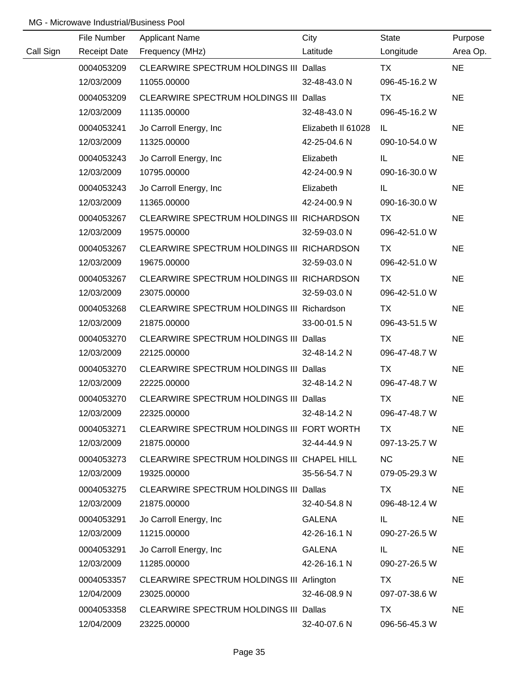|           | File Number         | <b>Applicant Name</b>                         | City               | <b>State</b>  | Purpose   |
|-----------|---------------------|-----------------------------------------------|--------------------|---------------|-----------|
| Call Sign | <b>Receipt Date</b> | Frequency (MHz)                               | Latitude           | Longitude     | Area Op.  |
|           | 0004053209          | CLEARWIRE SPECTRUM HOLDINGS III Dallas        |                    | <b>TX</b>     | <b>NE</b> |
|           | 12/03/2009          | 11055.00000                                   | 32-48-43.0 N       | 096-45-16.2 W |           |
|           | 0004053209          | CLEARWIRE SPECTRUM HOLDINGS III Dallas        |                    | TX            | <b>NE</b> |
|           | 12/03/2009          | 11135.00000                                   | 32-48-43.0 N       | 096-45-16.2 W |           |
|           | 0004053241          | Jo Carroll Energy, Inc.                       | Elizabeth II 61028 | IL            | <b>NE</b> |
|           | 12/03/2009          | 11325.00000                                   | 42-25-04.6 N       | 090-10-54.0 W |           |
|           | 0004053243          | Jo Carroll Energy, Inc.                       | Elizabeth          | IL.           | <b>NE</b> |
|           | 12/03/2009          | 10795.00000                                   | 42-24-00.9 N       | 090-16-30.0 W |           |
|           | 0004053243          | Jo Carroll Energy, Inc.                       | Elizabeth          | IL.           | <b>NE</b> |
|           | 12/03/2009          | 11365.00000                                   | 42-24-00.9 N       | 090-16-30.0 W |           |
|           | 0004053267          | CLEARWIRE SPECTRUM HOLDINGS III RICHARDSON    |                    | TX            | <b>NE</b> |
|           | 12/03/2009          | 19575.00000                                   | 32-59-03.0 N       | 096-42-51.0 W |           |
|           | 0004053267          | CLEARWIRE SPECTRUM HOLDINGS III RICHARDSON    |                    | TX            | <b>NE</b> |
|           | 12/03/2009          | 19675.00000                                   | 32-59-03.0 N       | 096-42-51.0 W |           |
|           | 0004053267          | CLEARWIRE SPECTRUM HOLDINGS III RICHARDSON    |                    | TX            | <b>NE</b> |
|           | 12/03/2009          | 23075.00000                                   | 32-59-03.0 N       | 096-42-51.0 W |           |
|           | 0004053268          | CLEARWIRE SPECTRUM HOLDINGS III Richardson    |                    | TX            | <b>NE</b> |
|           | 12/03/2009          | 21875.00000                                   | 33-00-01.5 N       | 096-43-51.5 W |           |
|           | 0004053270          | <b>CLEARWIRE SPECTRUM HOLDINGS III Dallas</b> |                    | TX            | <b>NE</b> |
|           | 12/03/2009          | 22125.00000                                   | 32-48-14.2 N       | 096-47-48.7 W |           |
|           | 0004053270          | <b>CLEARWIRE SPECTRUM HOLDINGS III Dallas</b> |                    | <b>TX</b>     | <b>NE</b> |
|           | 12/03/2009          | 22225.00000                                   | 32-48-14.2 N       | 096-47-48.7 W |           |
|           | 0004053270          | CLEARWIRE SPECTRUM HOLDINGS III Dallas        |                    | <b>TX</b>     | <b>NE</b> |
|           | 12/03/2009          | 22325.00000                                   | 32-48-14.2 N       | 096-47-48.7 W |           |
|           | 0004053271          | CLEARWIRE SPECTRUM HOLDINGS III FORT WORTH    |                    | TX.           | <b>NE</b> |
|           | 12/03/2009          | 21875.00000                                   | 32-44-44.9 N       | 097-13-25.7 W |           |
|           | 0004053273          | CLEARWIRE SPECTRUM HOLDINGS III CHAPEL HILL   |                    | <b>NC</b>     | <b>NE</b> |
|           | 12/03/2009          | 19325.00000                                   | 35-56-54.7 N       | 079-05-29.3 W |           |
|           | 0004053275          | <b>CLEARWIRE SPECTRUM HOLDINGS III Dallas</b> |                    | TX            | <b>NE</b> |
|           | 12/03/2009          | 21875.00000                                   | 32-40-54.8 N       | 096-48-12.4 W |           |
|           | 0004053291          | Jo Carroll Energy, Inc.                       | <b>GALENA</b>      | IL.           | <b>NE</b> |
|           | 12/03/2009          | 11215.00000                                   | 42-26-16.1 N       | 090-27-26.5 W |           |
|           | 0004053291          | Jo Carroll Energy, Inc.                       | <b>GALENA</b>      | IL.           | <b>NE</b> |
|           | 12/03/2009          | 11285.00000                                   | 42-26-16.1 N       | 090-27-26.5 W |           |
|           | 0004053357          | CLEARWIRE SPECTRUM HOLDINGS III Arlington     |                    | TX            | <b>NE</b> |
|           | 12/04/2009          | 23025.00000                                   | 32-46-08.9 N       | 097-07-38.6 W |           |
|           | 0004053358          | <b>CLEARWIRE SPECTRUM HOLDINGS III Dallas</b> |                    | TX            | <b>NE</b> |
|           | 12/04/2009          | 23225.00000                                   | 32-40-07.6 N       | 096-56-45.3 W |           |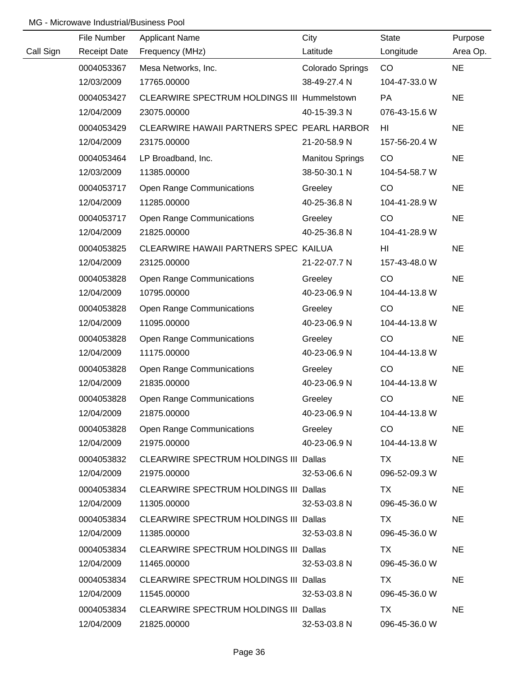|           | File Number         | <b>Applicant Name</b>                         | City                   | State         | Purpose   |
|-----------|---------------------|-----------------------------------------------|------------------------|---------------|-----------|
| Call Sign | <b>Receipt Date</b> | Frequency (MHz)                               | Latitude               | Longitude     | Area Op.  |
|           | 0004053367          | Mesa Networks, Inc.                           | Colorado Springs       | CO            | <b>NE</b> |
|           | 12/03/2009          | 17765.00000                                   | 38-49-27.4 N           | 104-47-33.0 W |           |
|           | 0004053427          | CLEARWIRE SPECTRUM HOLDINGS III Hummelstown   |                        | PA            | <b>NE</b> |
|           | 12/04/2009          | 23075.00000                                   | 40-15-39.3 N           | 076-43-15.6 W |           |
|           | 0004053429          | CLEARWIRE HAWAII PARTNERS SPEC PEARL HARBOR   |                        | HI            | <b>NE</b> |
|           | 12/04/2009          | 23175.00000                                   | 21-20-58.9 N           | 157-56-20.4 W |           |
|           | 0004053464          | LP Broadband, Inc.                            | <b>Manitou Springs</b> | CO            | <b>NE</b> |
|           | 12/03/2009          | 11385.00000                                   | 38-50-30.1 N           | 104-54-58.7 W |           |
|           | 0004053717          | <b>Open Range Communications</b>              | Greeley                | CO            | <b>NE</b> |
|           | 12/04/2009          | 11285.00000                                   | 40-25-36.8 N           | 104-41-28.9 W |           |
|           | 0004053717          | <b>Open Range Communications</b>              | Greeley                | CO            | <b>NE</b> |
|           | 12/04/2009          | 21825.00000                                   | 40-25-36.8 N           | 104-41-28.9 W |           |
|           | 0004053825          | CLEARWIRE HAWAII PARTNERS SPEC KAILUA         |                        | HI            | <b>NE</b> |
|           | 12/04/2009          | 23125.00000                                   | 21-22-07.7 N           | 157-43-48.0 W |           |
|           | 0004053828          | <b>Open Range Communications</b>              | Greeley                | CO            | <b>NE</b> |
|           | 12/04/2009          | 10795.00000                                   | 40-23-06.9 N           | 104-44-13.8 W |           |
|           | 0004053828          | <b>Open Range Communications</b>              | Greeley                | CO            | <b>NE</b> |
|           | 12/04/2009          | 11095.00000                                   | 40-23-06.9 N           | 104-44-13.8 W |           |
|           | 0004053828          | <b>Open Range Communications</b>              | Greeley                | CO            | <b>NE</b> |
|           | 12/04/2009          | 11175.00000                                   | 40-23-06.9 N           | 104-44-13.8 W |           |
|           | 0004053828          | <b>Open Range Communications</b>              | Greeley                | CO            | <b>NE</b> |
|           | 12/04/2009          | 21835.00000                                   | 40-23-06.9 N           | 104-44-13.8 W |           |
|           | 0004053828          | <b>Open Range Communications</b>              | Greeley                | CO            | <b>NE</b> |
|           | 12/04/2009          | 21875.00000                                   | 40-23-06.9 N           | 104-44-13.8 W |           |
|           | 0004053828          | <b>Open Range Communications</b>              | Greeley                | CO.           | <b>NE</b> |
|           | 12/04/2009          | 21975.00000                                   | 40-23-06.9 N           | 104-44-13.8 W |           |
|           | 0004053832          | CLEARWIRE SPECTRUM HOLDINGS III Dallas        |                        | TX.           | <b>NE</b> |
|           | 12/04/2009          | 21975.00000                                   | 32-53-06.6 N           | 096-52-09.3 W |           |
|           | 0004053834          | CLEARWIRE SPECTRUM HOLDINGS III Dallas        |                        | TX            | <b>NE</b> |
|           | 12/04/2009          | 11305.00000                                   | 32-53-03.8 N           | 096-45-36.0 W |           |
|           | 0004053834          | CLEARWIRE SPECTRUM HOLDINGS III Dallas        |                        | TX            | <b>NE</b> |
|           | 12/04/2009          | 11385.00000                                   | 32-53-03.8 N           | 096-45-36.0 W |           |
|           | 0004053834          | CLEARWIRE SPECTRUM HOLDINGS III Dallas        |                        | TX.           | <b>NE</b> |
|           | 12/04/2009          | 11465.00000                                   | 32-53-03.8 N           | 096-45-36.0 W |           |
|           | 0004053834          | <b>CLEARWIRE SPECTRUM HOLDINGS III Dallas</b> |                        | TX            | <b>NE</b> |
|           | 12/04/2009          | 11545.00000                                   | 32-53-03.8 N           | 096-45-36.0 W |           |
|           | 0004053834          | <b>CLEARWIRE SPECTRUM HOLDINGS III Dallas</b> |                        | TX            | <b>NE</b> |
|           | 12/04/2009          | 21825.00000                                   | 32-53-03.8 N           | 096-45-36.0 W |           |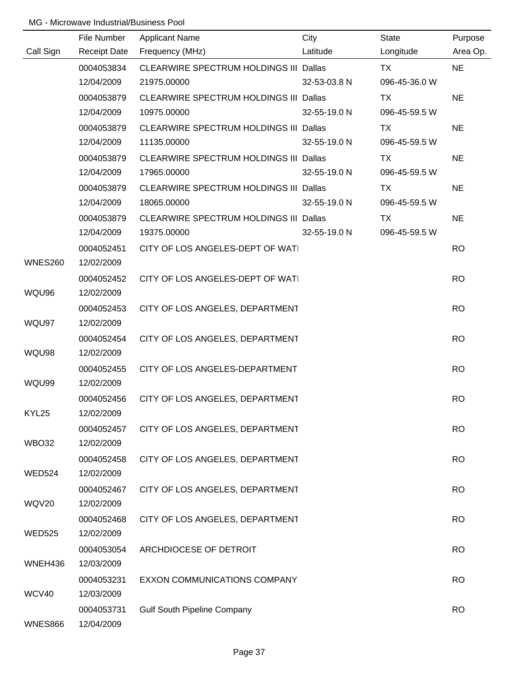|                | File Number         | <b>Applicant Name</b>                         | City         | State         | Purpose   |
|----------------|---------------------|-----------------------------------------------|--------------|---------------|-----------|
| Call Sign      | <b>Receipt Date</b> | Frequency (MHz)                               | Latitude     | Longitude     | Area Op.  |
|                | 0004053834          | <b>CLEARWIRE SPECTRUM HOLDINGS III Dallas</b> |              | <b>TX</b>     | <b>NE</b> |
|                | 12/04/2009          | 21975.00000                                   | 32-53-03.8 N | 096-45-36.0 W |           |
|                | 0004053879          | CLEARWIRE SPECTRUM HOLDINGS III Dallas        |              | TX            | <b>NE</b> |
|                | 12/04/2009          | 10975.00000                                   | 32-55-19.0 N | 096-45-59.5 W |           |
|                | 0004053879          | CLEARWIRE SPECTRUM HOLDINGS III Dallas        |              | TX            | <b>NE</b> |
|                | 12/04/2009          | 11135.00000                                   | 32-55-19.0 N | 096-45-59.5 W |           |
|                | 0004053879          | CLEARWIRE SPECTRUM HOLDINGS III Dallas        |              | TX            | <b>NE</b> |
|                | 12/04/2009          | 17965.00000                                   | 32-55-19.0 N | 096-45-59.5 W |           |
|                | 0004053879          | CLEARWIRE SPECTRUM HOLDINGS III Dallas        |              | TX            | <b>NE</b> |
|                | 12/04/2009          | 18065.00000                                   | 32-55-19.0 N | 096-45-59.5 W |           |
|                | 0004053879          | CLEARWIRE SPECTRUM HOLDINGS III Dallas        |              | <b>TX</b>     | <b>NE</b> |
|                | 12/04/2009          | 19375.00000                                   | 32-55-19.0 N | 096-45-59.5 W |           |
|                | 0004052451          | CITY OF LOS ANGELES-DEPT OF WATI              |              |               | <b>RO</b> |
| <b>WNES260</b> | 12/02/2009          |                                               |              |               |           |
|                | 0004052452          | CITY OF LOS ANGELES-DEPT OF WAT               |              |               | <b>RO</b> |
| WQU96          | 12/02/2009          |                                               |              |               |           |
|                | 0004052453          | CITY OF LOS ANGELES, DEPARTMENT               |              |               | <b>RO</b> |
| WQU97          | 12/02/2009          |                                               |              |               |           |
|                | 0004052454          | CITY OF LOS ANGELES, DEPARTMENT               |              |               | <b>RO</b> |
| WQU98          | 12/02/2009          |                                               |              |               |           |
|                | 0004052455          | CITY OF LOS ANGELES-DEPARTMENT                |              |               | <b>RO</b> |
| WQU99          | 12/02/2009          |                                               |              |               |           |
|                | 0004052456          | CITY OF LOS ANGELES, DEPARTMENT               |              |               | <b>RO</b> |
| KYL25          | 12/02/2009          |                                               |              |               |           |
|                | 0004052457          | CITY OF LOS ANGELES, DEPARTMENT               |              |               | <b>RO</b> |
| WBO32          | 12/02/2009          |                                               |              |               |           |
|                | 0004052458          | CITY OF LOS ANGELES, DEPARTMENT               |              |               | <b>RO</b> |
| <b>WED524</b>  | 12/02/2009          |                                               |              |               |           |
|                | 0004052467          | CITY OF LOS ANGELES, DEPARTMENT               |              |               | <b>RO</b> |
| WQV20          | 12/02/2009          |                                               |              |               |           |
|                | 0004052468          | CITY OF LOS ANGELES, DEPARTMENT               |              |               | <b>RO</b> |
| <b>WED525</b>  | 12/02/2009          |                                               |              |               |           |
|                | 0004053054          | ARCHDIOCESE OF DETROIT                        |              |               | <b>RO</b> |
| WNEH436        | 12/03/2009          |                                               |              |               |           |
|                | 0004053231          | EXXON COMMUNICATIONS COMPANY                  |              |               | <b>RO</b> |
| WCV40          | 12/03/2009          |                                               |              |               |           |
|                | 0004053731          | <b>Gulf South Pipeline Company</b>            |              |               | <b>RO</b> |
| WNES866        | 12/04/2009          |                                               |              |               |           |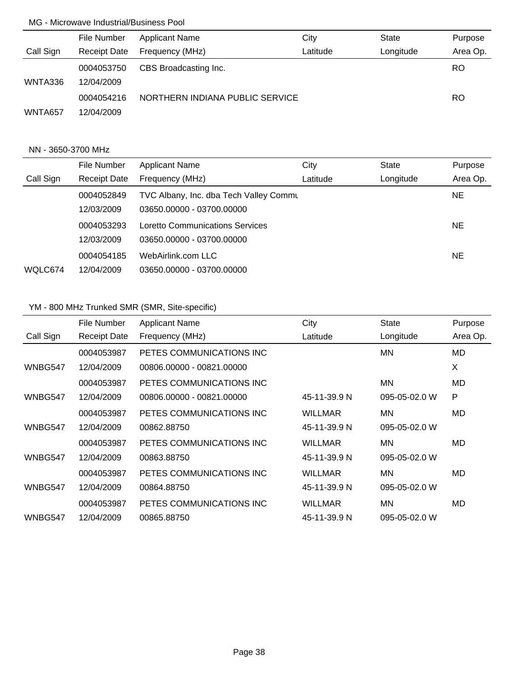|           | File Number              | <b>Applicant Name</b>           | City     | <b>State</b> | Purpose   |
|-----------|--------------------------|---------------------------------|----------|--------------|-----------|
| Call Sign | <b>Receipt Date</b>      | Frequency (MHz)                 | Latitude | Longitude    | Area Op.  |
| WNTA336   | 0004053750<br>12/04/2009 | CBS Broadcasting Inc.           |          |              | <b>RO</b> |
| WNTA657   | 0004054216<br>12/04/2009 | NORTHERN INDIANA PUBLIC SERVICE |          |              | RO.       |

### NN - 3650-3700 MHz

|           | File Number         | <b>Applicant Name</b>                           | City     | State     | Purpose  |
|-----------|---------------------|-------------------------------------------------|----------|-----------|----------|
| Call Sign | <b>Receipt Date</b> | Frequency (MHz)                                 | Latitude | Longitude | Area Op. |
|           | 0004052849          | <b>TVC Albany, Inc. dba Tech Valley Commund</b> |          |           | NE.      |
|           | 12/03/2009          | 03650.00000 - 03700.00000                       |          |           |          |
|           | 0004053293          | Loretto Communications Services                 |          |           | NE.      |
|           | 12/03/2009          | 03650.00000 - 03700.00000                       |          |           |          |
|           | 0004054185          | WebAirlink.com LLC                              |          |           | NE.      |
| WQLC674   | 12/04/2009          | 03650.00000 - 03700.00000                       |          |           |          |

# YM - 800 MHz Trunked SMR (SMR, Site-specific)

|           | File Number         | <b>Applicant Name</b>     | City           | <b>State</b>  | Purpose  |
|-----------|---------------------|---------------------------|----------------|---------------|----------|
| Call Sign | <b>Receipt Date</b> | Frequency (MHz)           | Latitude       | Longitude     | Area Op. |
|           | 0004053987          | PETES COMMUNICATIONS INC  |                | MN            | MD       |
| WNBG547   | 12/04/2009          | 00806.00000 - 00821.00000 |                |               | X        |
|           | 0004053987          | PETES COMMUNICATIONS INC  |                | MN            | MD       |
| WNBG547   | 12/04/2009          | 00806.00000 - 00821.00000 | 45-11-39.9 N   | 095-05-02.0 W | P        |
|           | 0004053987          | PETES COMMUNICATIONS INC. | <b>WILLMAR</b> | MN            | MD       |
| WNBG547   | 12/04/2009          | 00862.88750               | 45-11-39.9 N   | 095-05-02.0 W |          |
|           | 0004053987          | PETES COMMUNICATIONS INC  | <b>WILLMAR</b> | MN            | MD.      |
| WNBG547   | 12/04/2009          | 00863.88750               | 45-11-39.9 N   | 095-05-02.0 W |          |
|           | 0004053987          | PETES COMMUNICATIONS INC  | <b>WILLMAR</b> | MN            | MD       |
| WNBG547   | 12/04/2009          | 00864.88750               | 45-11-39.9 N   | 095-05-02.0 W |          |
|           | 0004053987          | PETES COMMUNICATIONS INC  | <b>WILLMAR</b> | MN            | MD       |
| WNBG547   | 12/04/2009          | 00865.88750               | 45-11-39.9 N   | 095-05-02.0 W |          |